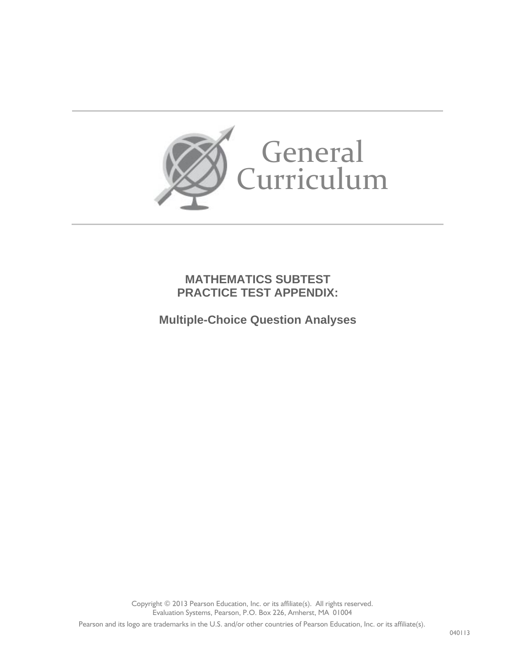

### **MATHEMATICS SUBTEST PRACTICE TEST APPENDIX:**

**Multiple-Choice Question Analyses**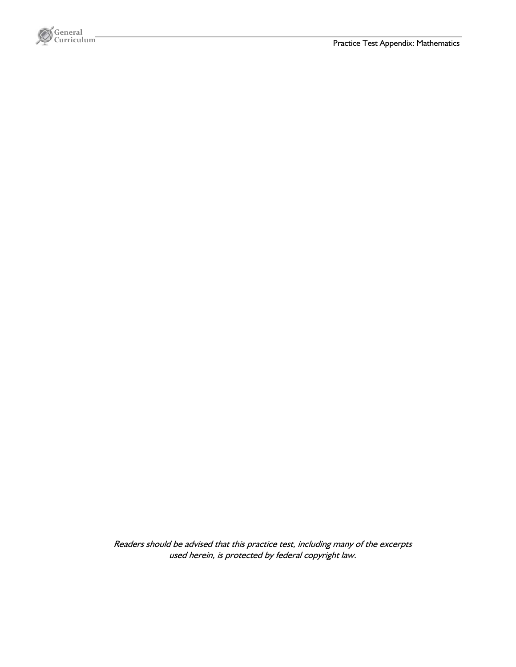

Readers should be advised that this practice test, including many of the excerpts used herein, is protected by federal copyright law.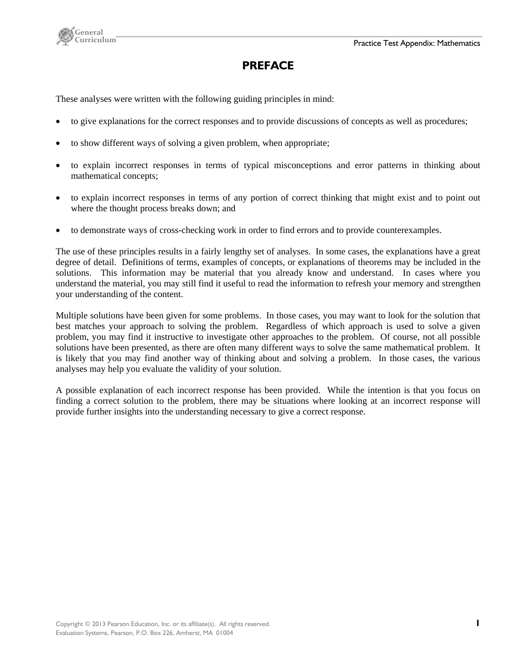

# **PREFACE**

These analyses were written with the following guiding principles in mind:

- to give explanations for the correct responses and to provide discussions of concepts as well as procedures;
- to show different ways of solving a given problem, when appropriate;
- to explain incorrect responses in terms of typical misconceptions and error patterns in thinking about mathematical concepts;
- to explain incorrect responses in terms of any portion of correct thinking that might exist and to point out where the thought process breaks down; and
- to demonstrate ways of cross-checking work in order to find errors and to provide counterexamples.

The use of these principles results in a fairly lengthy set of analyses. In some cases, the explanations have a great degree of detail. Definitions of terms, examples of concepts, or explanations of theorems may be included in the solutions. This information may be material that you already know and understand. In cases where you understand the material, you may still find it useful to read the information to refresh your memory and strengthen your understanding of the content.

Multiple solutions have been given for some problems. In those cases, you may want to look for the solution that best matches your approach to solving the problem. Regardless of which approach is used to solve a given problem, you may find it instructive to investigate other approaches to the problem. Of course, not all possible solutions have been presented, as there are often many different ways to solve the same mathematical problem. It is likely that you may find another way of thinking about and solving a problem. In those cases, the various analyses may help you evaluate the validity of your solution.

A possible explanation of each incorrect response has been provided. While the intention is that you focus on finding a correct solution to the problem, there may be situations where looking at an incorrect response will provide further insights into the understanding necessary to give a correct response.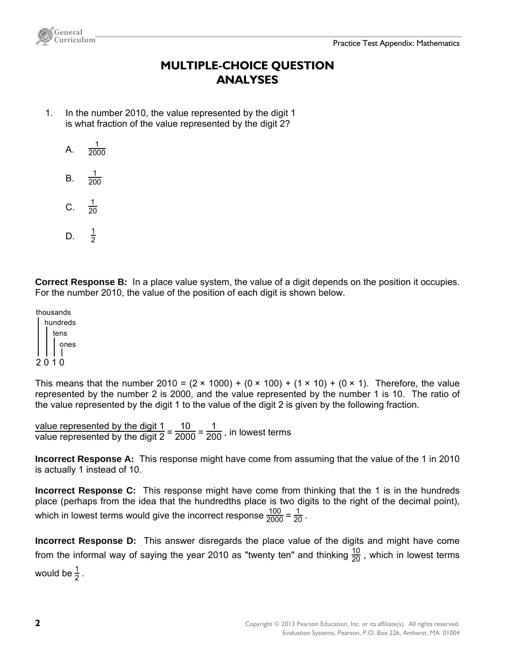

# **MULTIPLE-CHOICE QUESTION ANALYSES**

- 1. In the number 2010, the value represented by the digit 1 is what fraction of the value represented by the digit 2?
	- A.  $\frac{1}{2000}$

**General** 

- B.  $\frac{1}{200}$
- C.  $\frac{1}{20}$
- $D<sub>1</sub>$  $\frac{1}{2}$

**Correct Response B:** In a place value system, the value of a digit depends on the position it occupies. For the number 2010, the value of the position of each digit is shown below.

thousands hundreds tens ones

#### 2 0 1 0

This means that the number 2010 =  $(2 \times 1000) + (0 \times 100) + (1 \times 10) + (0 \times 1)$ . Therefore, the value represented by the number 2 is 2000, and the value represented by the number 1 is 10. The ratio of the value represented by the digit 1 to the value of the digit 2 is given by the following fraction.

value represented by the digit  $1 = 10 - 1$ <br>value represented by the digit  $2 = 2000 = 200$ , in lowest terms

**Incorrect Response A:** This response might have come from assuming that the value of the 1 in 2010 is actually 1 instead of 10.

**Incorrect Response C:** This response might have come from thinking that the 1 is in the hundreds place (perhaps from the idea that the hundredths place is two digits to the right of the decimal point), which in lowest terms would give the incorrect response  $\frac{100}{2000} = \frac{1}{20}$  .

**Incorrect Response D:** This answer disregards the place value of the digits and might have come from the informal way of saying the year 2010 as "twenty ten" and thinking  $\frac{10}{20}$  , which in lowest terms would be  $\frac{1}{2}$  .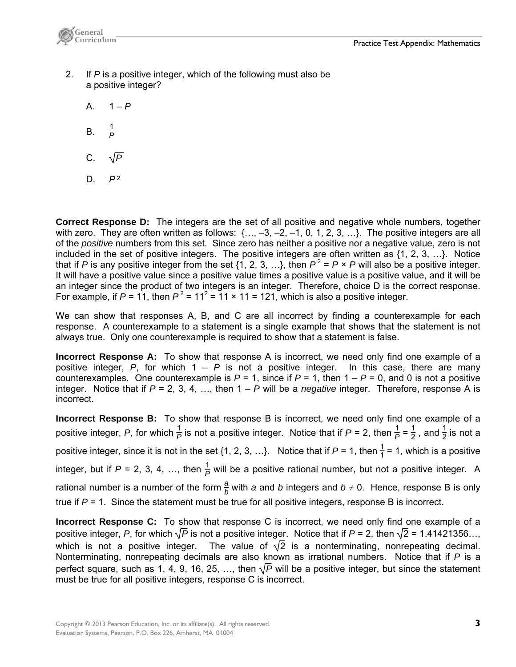

- 2. If *P* is a positive integer, which of the following must also be a positive integer?
	- A.  $1 P$
	- B. <sup>1</sup>  $\frac{1}{p}$
	- C.  $\sqrt{P}$
	- $D.$   $P<sup>2</sup>$

**Correct Response D:** The integers are the set of all positive and negative whole numbers, together with zero. They are often written as follows:  $\{..., -3, -2, -1, 0, 1, 2, 3, ...\}$ . The positive integers are all of the *positive* numbers from this set. Since zero has neither a positive nor a negative value, zero is not included in the set of positive integers. The positive integers are often written as  $\{1, 2, 3, ...\}$ . Notice that if *P* is any positive integer from the set {1, 2, 3, ...}, then  $P^2 = P \times P$  will also be a positive integer. It will have a positive value since a positive value times a positive value is a positive value, and it will be an integer since the product of two integers is an integer. Therefore, choice D is the correct response. For example, if  $P = 11$ , then  $P^2 = 11^2 = 11 \times 11 = 121$ , which is also a positive integer.

We can show that responses A, B, and C are all incorrect by finding a counterexample for each response. A counterexample to a statement is a single example that shows that the statement is not always true. Only one counterexample is required to show that a statement is false.

**Incorrect Response A:** To show that response A is incorrect, we need only find one example of a positive integer,  $P$ , for which  $1 - P$  is not a positive integer. In this case, there are many counterexamples. One counterexample is  $P = 1$ , since if  $P = 1$ , then  $1 - P = 0$ , and 0 is not a positive integer. Notice that if *P* = 2, 3, 4, …, then 1 – *P* will be a *negative* integer. Therefore, response A is incorrect.

**Incorrect Response B:** To show that response B is incorrect, we need only find one example of a positive integer, P, for which  $\frac{1}{P}$  is not a positive integer. Notice that if  $P$  = 2, then  $\frac{1}{P}$  =  $\frac{1}{2}$ , and  $\frac{1}{2}$  is not a positive integer, since it is not in the set {1, 2, 3, ...}. Notice that if  $P = 1$ , then  $\frac{1}{1} = 1$ , which is a positive integer, but if  $P = 2, 3, 4, ...,$  then  $\frac{1}{P}$  will be a positive rational number, but not a positive integer. A rational number is a number of the form  $\frac{a}{b}$  with *a* and *b* integers and  $b \neq 0$ . Hence, response B is only true if *P* = 1. Since the statement must be true for all positive integers, response B is incorrect.

**Incorrect Response C:** To show that response C is incorrect, we need only find one example of a positive integer, *P*, for which  $\sqrt{P}$  is not a positive integer. Notice that if  $P = 2$ , then  $\sqrt{2} = 1.41421356...,$ which is not a positive integer. The value of  $\sqrt{2}$  is a nonterminating, nonrepeating decimal. Nonterminating, nonrepeating decimals are also known as irrational numbers. Notice that if *P* is a perfect square, such as 1, 4, 9, 16, 25, ..., then  $\sqrt{P}$  will be a positive integer, but since the statement must be true for all positive integers, response C is incorrect.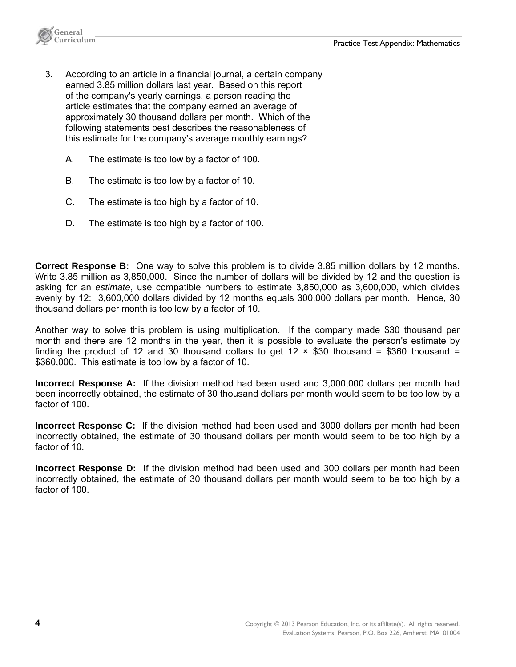

- 3. According to an article in a financial journal, a certain company earned 3.85 million dollars last year. Based on this report of the company's yearly earnings, a person reading the article estimates that the company earned an average of approximately 30 thousand dollars per month. Which of the following statements best describes the reasonableness of this estimate for the company's average monthly earnings?
	- A. The estimate is too low by a factor of 100.
	- B. The estimate is too low by a factor of 10.
	- C. The estimate is too high by a factor of 10.
	- D. The estimate is too high by a factor of 100.

**Correct Response B:** One way to solve this problem is to divide 3.85 million dollars by 12 months. Write 3.85 million as 3,850,000. Since the number of dollars will be divided by 12 and the question is asking for an *estimate*, use compatible numbers to estimate 3,850,000 as 3,600,000, which divides evenly by 12: 3,600,000 dollars divided by 12 months equals 300,000 dollars per month. Hence, 30 thousand dollars per month is too low by a factor of 10.

Another way to solve this problem is using multiplication. If the company made \$30 thousand per month and there are 12 months in the year, then it is possible to evaluate the person's estimate by finding the product of 12 and 30 thousand dollars to get 12  $\times$  \$30 thousand = \$360 thousand = \$360,000. This estimate is too low by a factor of 10.

**Incorrect Response A:** If the division method had been used and 3,000,000 dollars per month had been incorrectly obtained, the estimate of 30 thousand dollars per month would seem to be too low by a factor of 100.

**Incorrect Response C:** If the division method had been used and 3000 dollars per month had been incorrectly obtained, the estimate of 30 thousand dollars per month would seem to be too high by a factor of 10.

**Incorrect Response D:** If the division method had been used and 300 dollars per month had been incorrectly obtained, the estimate of 30 thousand dollars per month would seem to be too high by a factor of 100.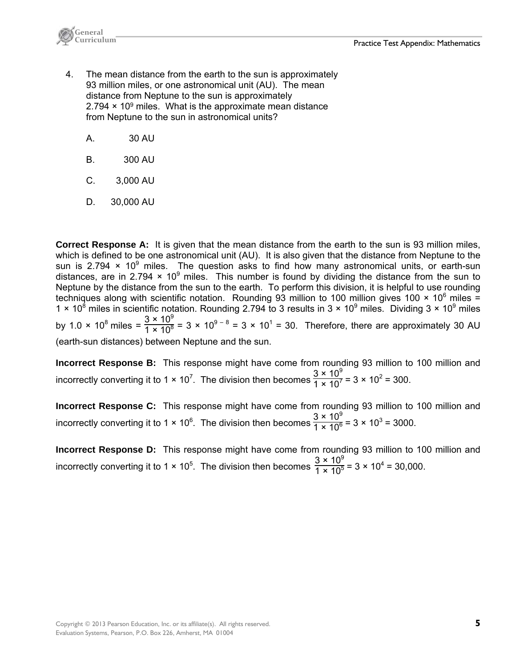

- 4. The mean distance from the earth to the sun is approximately 93 million miles, or one astronomical unit (AU). The mean distance from Neptune to the sun is approximately  $2.794 \times 10^9$  miles. What is the approximate mean distance from Neptune to the sun in astronomical units?
	- A. 30 AU
	- B. 300 AU
	- C. 3,000 AU
	- D. 30,000 AU

**Correct Response A:** It is given that the mean distance from the earth to the sun is 93 million miles, which is defined to be one astronomical unit (AU). It is also given that the distance from Neptune to the sun is 2.794  $\times$  10<sup>9</sup> miles. The question asks to find how many astronomical units, or earth-sun distances, are in 2.794  $\times$  10<sup>9</sup> miles. This number is found by dividing the distance from the sun to Neptune by the distance from the sun to the earth. To perform this division, it is helpful to use rounding techniques along with scientific notation. Rounding 93 million to 100 million gives 100  $\times$  10<sup>6</sup> miles = 1  $\times$  10<sup>8</sup> miles in scientific notation. Rounding 2.794 to 3 results in 3  $\times$  10<sup>9</sup> miles. Dividing 3  $\times$  10<sup>9</sup> miles by 1.0 × 10<sup>8</sup> miles =  $\frac{3 \times 10^9}{1 \times 10^8}$  = 3 × 10<sup>9 - 8</sup> = 3 × 10<sup>1</sup> = 30. Therefore, there are approximately 30 AU (earth-sun distances) between Neptune and the sun.

**Incorrect Response B:** This response might have come from rounding 93 million to 100 million and incorrectly converting it to 1  $\times$  10<sup>7</sup>. The division then becomes  $\frac{3 \times 10^9}{1 \times 10^7}$  = 3  $\times$  10<sup>2</sup> = 300.

**Incorrect Response C:** This response might have come from rounding 93 million to 100 million and incorrectly converting it to 1 × 10<sup>6</sup>. The division then becomes  $\frac{3 \times 10^9}{1 \times 10^6}$  = 3 × 10<sup>3</sup> = 3000.

**Incorrect Response D:** This response might have come from rounding 93 million to 100 million and incorrectly converting it to 1 × 10<sup>5</sup>. The division then becomes  $\frac{3 \times 10^9}{1 \times 10^5}$  = 3 × 10<sup>4</sup> = 30,000.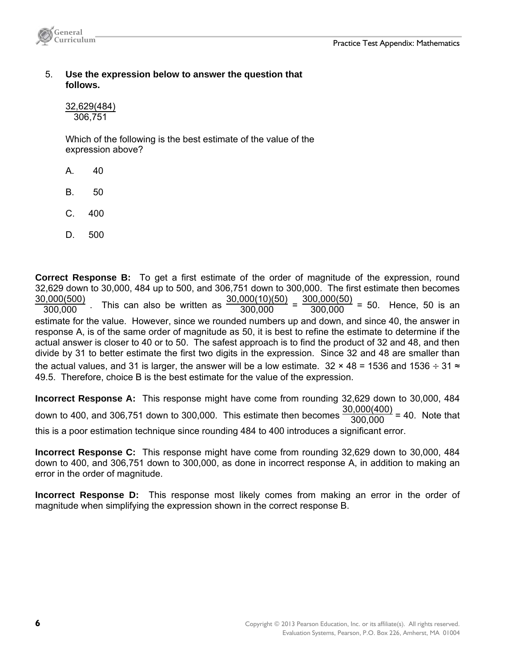

 5. **Use the expression below to answer the question that follows.** 

 32,629(484) 306,751

 Which of the following is the best estimate of the value of the expression above?

- A. 40
- B. 50
- C. 400
- D. 500

**Correct Response B:** To get a first estimate of the order of magnitude of the expression, round 32,629 down to 30,000, 484 up to 500, and 306,751 down to 300,000. The first estimate then becomes 30,000(500)  $\frac{300,0000}{300,000}$ . This can also be written as  $\frac{30,00000000}{300,000}$  $\frac{30,000(10)(50)}{300.000} = \frac{300,000(50)}{300.000}$  $= 50$ . Hence, 50 is an estimate for the value. However, since we rounded numbers up and down, and since 40, the answer in response A, is of the same order of magnitude as 50, it is best to refine the estimate to determine if the actual answer is closer to 40 or to 50. The safest approach is to find the product of 32 and 48, and then divide by 31 to better estimate the first two digits in the expression. Since 32 and 48 are smaller than the actual values, and 31 is larger, the answer will be a low estimate.  $32 \times 48 = 1536$  and  $1536 \div 31 \approx$ 49.5. Therefore, choice B is the best estimate for the value of the expression.

**Incorrect Response A:** This response might have come from rounding 32,629 down to 30,000, 484 down to 400, and 306,751 down to 300,000. This estimate then becomes  $\frac{30,000(400)}{300,000}$  $\frac{30,000(400)}{200,000}$  = 40. Note that this is a poor estimation technique since rounding 484 to 400 introduces a significant error.

**Incorrect Response C:** This response might have come from rounding 32,629 down to 30,000, 484 down to 400, and 306,751 down to 300,000, as done in incorrect response A, in addition to making an error in the order of magnitude.

**Incorrect Response D:** This response most likely comes from making an error in the order of magnitude when simplifying the expression shown in the correct response B.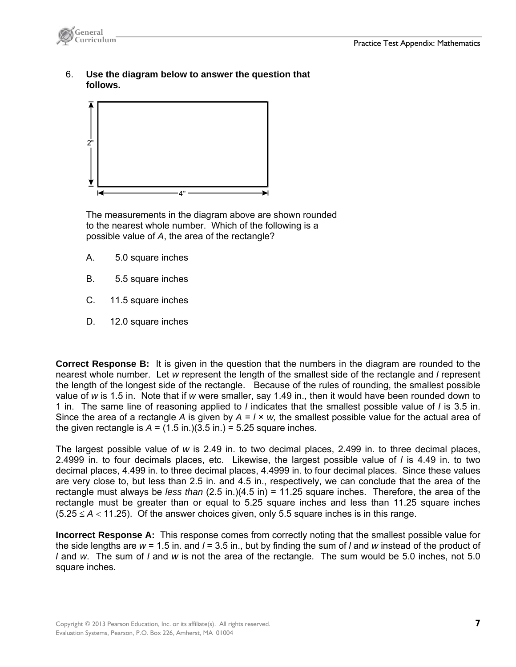

 6. **Use the diagram below to answer the question that follows.**



 The measurements in the diagram above are shown rounded to the nearest whole number. Which of the following is a possible value of *A*, the area of the rectangle?

- A. 5.0 square inches
- B. 5.5 square inches
- C. 11.5 square inches
- D. 12.0 square inches

**Correct Response B:** It is given in the question that the numbers in the diagram are rounded to the nearest whole number. Let *w* represent the length of the smallest side of the rectangle and *l* represent the length of the longest side of the rectangle. Because of the rules of rounding, the smallest possible value of *w* is 1.5 in. Note that if *w* were smaller, say 1.49 in., then it would have been rounded down to 1 in. The same line of reasoning applied to *l* indicates that the smallest possible value of *l* is 3.5 in. Since the area of a rectangle *A* is given by  $A = I \times w$ , the smallest possible value for the actual area of the given rectangle is  $A = (1.5 \text{ in.})(3.5 \text{ in.}) = 5.25$  square inches.

The largest possible value of *w* is 2.49 in. to two decimal places, 2.499 in. to three decimal places, 2.4999 in. to four decimals places, etc. Likewise, the largest possible value of *l* is 4.49 in. to two decimal places, 4.499 in. to three decimal places, 4.4999 in. to four decimal places. Since these values are very close to, but less than 2.5 in. and 4.5 in., respectively, we can conclude that the area of the rectangle must always be *less than* (2.5 in.)(4.5 in) = 11.25 square inches. Therefore, the area of the rectangle must be greater than or equal to 5.25 square inches and less than 11.25 square inches  $(5.25 \le A < 11.25)$ . Of the answer choices given, only 5.5 square inches is in this range.

**Incorrect Response A:** This response comes from correctly noting that the smallest possible value for the side lengths are *w* = 1.5 in. and *l* = 3.5 in., but by finding the sum of *l* and *w* instead of the product of *l* and *w*. The sum of *l* and *w* is not the area of the rectangle. The sum would be 5.0 inches, not 5.0 square inches.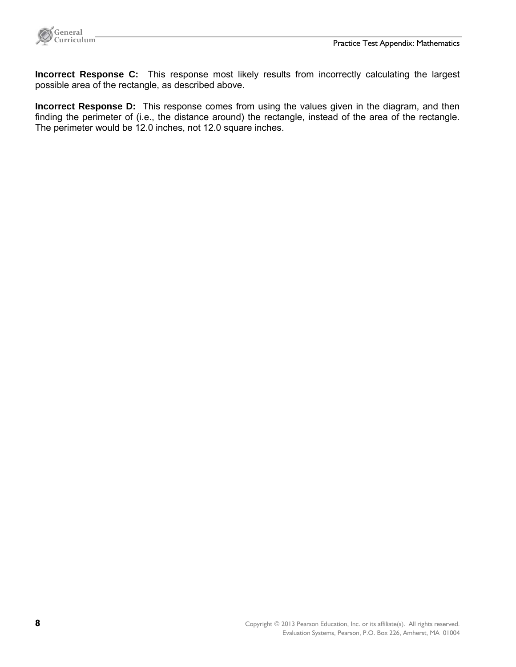

**Incorrect Response C:** This response most likely results from incorrectly calculating the largest possible area of the rectangle, as described above.

**Incorrect Response D:** This response comes from using the values given in the diagram, and then finding the perimeter of (i.e., the distance around) the rectangle, instead of the area of the rectangle. The perimeter would be 12.0 inches, not 12.0 square inches.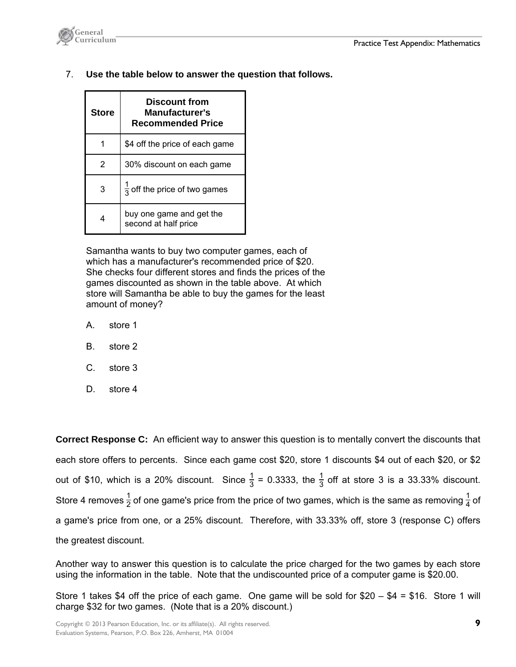

7. **Use the table below to answer the question that follows.** 

| <b>Store</b> | Discount from<br>Manufacturer's<br><b>Recommended Price</b> |
|--------------|-------------------------------------------------------------|
| 1            | \$4 off the price of each game                              |
| 2            | 30% discount on each game                                   |
| 3            | $\frac{1}{2}$ off the price of two games                    |
| 4            | buy one game and get the<br>second at half price            |

 Samantha wants to buy two computer games, each of which has a manufacturer's recommended price of \$20. She checks four different stores and finds the prices of the games discounted as shown in the table above. At which store will Samantha be able to buy the games for the least amount of money?

- A. store 1
- B. store 2
- C. store 3
- D. store 4

**Correct Response C:** An efficient way to answer this question is to mentally convert the discounts that each store offers to percents. Since each game cost \$20, store 1 discounts \$4 out of each \$20, or \$2 out of \$10, which is a 20% discount. Since  $\frac{1}{3}$  = 0.3333, the  $\frac{1}{3}$  off at store 3 is a 33.33% discount. Store 4 removes  $\frac{1}{2}$  of one game's price from the price of two games, which is the same as removing  $\frac{1}{4}$  of a game's price from one, or a 25% discount. Therefore, with 33.33% off, store 3 (response C) offers the greatest discount.

Another way to answer this question is to calculate the price charged for the two games by each store using the information in the table. Note that the undiscounted price of a computer game is \$20.00.

Store 1 takes \$4 off the price of each game. One game will be sold for  $$20 - $4 = $16$ . Store 1 will charge \$32 for two games. (Note that is a 20% discount.)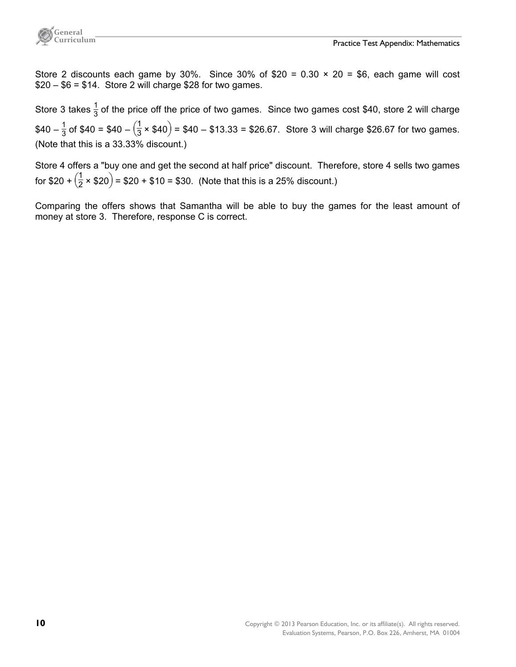

Store 2 discounts each game by 30%. Since 30% of  $$20 = 0.30 \times 20 = $6$ , each game will cost  $$20 - $6 = $14$ . Store 2 will charge \$28 for two games.

Store 3 takes  $\frac{1}{3}$  of the price off the price of two games. Since two games cost \$40, store 2 will charge  $$40 - \frac{1}{3}$  of \$40 = \$40 -  $(\frac{1}{3} \times $40)$  = \$40 - \$13.33 = \$26.67. Store 3 will charge \$26.67 for two games. (Note that this is a 33.33% discount.)

Store 4 offers a "buy one and get the second at half price" discount. Therefore, store 4 sells two games for \$20 +  $(\frac{1}{2} \times $20)$  = \$20 + \$10 = \$30. (Note that this is a 25% discount.)

Comparing the offers shows that Samantha will be able to buy the games for the least amount of money at store 3. Therefore, response C is correct.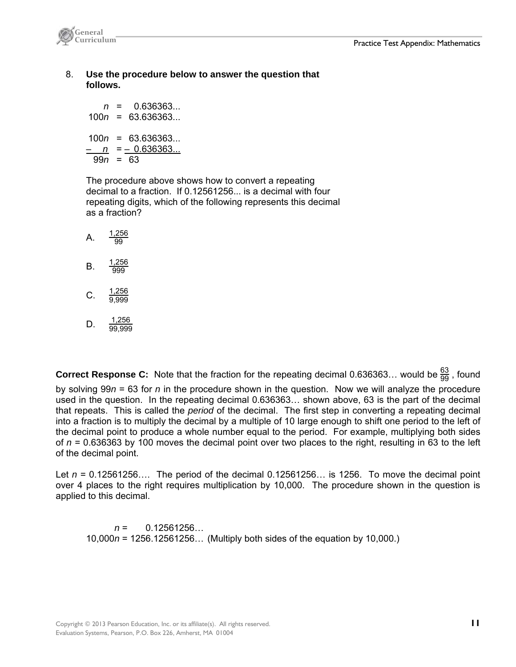

 8. **Use the procedure below to answer the question that follows.**

 *n* = 0.636363... 100*n* = 63.636363... 100*n* = 63.636363... – *n* = – 0.636363... 99*n* = 63

 The procedure above shows how to convert a repeating decimal to a fraction. If 0.12561256... is a decimal with four repeating digits, which of the following represents this decimal as a fraction?

- A.  $\frac{1,256}{20}$  $\overline{99}$  $B. \frac{1,256}{0}$ 999 C.  $\frac{1,256}{0,000}$ 9,999
- D.  $\frac{1,256}{00,006}$ 99,999

**Correct Response C:** Note that the fraction for the repeating decimal 0.636363... would be  $\frac{63}{99}$  , found

by solving 99*n* = 63 for *n* in the procedure shown in the question. Now we will analyze the procedure used in the question. In the repeating decimal 0.636363… shown above, 63 is the part of the decimal that repeats. This is called the *period* of the decimal. The first step in converting a repeating decimal into a fraction is to multiply the decimal by a multiple of 10 large enough to shift one period to the left of the decimal point to produce a whole number equal to the period. For example, multiplying both sides of *n* = 0.636363 by 100 moves the decimal point over two places to the right, resulting in 63 to the left of the decimal point.

Let *n* = 0.12561256…. The period of the decimal 0.12561256… is 1256. To move the decimal point over 4 places to the right requires multiplication by 10,000. The procedure shown in the question is applied to this decimal.

 *n* = 0.12561256… 10,000*n* = 1256.12561256… (Multiply both sides of the equation by 10,000.)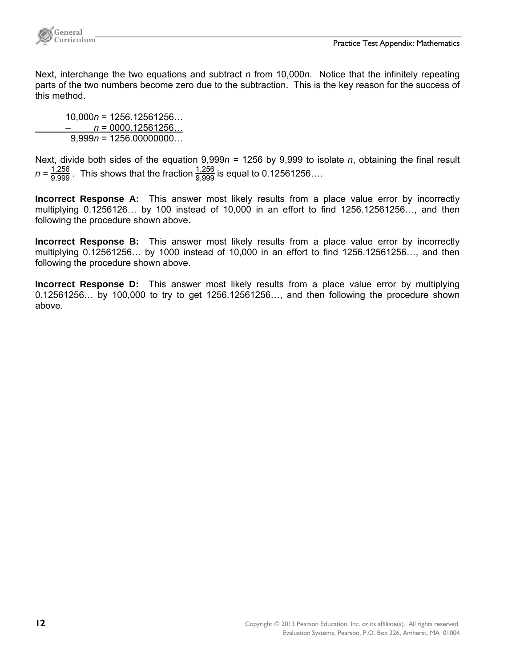

Next, interchange the two equations and subtract *n* from 10,000*n*. Notice that the infinitely repeating parts of the two numbers become zero due to the subtraction. This is the key reason for the success of this method.

 10,000*n* = 1256.12561256… – *n* = 0000.12561256… 9,999*n* = 1256.00000000…

Next, divide both sides of the equation 9,999*n* = 1256 by 9,999 to isolate *n*, obtaining the final result  $n = \frac{1,256}{9,999}$ . This shows that the fraction  $\frac{1,256}{9,999}$  is equal to 0.12561256....

**Incorrect Response A:** This answer most likely results from a place value error by incorrectly multiplying 0.1256126… by 100 instead of 10,000 in an effort to find 1256.12561256…, and then following the procedure shown above.

**Incorrect Response B:** This answer most likely results from a place value error by incorrectly multiplying 0.12561256… by 1000 instead of 10,000 in an effort to find 1256.12561256…, and then following the procedure shown above.

**Incorrect Response D:** This answer most likely results from a place value error by multiplying 0.12561256… by 100,000 to try to get 1256.12561256…, and then following the procedure shown above.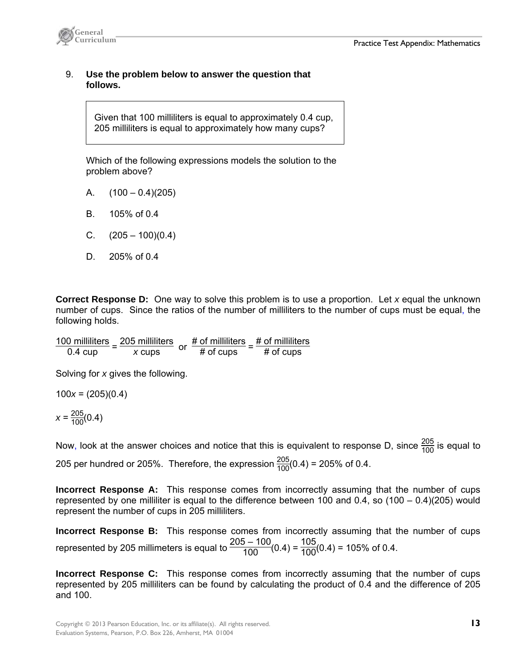

#### 9. **Use the problem below to answer the question that follows.**

Given that 100 milliliters is equal to approximately 0.4 cup, 205 milliliters is equal to approximately how many cups?

 Which of the following expressions models the solution to the problem above?

- A.  $(100 0.4)(205)$
- B. 105% of 0.4
- C.  $(205 100)(0.4)$
- D. 205% of 0.4

**Correct Response D:** One way to solve this problem is to use a proportion. Let *x* equal the unknown number of cups. Since the ratios of the number of milliliters to the number of cups must be equal, the following holds.

 $\frac{100}{0.4}$  milliliters =  $\frac{205}{x}$  cups or  $\frac{\text{\# of milliliters}}{\text{\# of cups}}$  =  $\frac{\text{\# of milliliters}}{\text{\# of cups}}$ # of cups

Solving for *x* gives the following.

100*x* = (205)(0.4)

$$
x = \frac{205}{100}(0.4)
$$

Now, look at the answer choices and notice that this is equivalent to response D, since  $\frac{205}{100}$  is equal to 205 per hundred or 205%. Therefore, the expression  $\frac{205}{100}(0.4)$  = 205% of 0.4.

**Incorrect Response A:** This response comes from incorrectly assuming that the number of cups represented by one milliliter is equal to the difference between 100 and 0.4, so (100 – 0.4)(205) would represent the number of cups in 205 milliliters.

**Incorrect Response B:** This response comes from incorrectly assuming that the number of cups represented by 205 millimeters is equal to  $\frac{205-100}{100}(0.4) = \frac{105}{100}(0.4) = 105\%$  of 0.4.

**Incorrect Response C:** This response comes from incorrectly assuming that the number of cups represented by 205 milliliters can be found by calculating the product of 0.4 and the difference of 205 and 100.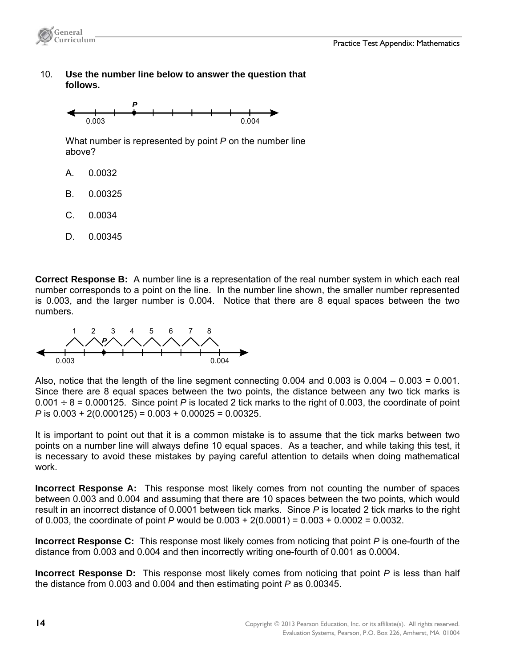

 10. **Use the number line below to answer the question that follows.**



 What number is represented by point *P* on the number line above?

- A. 0.0032
- B. 0.00325
- C. 0.0034
- D. 0.00345

**Correct Response B:** A number line is a representation of the real number system in which each real number corresponds to a point on the line. In the number line shown, the smaller number represented is 0.003, and the larger number is 0.004. Notice that there are 8 equal spaces between the two numbers.



Also, notice that the length of the line segment connecting  $0.004$  and  $0.003$  is  $0.004 - 0.003 = 0.001$ . Since there are 8 equal spaces between the two points, the distance between any two tick marks is  $0.001 \div 8 = 0.000125$ . Since point *P* is located 2 tick marks to the right of 0.003, the coordinate of point *P* is 0.003 + 2(0.000125) = 0.003 + 0.00025 = 0.00325.

It is important to point out that it is a common mistake is to assume that the tick marks between two points on a number line will always define 10 equal spaces. As a teacher, and while taking this test, it is necessary to avoid these mistakes by paying careful attention to details when doing mathematical work.

**Incorrect Response A:** This response most likely comes from not counting the number of spaces between 0.003 and 0.004 and assuming that there are 10 spaces between the two points, which would result in an incorrect distance of 0.0001 between tick marks. Since *P* is located 2 tick marks to the right of 0.003, the coordinate of point *P* would be 0.003 + 2(0.0001) = 0.003 + 0.0002 = 0.0032.

**Incorrect Response C:** This response most likely comes from noticing that point *P* is one-fourth of the distance from 0.003 and 0.004 and then incorrectly writing one-fourth of 0.001 as 0.0004.

**Incorrect Response D:** This response most likely comes from noticing that point *P* is less than half the distance from 0.003 and 0.004 and then estimating point *P* as 0.00345.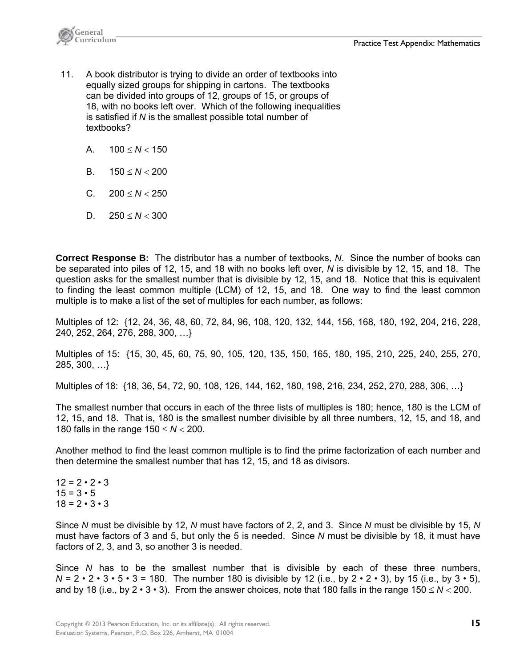

- 11. A book distributor is trying to divide an order of textbooks into equally sized groups for shipping in cartons. The textbooks can be divided into groups of 12, groups of 15, or groups of 18, with no books left over. Which of the following inequalities is satisfied if *N* is the smallest possible total number of textbooks?
	- A.  $100 \leq N \leq 150$
	- B.  $150 \le N \le 200$
	- C.  $200 \leq N < 250$
	- D.  $250 \leq N < 300$

**Correct Response B:** The distributor has a number of textbooks, *N*. Since the number of books can be separated into piles of 12, 15, and 18 with no books left over, *N* is divisible by 12, 15, and 18. The question asks for the smallest number that is divisible by 12, 15, and 18. Notice that this is equivalent to finding the least common multiple (LCM) of 12, 15, and 18. One way to find the least common multiple is to make a list of the set of multiples for each number, as follows:

Multiples of 12: {12, 24, 36, 48, 60, 72, 84, 96, 108, 120, 132, 144, 156, 168, 180, 192, 204, 216, 228, 240, 252, 264, 276, 288, 300, …}

Multiples of 15: {15, 30, 45, 60, 75, 90, 105, 120, 135, 150, 165, 180, 195, 210, 225, 240, 255, 270, 285, 300, …}

Multiples of 18: {18, 36, 54, 72, 90, 108, 126, 144, 162, 180, 198, 216, 234, 252, 270, 288, 306, …}

The smallest number that occurs in each of the three lists of multiples is 180; hence, 180 is the LCM of 12, 15, and 18. That is, 180 is the smallest number divisible by all three numbers, 12, 15, and 18, and 180 falls in the range  $150 \leq N < 200$ .

Another method to find the least common multiple is to find the prime factorization of each number and then determine the smallest number that has 12, 15, and 18 as divisors.

 $12 = 2 \cdot 2 \cdot 3$  $15 = 3 \cdot 5$  $18 = 2 \cdot 3 \cdot 3$ 

Since *N* must be divisible by 12, *N* must have factors of 2, 2, and 3. Since *N* must be divisible by 15, *N* must have factors of 3 and 5, but only the 5 is needed. Since *N* must be divisible by 18, it must have factors of 2, 3, and 3, so another 3 is needed.

Since *N* has to be the smallest number that is divisible by each of these three numbers,  $N = 2 \cdot 2 \cdot 3 \cdot 5 \cdot 3 = 180$ . The number 180 is divisible by 12 (i.e., by  $2 \cdot 2 \cdot 3$ ), by 15 (i.e., by  $3 \cdot 5$ ), and by 18 (i.e., by  $2 \cdot 3 \cdot 3$ ). From the answer choices, note that 180 falls in the range 150  $\leq N < 200$ .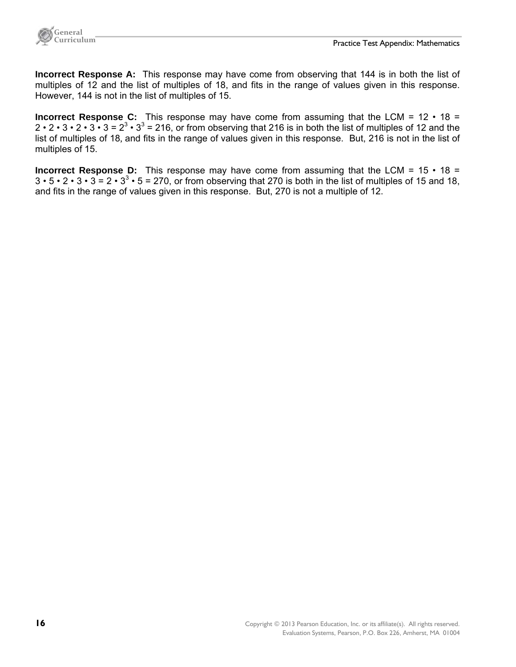

**Incorrect Response A:** This response may have come from observing that 144 is in both the list of multiples of 12 and the list of multiples of 18, and fits in the range of values given in this response. However, 144 is not in the list of multiples of 15.

**Incorrect Response C:** This response may have come from assuming that the LCM = 12 • 18 =  $2 \cdot 2 \cdot 3 \cdot 2 \cdot 3 \cdot 3 = 2^3 \cdot 3^3 = 216$ , or from observing that 216 is in both the list of multiples of 12 and the list of multiples of 18, and fits in the range of values given in this response. But, 216 is not in the list of multiples of 15.

**Incorrect Response D:** This response may have come from assuming that the LCM = 15 • 18 =  $3 \cdot 5 \cdot 2 \cdot 3 \cdot 3 = 2 \cdot 3^3 \cdot 5 = 270$ , or from observing that 270 is both in the list of multiples of 15 and 18, and fits in the range of values given in this response. But, 270 is not a multiple of 12.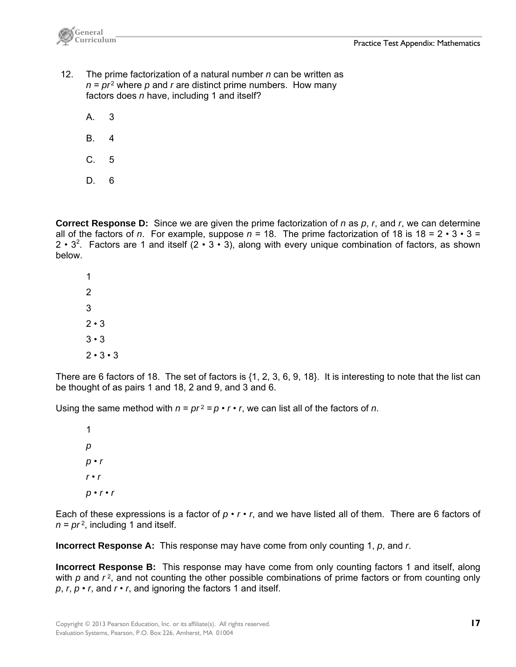

- 12. The prime factorization of a natural number *n* can be written as  $n = pr^2$  where p and r are distinct prime numbers. How many factors does *n* have, including 1 and itself?
	- A. 3
	- B. 4
	- C. 5
	- D. 6

**Correct Response D:** Since we are given the prime factorization of *n* as *p*, *r*, and *r*, we can determine all of the factors of *n*. For example, suppose  $n = 18$ . The prime factorization of 18 is  $18 = 2 \cdot 3 \cdot 3 =$ 2 •  $3^2$ . Factors are 1 and itself (2 • 3 • 3), along with every unique combination of factors, as shown below.

There are 6 factors of 18. The set of factors is {1, 2, 3, 6, 9, 18}. It is interesting to note that the list can be thought of as pairs 1 and 18, 2 and 9, and 3 and 6.

Using the same method with  $n = pr^2 = p \cdot r \cdot r$ , we can list all of the factors of *n*.

 1  *p p* • *r*   $r \cdot r$  *p* • *r* • *r* 

Each of these expressions is a factor of  $p \cdot r \cdot r$ , and we have listed all of them. There are 6 factors of  $n = pr<sup>2</sup>$ , including 1 and itself.

**Incorrect Response A:** This response may have come from only counting 1, *p*, and *r*.

**Incorrect Response B:** This response may have come from only counting factors 1 and itself, along with p and  $r^2$ , and not counting the other possible combinations of prime factors or from counting only *p*, *r*, *p* • *r*, and *r* • *r*, and ignoring the factors 1 and itself.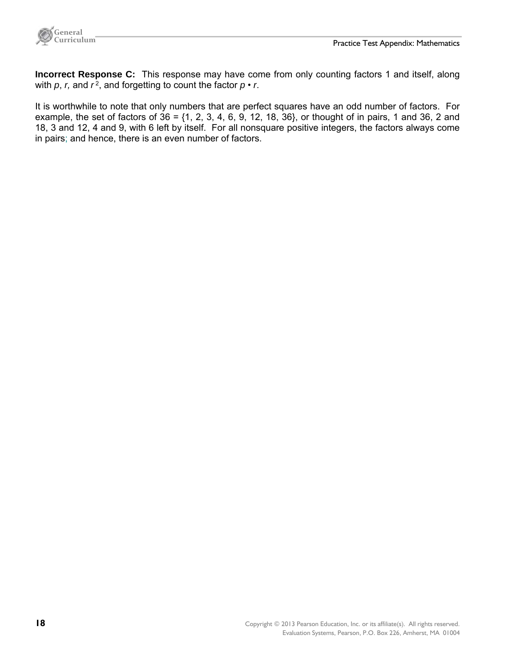

**Incorrect Response C:** This response may have come from only counting factors 1 and itself, along with  $p$ ,  $r$ , and  $r<sup>2</sup>$ , and forgetting to count the factor  $p \cdot r$ .

It is worthwhile to note that only numbers that are perfect squares have an odd number of factors. For example, the set of factors of  $36 = \{1, 2, 3, 4, 6, 9, 12, 18, 36\}$ , or thought of in pairs, 1 and 36, 2 and 18, 3 and 12, 4 and 9, with 6 left by itself. For all nonsquare positive integers, the factors always come in pairs; and hence, there is an even number of factors.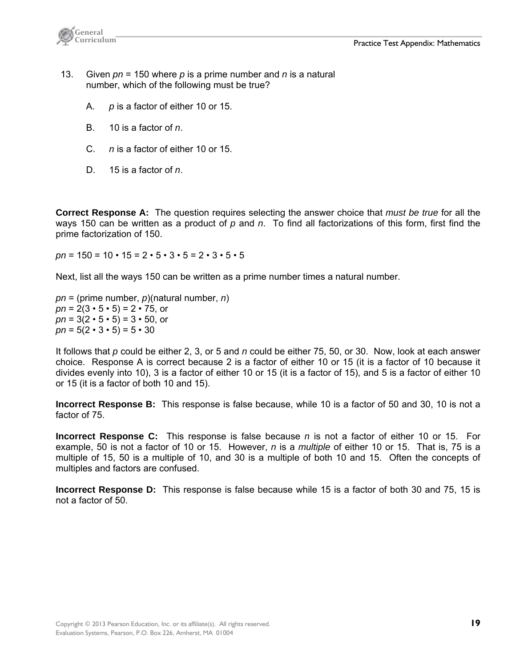

- 13. Given *pn* = 150 where *p* is a prime number and *n* is a natural number, which of the following must be true?
	- A. *p* is a factor of either 10 or 15.
	- B. 10 is a factor of *n*.
	- C. *n* is a factor of either 10 or 15.
	- D. 15 is a factor of *n*.

**Correct Response A:** The question requires selecting the answer choice that *must be true* for all the ways 150 can be written as a product of *p* and *n*. To find all factorizations of this form, first find the prime factorization of 150.

 $pn = 150 = 10 \cdot 15 = 2 \cdot 5 \cdot 3 \cdot 5 = 2 \cdot 3 \cdot 5 \cdot 5$ 

Next, list all the ways 150 can be written as a prime number times a natural number.

*pn* = (prime number, *p*)(natural number, *n*)  $pn = 2(3 \cdot 5 \cdot 5) = 2 \cdot 75$ , or  $pn = 3(2 \cdot 5 \cdot 5) = 3 \cdot 50$ , or  $pn = 5(2 \cdot 3 \cdot 5) = 5 \cdot 30$ 

It follows that *p* could be either 2, 3, or 5 and *n* could be either 75, 50, or 30. Now, look at each answer choice. Response A is correct because 2 is a factor of either 10 or 15 (it is a factor of 10 because it divides evenly into 10), 3 is a factor of either 10 or 15 (it is a factor of 15), and 5 is a factor of either 10 or 15 (it is a factor of both 10 and 15).

**Incorrect Response B:** This response is false because, while 10 is a factor of 50 and 30, 10 is not a factor of 75.

**Incorrect Response C:** This response is false because *n* is not a factor of either 10 or 15. For example, 50 is not a factor of 10 or 15. However, *n* is a *multiple* of either 10 or 15. That is, 75 is a multiple of 15, 50 is a multiple of 10, and 30 is a multiple of both 10 and 15. Often the concepts of multiples and factors are confused.

**Incorrect Response D:** This response is false because while 15 is a factor of both 30 and 75, 15 is not a factor of 50.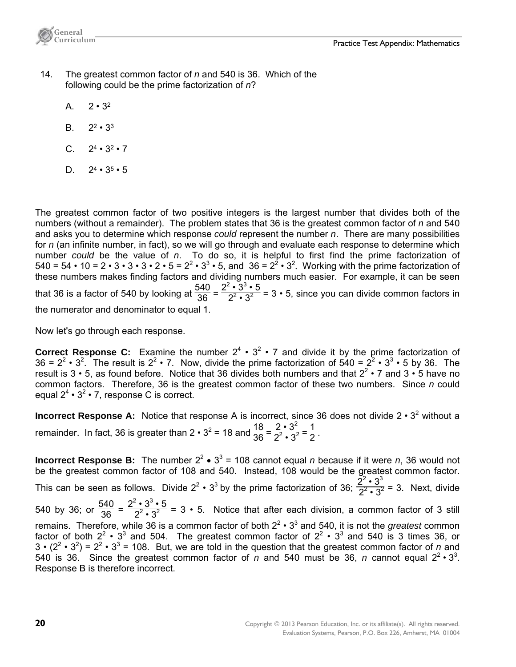

- 14. The greatest common factor of *n* and 540 is 36. Which of the following could be the prime factorization of *n*?
	- A.  $2 \cdot 3^2$
	- B.  $2^2 \cdot 3^3$
	- C.  $2^4 \cdot 3^2 \cdot 7$
	- D.  $2^4 \cdot 3^5 \cdot 5$

The greatest common factor of two positive integers is the largest number that divides both of the numbers (without a remainder). The problem states that 36 is the greatest common factor of *n* and 540 and asks you to determine which response *could* represent the number *n*. There are many possibilities for *n* (an infinite number, in fact), so we will go through and evaluate each response to determine which number *could* be the value of *n*. To do so, it is helpful to first find the prime factorization of 540 = 54 • 10 = 2 • 3 • 3 • 3 • 2 • 5 =  $2^2$  • 3<sup>3</sup> • 5, and 36 =  $2^2$  • 3<sup>2</sup>. Working with the prime factorization of these numbers makes finding factors and dividing numbers much easier. For example, it can be seen that 36 is a factor of 540 by looking at  $\frac{540}{36}$  =  $2^2 \cdot 3^3 \cdot 5$  $2^2 \cdot 3^2 = 3 \cdot 5$ , since you can divide common factors in the numerator and denominator to equal 1.

Now let's go through each response.

**Correct Response C:** Examine the number  $2^4 \cdot 3^2 \cdot 7$  and divide it by the prime factorization of 36 =  $2^2 \cdot 3^2$ . The result is  $2^2 \cdot 7$ . Now, divide the prime factorization of  $540 = 2^2 \cdot 3^3 \cdot 5$  by 36. The result is 3  $\cdot$  5, as found before. Notice that 36 divides both numbers and that  $2^2 \cdot 7$  and 3  $\cdot$  5 have no common factors. Therefore, 36 is the greatest common factor of these two numbers. Since *n* could equal  $2^4 \cdot 3^2 \cdot 7$ , response C is correct.

**Incorrect Response A:** Notice that response A is incorrect, since 36 does not divide  $2 \cdot 3^2$  without a remainder. In fact, 36 is greater than 2  $\cdot$  3<sup>2</sup> = 18 and  $\frac{18}{36}$  =  $2 \cdot 3^2$  $\frac{2 \cdot 3^2}{2^2 \cdot 3^2} = \frac{1}{2}$ .

**Incorrect Response B:** The number  $2^2 \cdot 3^3 = 108$  cannot equal *n* because if it were *n*, 36 would not be the greatest common factor of 108 and 540. Instead, 108 would be the greatest common factor. This can be seen as follows. Divide 2<sup>2</sup> • 3<sup>3</sup> by the prime factorization of 36;  $\frac{2^2 \cdot 3^3}{2^2 \cdot 3^2}$  $\frac{2^2 \cdot 3^2}{2^2 \cdot 3^2}$  = 3. Next, divide 540 by 36; or  $\frac{540}{36}$  =  $2^2 \cdot 3^3 \cdot 5$  $2^{\frac{3}{2}\cdot 3^2}$  = 3 • 5. Notice that after each division, a common factor of 3 still remains. Therefore, while 36 is a common factor of both  $2^2 \cdot 3^3$  and 540, it is not the *greatest* common factor of both  $2^2 \cdot 3^3$  and 504. The greatest common factor of  $2^2 \cdot 3^3$  and 540 is 3 times 36, or  $3 \cdot (2^2 \cdot 3^2) = 2^2 \cdot 3^3 = 108$ . But, we are told in the question that the greatest common factor of *n* and 540 is 36. Since the greatest common factor of *n* and 540 must be 36, *n* cannot equal  $2^2 \cdot 3^3$ . Response B is therefore incorrect.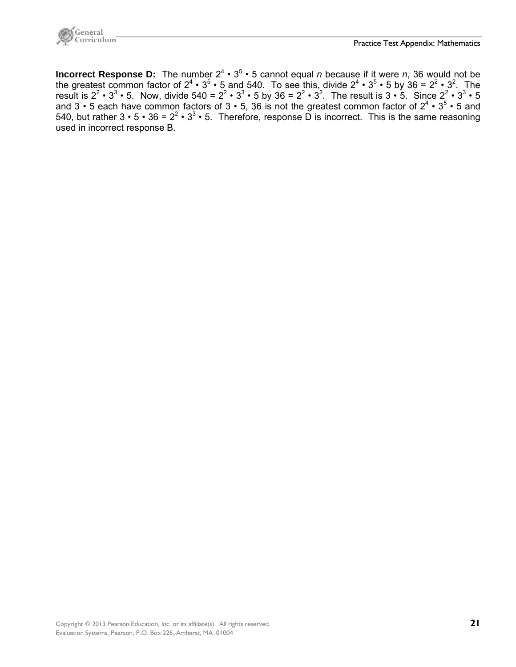

**Incorrect Response D:** The number  $2^4 \cdot 3^5 \cdot 5$  cannot equal *n* because if it were *n*, 36 would not be the greatest common factor of  $2^4 \cdot 3^5 \cdot 5$  and 540. To see this, divide  $2^4 \cdot 3^5 \cdot 5$  by 36 =  $2^2 \cdot 3^2$ . The result is  $2^2 \cdot 3^3 \cdot 5$ . Now, divide  $540 = 2^2 \cdot 3^3 \cdot 5$  by  $36 = 2^2 \cdot 3^2$ . The result is  $3 \cdot 5$ . Since  $2^2 \cdot 3^3 \cdot 5$ and 3 • 5 each have common factors of 3 • 5, 36 is not the greatest common factor of  $2^4 \cdot 3^5 \cdot 5$  and 540, but rather  $3 \cdot 5 \cdot 36 = 2^2 \cdot 3^3 \cdot 5$ . Therefore, response D is incorrect. This is the same reasoning used in incorrect response B.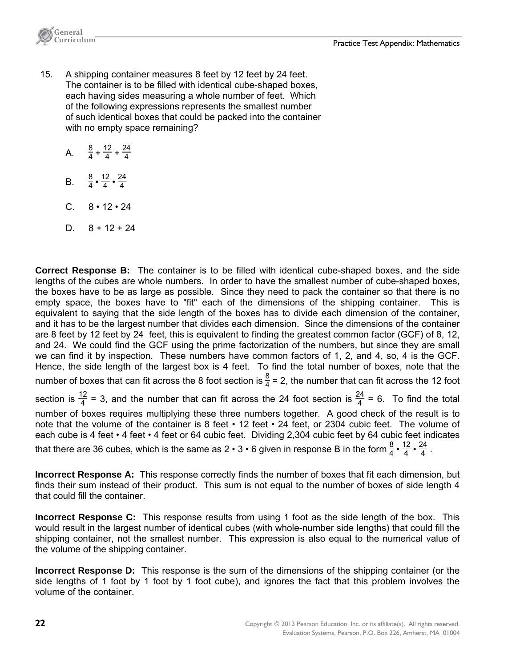

- 15. A shipping container measures 8 feet by 12 feet by 24 feet. The container is to be filled with identical cube-shaped boxes, each having sides measuring a whole number of feet. Which of the following expressions represents the smallest number of such identical boxes that could be packed into the container with no empty space remaining?
	- A.  $\frac{8}{4} + \frac{12}{4} + \frac{24}{4}$ 4
	- B.  $\frac{8}{4} \cdot \frac{12}{4} \cdot \frac{24}{4}$ 4
	- $C. 8 \cdot 12 \cdot 24$
	- D.  $8 + 12 + 24$

**Correct Response B:** The container is to be filled with identical cube-shaped boxes, and the side lengths of the cubes are whole numbers. In order to have the smallest number of cube-shaped boxes, the boxes have to be as large as possible. Since they need to pack the container so that there is no empty space, the boxes have to "fit" each of the dimensions of the shipping container. This is equivalent to saying that the side length of the boxes has to divide each dimension of the container, and it has to be the largest number that divides each dimension. Since the dimensions of the container are 8 feet by 12 feet by 24 feet, this is equivalent to finding the greatest common factor (GCF) of 8, 12, and 24. We could find the GCF using the prime factorization of the numbers, but since they are small we can find it by inspection. These numbers have common factors of 1, 2, and 4, so, 4 is the GCF. Hence, the side length of the largest box is 4 feet. To find the total number of boxes, note that the number of boxes that can fit across the 8 foot section is  $\frac{8}{4}$  = 2, the number that can fit across the 12 foot section is  $\frac{12}{4}$  = 3, and the number that can fit across the 24 foot section is  $\frac{24}{4}$  = 6. To find the total number of boxes requires multiplying these three numbers together. A good check of the result is to note that the volume of the container is 8 feet • 12 feet • 24 feet, or 2304 cubic feet. The volume of each cube is 4 feet • 4 feet • 4 feet or 64 cubic feet. Dividing 2,304 cubic feet by 64 cubic feet indicates that there are 36 cubes, which is the same as 2 • 3 • 6 given in response B in the form  $\frac{8}{4}$  •  $\frac{12}{4}$  •  $\frac{24}{4}$  .

**Incorrect Response A:** This response correctly finds the number of boxes that fit each dimension, but finds their sum instead of their product. This sum is not equal to the number of boxes of side length 4 that could fill the container.

**Incorrect Response C:** This response results from using 1 foot as the side length of the box. This would result in the largest number of identical cubes (with whole-number side lengths) that could fill the shipping container, not the smallest number. This expression is also equal to the numerical value of the volume of the shipping container.

**Incorrect Response D:** This response is the sum of the dimensions of the shipping container (or the side lengths of 1 foot by 1 foot by 1 foot cube), and ignores the fact that this problem involves the volume of the container.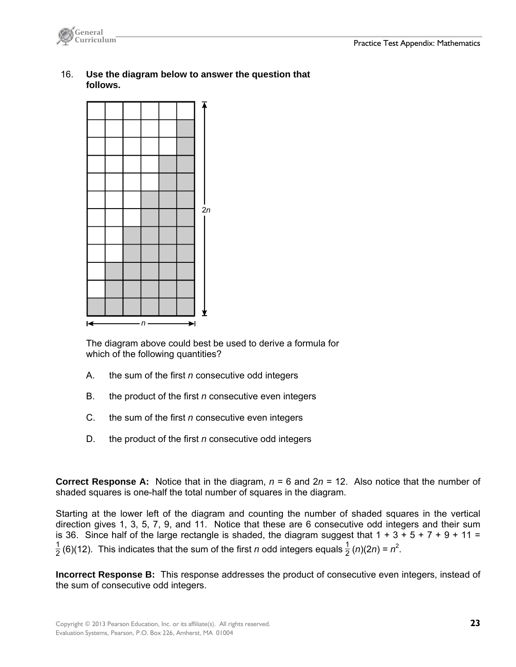

 16. **Use the diagram below to answer the question that follows.**



 The diagram above could best be used to derive a formula for which of the following quantities?

- A. the sum of the first *n* consecutive odd integers
- B. the product of the first *n* consecutive even integers
- C. the sum of the first *n* consecutive even integers
- D. the product of the first *n* consecutive odd integers

**Correct Response A:** Notice that in the diagram,  $n = 6$  and  $2n = 12$ . Also notice that the number of shaded squares is one-half the total number of squares in the diagram.

Starting at the lower left of the diagram and counting the number of shaded squares in the vertical direction gives 1, 3, 5, 7, 9, and 11. Notice that these are 6 consecutive odd integers and their sum is 36. Since half of the large rectangle is shaded, the diagram suggest that  $1 + 3 + 5 + 7 + 9 + 11 =$  $\frac{1}{2}$  (6)(12). This indicates that the sum of the first *n* odd integers equals  $\frac{1}{2}$  (*n*)(2*n*) =  $n^2$ .

**Incorrect Response B:** This response addresses the product of consecutive even integers, instead of the sum of consecutive odd integers.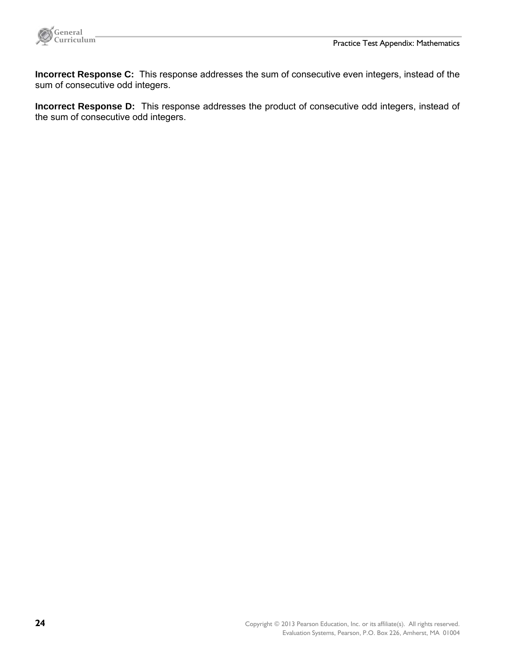

**Incorrect Response C:** This response addresses the sum of consecutive even integers, instead of the sum of consecutive odd integers.

**Incorrect Response D:** This response addresses the product of consecutive odd integers, instead of the sum of consecutive odd integers.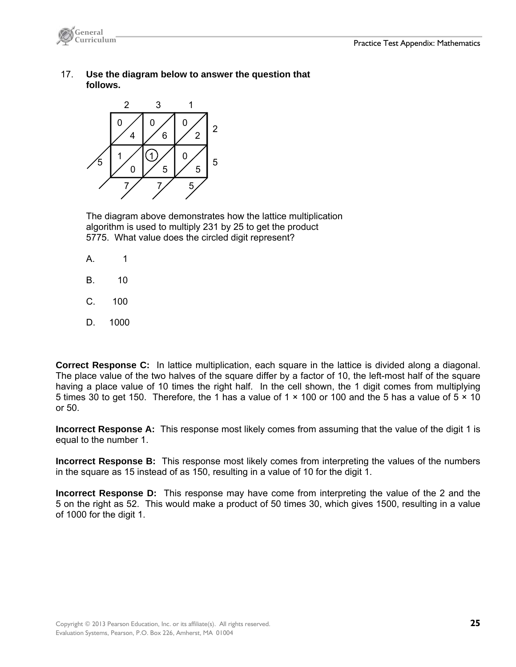

 17. **Use the diagram below to answer the question that follows.**



 The diagram above demonstrates how the lattice multiplication algorithm is used to multiply 231 by 25 to get the product 5775. What value does the circled digit represent?

- A. 1
- B. 10
- C. 100
- D. 1000

**Correct Response C:** In lattice multiplication, each square in the lattice is divided along a diagonal. The place value of the two halves of the square differ by a factor of 10, the left-most half of the square having a place value of 10 times the right half. In the cell shown, the 1 digit comes from multiplying 5 times 30 to get 150. Therefore, the 1 has a value of 1  $\times$  100 or 100 and the 5 has a value of 5  $\times$  10 or 50.

**Incorrect Response A:** This response most likely comes from assuming that the value of the digit 1 is equal to the number 1.

**Incorrect Response B:** This response most likely comes from interpreting the values of the numbers in the square as 15 instead of as 150, resulting in a value of 10 for the digit 1.

**Incorrect Response D:** This response may have come from interpreting the value of the 2 and the 5 on the right as 52. This would make a product of 50 times 30, which gives 1500, resulting in a value of 1000 for the digit 1.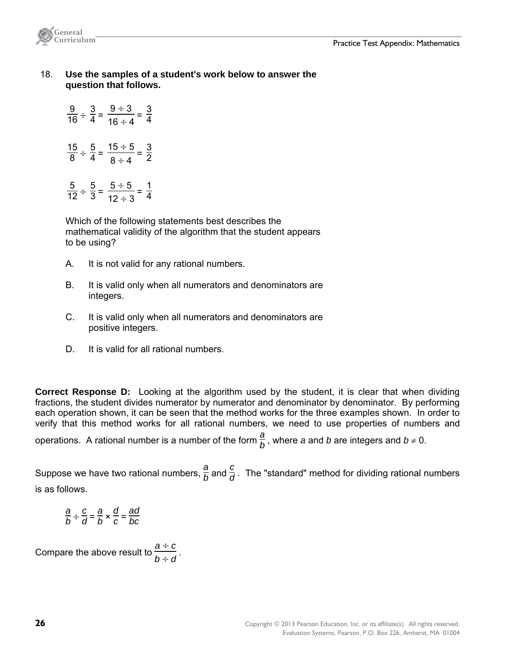

 18. **Use the samples of a student's work below to answer the question that follows.** 

 $\frac{9}{16} \div \frac{3}{4} =$  $9 \div 3$  $\frac{9 \div 3}{16 \div 4} = \frac{3}{4}$ 4  $\frac{15}{8} \div \frac{5}{4} =$  $15 \div 5$  $\frac{15 \div 5}{8 \div 4} = \frac{3}{2}$ 2

$$
\frac{5}{12} \div \frac{5}{3} = \frac{5 \div 5}{12 \div 3} = \frac{1}{4}
$$

 Which of the following statements best describes the mathematical validity of the algorithm that the student appears to be using?

- A. It is not valid for any rational numbers.
- B. It is valid only when all numerators and denominators are integers.
- C. It is valid only when all numerators and denominators are positive integers.
- D. It is valid for all rational numbers.

**Correct Response D:** Looking at the algorithm used by the student, it is clear that when dividing fractions, the student divides numerator by numerator and denominator by denominator. By performing each operation shown, it can be seen that the method works for the three examples shown. In order to verify that this method works for all rational numbers, we need to use properties of numbers and

operations. A rational number is a number of the form  $\frac{a}{b}$ , where *a* and *b* are integers and  $b \neq 0$ .

Suppose we have two rational numbers,  $\frac{a}{b}$  and  $\frac{c}{d}$ . The "standard" method for dividing rational numbers is as follows.

$$
\frac{a}{b} \div \frac{c}{d} = \frac{a}{b} \times \frac{d}{c} = \frac{ad}{bc}
$$

Compare the above result to  $\frac{a \div c}{a}$  $\frac{a+1}{b+1}$ .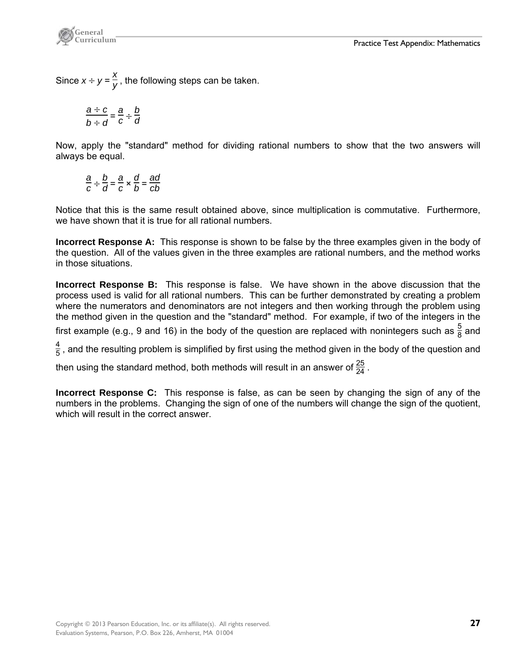

Since  $x \div y = \frac{x}{y}$ , the following steps can be taken.

$$
\frac{a \div c}{b \div d} = \frac{a}{c} \div \frac{b}{d}
$$

Now, apply the "standard" method for dividing rational numbers to show that the two answers will always be equal.

$$
\frac{a}{c} \div \frac{b}{d} = \frac{a}{c} \times \frac{d}{b} = \frac{ad}{cb}
$$

Notice that this is the same result obtained above, since multiplication is commutative. Furthermore, we have shown that it is true for all rational numbers.

**Incorrect Response A:** This response is shown to be false by the three examples given in the body of the question. All of the values given in the three examples are rational numbers, and the method works in those situations.

**Incorrect Response B:** This response is false. We have shown in the above discussion that the process used is valid for all rational numbers. This can be further demonstrated by creating a problem where the numerators and denominators are not integers and then working through the problem using the method given in the question and the "standard" method. For example, if two of the integers in the

first example (e.g., 9 and 16) in the body of the question are replaced with nonintegers such as  $\frac{5}{8}$  and

 $\frac{4}{5}$  , and the resulting problem is simplified by first using the method given in the body of the question and

then using the standard method, both methods will result in an answer of  $\frac{25}{24}$  .

**Incorrect Response C:** This response is false, as can be seen by changing the sign of any of the numbers in the problems. Changing the sign of one of the numbers will change the sign of the quotient, which will result in the correct answer.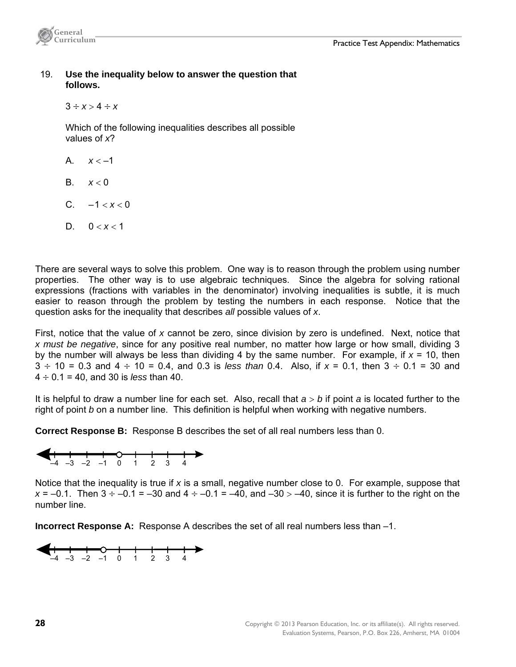

19. **Use the inequality below to answer the question that follows.** 

 $3 \div x > 4 \div x$ 

 Which of the following inequalities describes all possible values of *x*?

- A  $x < -1$
- B.  $x < 0$
- C.  $-1 < x < 0$
- D.  $0 < x < 1$

There are several ways to solve this problem. One way is to reason through the problem using number properties. The other way is to use algebraic techniques. Since the algebra for solving rational expressions (fractions with variables in the denominator) involving inequalities is subtle, it is much easier to reason through the problem by testing the numbers in each response. Notice that the question asks for the inequality that describes *all* possible values of *x*.

First, notice that the value of *x* cannot be zero, since division by zero is undefined. Next, notice that *x must be negative*, since for any positive real number, no matter how large or how small, dividing 3 by the number will always be less than dividing 4 by the same number. For example, if *x* = 10, then  $3 \div 10 = 0.3$  and  $4 \div 10 = 0.4$ , and 0.3 is *less than* 0.4. Also, if  $x = 0.1$ , then  $3 \div 0.1 = 30$  and  $4 \div 0.1 = 40$ , and 30 is *less* than 40.

It is helpful to draw a number line for each set. Also, recall that *a b* if point *a* is located further to the right of point *b* on a number line. This definition is helpful when working with negative numbers.

**Correct Response B:** Response B describes the set of all real numbers less than 0.



Notice that the inequality is true if *x* is a small, negative number close to 0. For example, suppose that  $x = -0.1$ . Then  $3 \div -0.1 = -30$  and  $4 \div -0.1 = -40$ , and  $-30 > -40$ , since it is further to the right on the number line.

**Incorrect Response A:** Response A describes the set of all real numbers less than –1.

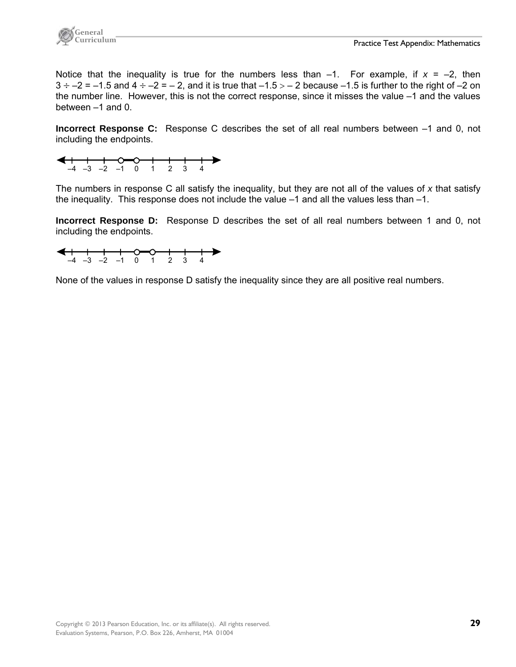

Notice that the inequality is true for the numbers less than  $-1$ . For example, if  $x = -2$ , then  $3 \div -2 = -1.5$  and  $4 \div -2 = -2$ , and it is true that  $-1.5 > -2$  because  $-1.5$  is further to the right of  $-2$  on the number line. However, this is not the correct response, since it misses the value –1 and the values between –1 and 0.

**Incorrect Response C:** Response C describes the set of all real numbers between –1 and 0, not including the endpoints.



The numbers in response C all satisfy the inequality, but they are not all of the values of *x* that satisfy the inequality. This response does not include the value –1 and all the values less than –1.

**Incorrect Response D:** Response D describes the set of all real numbers between 1 and 0, not including the endpoints.



None of the values in response D satisfy the inequality since they are all positive real numbers.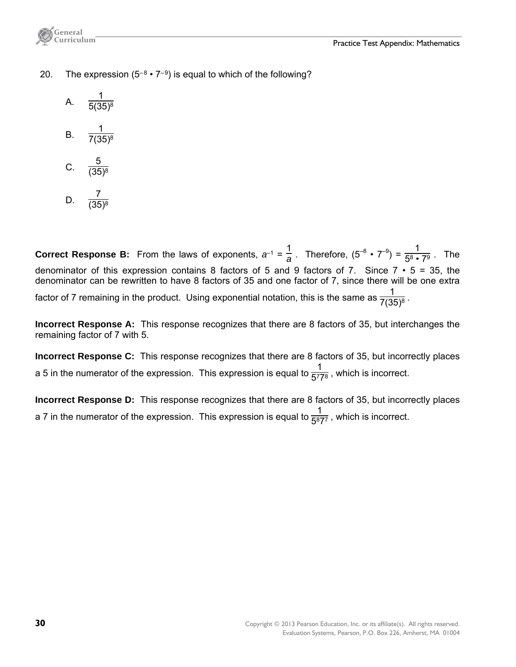

- 20. The expression  $(5^{-8} \cdot 7^{-9})$  is equal to which of the following?
	- A.  $\frac{1}{5(35)^8}$ B.  $\frac{1}{7(35)^8}$ C.  $\frac{5}{(35)^8}$
	- D.  $\frac{7}{(35)^8}$

**Correct Response B:** From the laws of exponents,  $a^{-1} = \frac{1}{a}$ . Therefore,  $(5^{-8} \cdot 7^{-9}) = \frac{1}{5^8 \cdot 7^9}$ . The denominator of this expression contains 8 factors of 5 and 9 factors of 7. Since  $7 \cdot 5 = 35$ , the denominator can be rewritten to have 8 factors of 35 and one factor of 7, since there will be one extra factor of 7 remaining in the product. Using exponential notation, this is the same as  $\frac{1}{7(35)^8}$  .

**Incorrect Response A:** This response recognizes that there are 8 factors of 35, but interchanges the remaining factor of 7 with 5.

**Incorrect Response C:** This response recognizes that there are 8 factors of 35, but incorrectly places a 5 in the numerator of the expression. This expression is equal to  $\frac{1}{5^{7}7^{8}}$ , which is incorrect.

**Incorrect Response D:** This response recognizes that there are 8 factors of 35, but incorrectly places a 7 in the numerator of the expression. This expression is equal to  $\frac{1}{5^{8}7^{7}}$ , which is incorrect.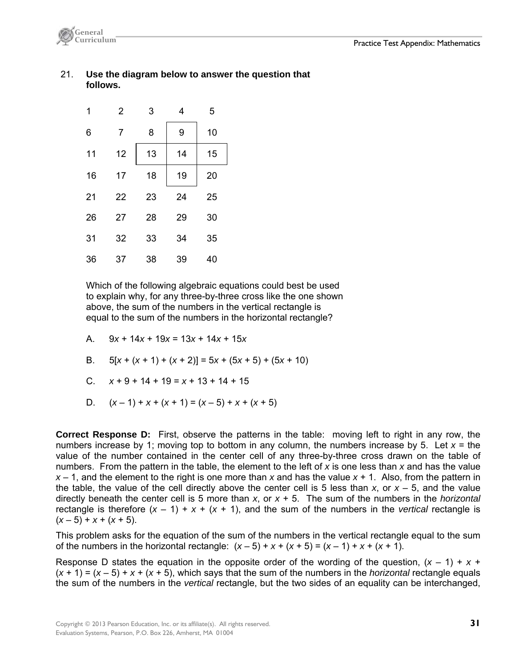

#### 21. **Use the diagram below to answer the question that follows.**



 Which of the following algebraic equations could best be used to explain why, for any three-by-three cross like the one shown above, the sum of the numbers in the vertical rectangle is equal to the sum of the numbers in the horizontal rectangle?

A. 
$$
9x + 14x + 19x = 13x + 14x + 15x
$$

B. 
$$
5[x + (x + 1) + (x + 2)] = 5x + (5x + 5) + (5x + 10)
$$

C. 
$$
x+9+14+19=x+13+14+15
$$

D. 
$$
(x-1) + x + (x + 1) = (x-5) + x + (x + 5)
$$

**Correct Response D:** First, observe the patterns in the table: moving left to right in any row, the numbers increase by 1; moving top to bottom in any column, the numbers increase by 5. Let  $x =$  the value of the number contained in the center cell of any three-by-three cross drawn on the table of numbers. From the pattern in the table, the element to the left of *x* is one less than *x* and has the value *x* – 1, and the element to the right is one more than *x* and has the value *x* + 1. Also, from the pattern in the table, the value of the cell directly above the center cell is 5 less than  $x$ , or  $x - 5$ , and the value directly beneath the center cell is 5 more than *x*, or *x* + 5. The sum of the numbers in the *horizontal* rectangle is therefore  $(x - 1) + x + (x + 1)$ , and the sum of the numbers in the *vertical* rectangle is  $(x-5) + x + (x+5)$ .

This problem asks for the equation of the sum of the numbers in the vertical rectangle equal to the sum of the numbers in the horizontal rectangle:  $(x-5) + x + (x+5) = (x-1) + x + (x+1)$ .

Response D states the equation in the opposite order of the wording of the question,  $(x - 1) + x +$  $(x + 1) = (x - 5) + x + (x + 5)$ , which says that the sum of the numbers in the *horizontal* rectangle equals the sum of the numbers in the *vertical* rectangle, but the two sides of an equality can be interchanged,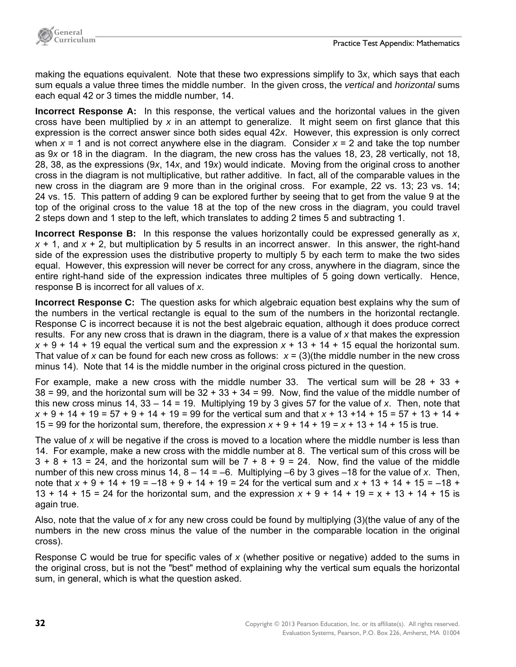making the equations equivalent. Note that these two expressions simplify to 3*x*, which says that each sum equals a value three times the middle number. In the given cross, the *vertical* and *horizontal* sums each equal 42 or 3 times the middle number, 14.

**Incorrect Response A:** In this response, the vertical values and the horizontal values in the given cross have been multiplied by *x* in an attempt to generalize. It might seem on first glance that this expression is the correct answer since both sides equal 42*x*. However, this expression is only correct when  $x = 1$  and is not correct anywhere else in the diagram. Consider  $x = 2$  and take the top number as 9*x* or 18 in the diagram. In the diagram, the new cross has the values 18, 23, 28 vertically, not 18, 28, 38, as the expressions (9*x*, 14*x*, and 19*x*) would indicate. Moving from the original cross to another cross in the diagram is not multiplicative, but rather additive. In fact, all of the comparable values in the new cross in the diagram are 9 more than in the original cross. For example, 22 vs. 13; 23 vs. 14; 24 vs. 15. This pattern of adding 9 can be explored further by seeing that to get from the value 9 at the top of the original cross to the value 18 at the top of the new cross in the diagram, you could travel 2 steps down and 1 step to the left, which translates to adding 2 times 5 and subtracting 1.

**Incorrect Response B:** In this response the values horizontally could be expressed generally as *x*, *x* + 1, and *x* + 2, but multiplication by 5 results in an incorrect answer. In this answer, the right-hand side of the expression uses the distributive property to multiply 5 by each term to make the two sides equal. However, this expression will never be correct for any cross, anywhere in the diagram, since the entire right-hand side of the expression indicates three multiples of 5 going down vertically. Hence, response B is incorrect for all values of *x*.

**Incorrect Response C:** The question asks for which algebraic equation best explains why the sum of the numbers in the vertical rectangle is equal to the sum of the numbers in the horizontal rectangle. Response C is incorrect because it is not the best algebraic equation, although it does produce correct results. For any new cross that is drawn in the diagram, there is a value of *x* that makes the expression  $x + 9 + 14 + 19$  equal the vertical sum and the expression  $x + 13 + 14 + 15$  equal the horizontal sum. That value of x can be found for each new cross as follows:  $x = (3)$  (the middle number in the new cross minus 14). Note that 14 is the middle number in the original cross pictured in the question.

For example, make a new cross with the middle number 33. The vertical sum will be  $28 + 33 + 12$  $38 = 99$ , and the horizontal sum will be  $32 + 33 + 34 = 99$ . Now, find the value of the middle number of this new cross minus 14, 33 – 14 = 19. Multiplying 19 by 3 gives 57 for the value of *x*. Then, note that *x* + 9 + 14 + 19 = 57 + 9 + 14 + 19 = 99 for the vertical sum and that *x* + 13 +14 + 15 = 57 + 13 + 14 + 15 = 99 for the horizontal sum, therefore, the expression  $x + 9 + 14 + 19 = x + 13 + 14 + 15$  is true.

The value of *x* will be negative if the cross is moved to a location where the middle number is less than 14. For example, make a new cross with the middle number at 8. The vertical sum of this cross will be  $3 + 8 + 13 = 24$ , and the horizontal sum will be  $7 + 8 + 9 = 24$ . Now, find the value of the middle number of this new cross minus 14, 8 – 14 = –6. Multiplying –6 by 3 gives –18 for the value of *x*. Then, note that *x* + 9 + 14 + 19 = –18 + 9 + 14 + 19 = 24 for the vertical sum and *x* + 13 + 14 + 15 = –18 + 13 + 14 + 15 = 24 for the horizontal sum, and the expression *x* + 9 + 14 + 19 = x + 13 + 14 + 15 is again true.

Also, note that the value of *x* for any new cross could be found by multiplying (3)(the value of any of the numbers in the new cross minus the value of the number in the comparable location in the original cross).

Response C would be true for specific vales of *x* (whether positive or negative) added to the sums in the original cross, but is not the "best" method of explaining why the vertical sum equals the horizontal sum, in general, which is what the question asked.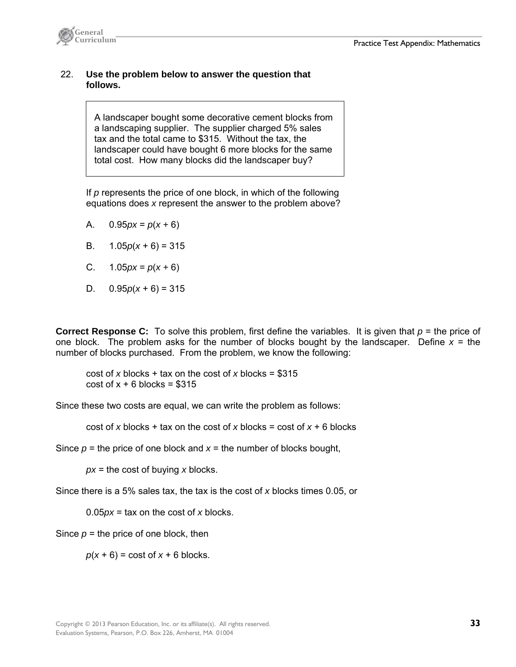

### 22. **Use the problem below to answer the question that follows.**

A landscaper bought some decorative cement blocks from a landscaping supplier. The supplier charged 5% sales tax and the total came to \$315. Without the tax, the landscaper could have bought 6 more blocks for the same total cost. How many blocks did the landscaper buy?

 If *p* represents the price of one block, in which of the following equations does *x* represent the answer to the problem above?

- A. 0.95*px* = *p*(*x +* 6)
- B. 1.05*p*(*x* + 6) = 315
- C. 1.05*px* = *p*(*x +* 6)
- D.  $0.95p(x+6) = 315$

**Correct Response C:** To solve this problem, first define the variables. It is given that *p* = the price of one block. The problem asks for the number of blocks bought by the landscaper. Define  $x =$  the number of blocks purchased. From the problem, we know the following:

cost of *x* blocks + tax on the cost of *x* blocks = \$315  $cost of x + 6 blocks = $315$ 

Since these two costs are equal, we can write the problem as follows:

cost of *x* blocks + tax on the cost of *x* blocks = cost of  $x + 6$  blocks

Since  $p =$  the price of one block and  $x =$  the number of blocks bought,

 *px* = the cost of buying *x* blocks.

Since there is a 5% sales tax, the tax is the cost of *x* blocks times 0.05, or

0.05*px* = tax on the cost of *x* blocks.

Since  $p =$  the price of one block, then

 $p(x + 6) = \text{cost of } x + 6 \text{ blocks.}$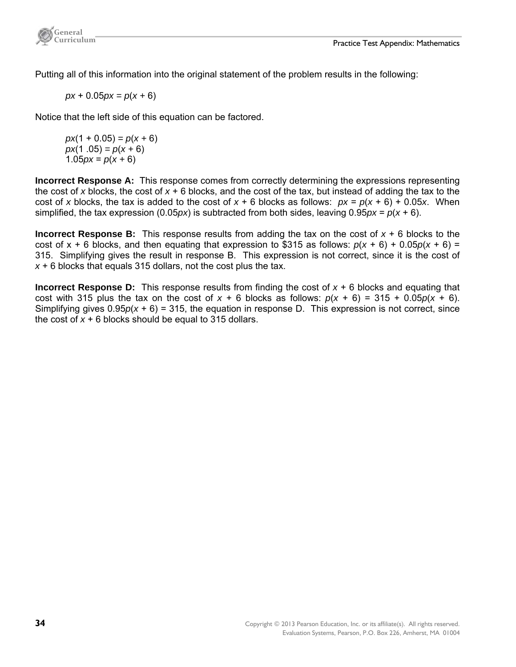

Putting all of this information into the original statement of the problem results in the following:

 *px* + 0.05*px = p*(*x +* 6)

Notice that the left side of this equation can be factored.

 $px(1 + 0.05) = p(x + 6)$  $px(1.05) = p(x + 6)$ 1.05 $px = p(x + 6)$ 

**Incorrect Response A:** This response comes from correctly determining the expressions representing the cost of *x* blocks, the cost of *x* + 6 blocks, and the cost of the tax, but instead of adding the tax to the cost of *x* blocks, the tax is added to the cost of  $x + 6$  blocks as follows:  $px = p(x + 6) + 0.05x$ . When simplified, the tax expression (0.05*px*) is subtracted from both sides, leaving 0.95*px* =  $p(x + 6)$ .

**Incorrect Response B:** This response results from adding the tax on the cost of *x* + 6 blocks to the cost of  $x + 6$  blocks, and then equating that expression to \$315 as follows:  $p(x + 6) + 0.05p(x + 6) =$ 315. Simplifying gives the result in response B. This expression is not correct, since it is the cost of *x* + 6 blocks that equals 315 dollars, not the cost plus the tax.

**Incorrect Response D:** This response results from finding the cost of  $x + 6$  blocks and equating that cost with 315 plus the tax on the cost of  $x + 6$  blocks as follows:  $p(x + 6) = 315 + 0.05p(x + 6)$ . Simplifying gives 0.95*p*(*x* + 6) = 315, the equation in response D. This expression is not correct, since the cost of  $x + 6$  blocks should be equal to 315 dollars.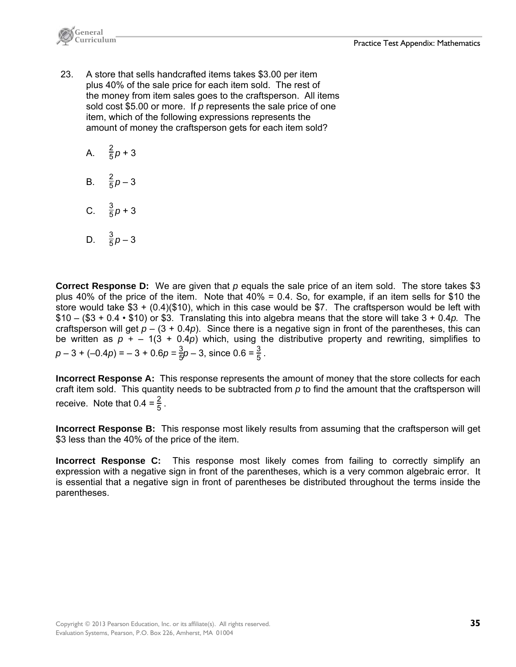

- 23. A store that sells handcrafted items takes \$3.00 per item plus 40% of the sale price for each item sold. The rest of the money from item sales goes to the craftsperson. All items sold cost \$5.00 or more. If *p* represents the sale price of one item, which of the following expressions represents the amount of money the craftsperson gets for each item sold?
	- A.  $\frac{2}{5}p+3$
	- B.  $\frac{2}{5}p-3$
	- C.  $\frac{3}{5}p+3$

D. 
$$
\frac{3}{5}p - 3
$$

**Correct Response D:** We are given that *p* equals the sale price of an item sold. The store takes \$3 plus 40% of the price of the item. Note that 40% = 0.4. So, for example, if an item sells for \$10 the store would take \$3 + (0.4)(\$10), which in this case would be \$7. The craftsperson would be left with \$10 – (\$3 + 0.4 • \$10) or \$3. Translating this into algebra means that the store will take 3 + 0.4*p.* The craftsperson will get  $p - (3 + 0.4p)$ . Since there is a negative sign in front of the parentheses, this can be written as  $p + - 1(3 + 0.4p)$  which, using the distributive property and rewriting, simplifies to  $p - 3 + (-0.4p) = -3 + 0.6p = \frac{3}{5}p - 3$ , since  $0.6 = \frac{3}{5}$ .

**Incorrect Response A:** This response represents the amount of money that the store collects for each craft item sold. This quantity needs to be subtracted from *p* to find the amount that the craftsperson will receive. Note that  $0.4 = \frac{2}{5}$ .

**Incorrect Response B:** This response most likely results from assuming that the craftsperson will get \$3 less than the 40% of the price of the item.

**Incorrect Response C:** This response most likely comes from failing to correctly simplify an expression with a negative sign in front of the parentheses, which is a very common algebraic error. It is essential that a negative sign in front of parentheses be distributed throughout the terms inside the parentheses.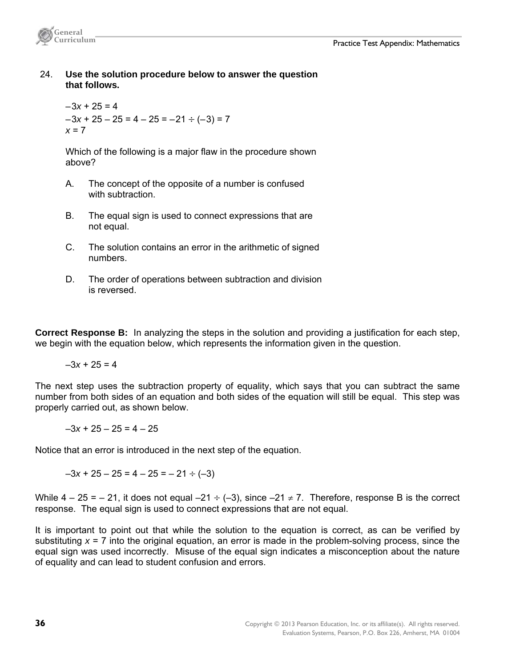

 24. **Use the solution procedure below to answer the question that follows.**

 $-3x + 25 = 4$  $-3x + 25 - 25 = 4 - 25 = -21 \div (-3) = 7$ *x* = 7

 Which of the following is a major flaw in the procedure shown above?

- A. The concept of the opposite of a number is confused with subtraction.
- B. The equal sign is used to connect expressions that are not equal.
- C. The solution contains an error in the arithmetic of signed numbers.
- D. The order of operations between subtraction and division is reversed.

**Correct Response B:** In analyzing the steps in the solution and providing a justification for each step, we begin with the equation below, which represents the information given in the question.

 $-3x + 25 = 4$ 

The next step uses the subtraction property of equality, which says that you can subtract the same number from both sides of an equation and both sides of the equation will still be equal. This step was properly carried out, as shown below.

 $-3x + 25 - 25 = 4 - 25$ 

Notice that an error is introduced in the next step of the equation.

 $-3x + 25 - 25 = 4 - 25 = -21 \div (-3)$ 

While  $4 - 25 = -21$ , it does not equal  $-21 \div (-3)$ , since  $-21 \neq 7$ . Therefore, response B is the correct response. The equal sign is used to connect expressions that are not equal.

It is important to point out that while the solution to the equation is correct, as can be verified by substituting  $x = 7$  into the original equation, an error is made in the problem-solving process, since the equal sign was used incorrectly. Misuse of the equal sign indicates a misconception about the nature of equality and can lead to student confusion and errors.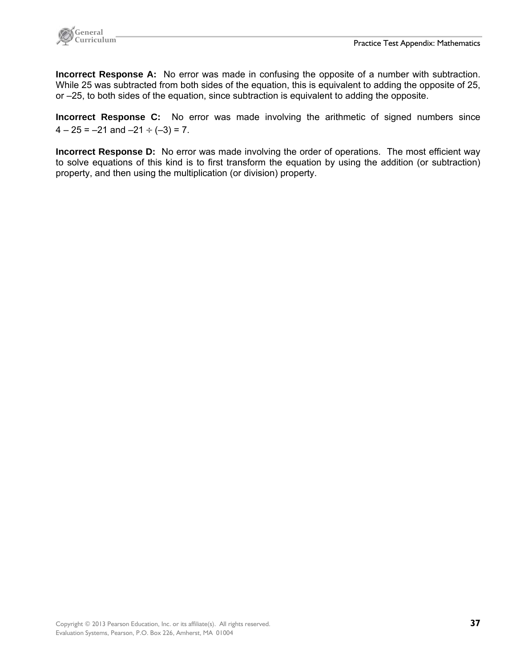

**Incorrect Response A:** No error was made in confusing the opposite of a number with subtraction. While 25 was subtracted from both sides of the equation, this is equivalent to adding the opposite of 25, or –25, to both sides of the equation, since subtraction is equivalent to adding the opposite.

**Incorrect Response C:** No error was made involving the arithmetic of signed numbers since  $4 - 25 = -21$  and  $-21 \div (-3) = 7$ .

**Incorrect Response D:** No error was made involving the order of operations. The most efficient way to solve equations of this kind is to first transform the equation by using the addition (or subtraction) property, and then using the multiplication (or division) property.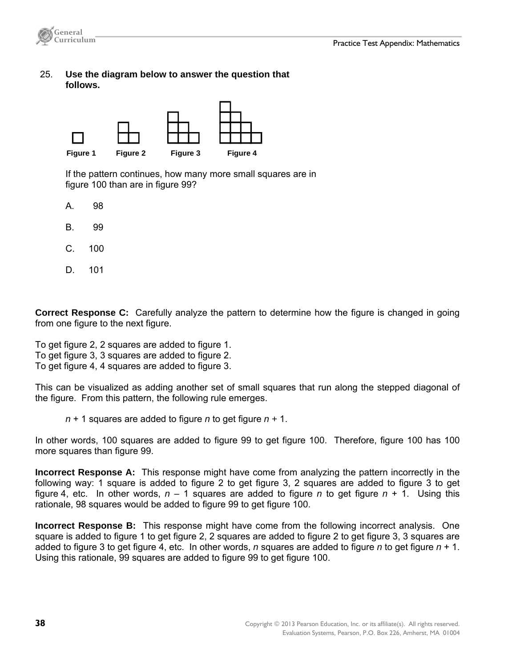

 25. **Use the diagram below to answer the question that follows.**



 If the pattern continues, how many more small squares are in figure 100 than are in figure 99?

- A. 98
- B. 99
- C. 100
- D. 101

**Correct Response C:** Carefully analyze the pattern to determine how the figure is changed in going from one figure to the next figure.

To get figure 2, 2 squares are added to figure 1. To get figure 3, 3 squares are added to figure 2. To get figure 4, 4 squares are added to figure 3.

This can be visualized as adding another set of small squares that run along the stepped diagonal of the figure. From this pattern, the following rule emerges.

*n* + 1 squares are added to figure *n* to get figure *n +* 1.

In other words, 100 squares are added to figure 99 to get figure 100. Therefore, figure 100 has 100 more squares than figure 99.

**Incorrect Response A:** This response might have come from analyzing the pattern incorrectly in the following way: 1 square is added to figure 2 to get figure 3, 2 squares are added to figure 3 to get figure 4, etc. In other words,  $n - 1$  squares are added to figure *n* to get figure  $n + 1$ . Using this rationale, 98 squares would be added to figure 99 to get figure 100.

**Incorrect Response B:** This response might have come from the following incorrect analysis. One square is added to figure 1 to get figure 2, 2 squares are added to figure 2 to get figure 3, 3 squares are added to figure 3 to get figure 4, etc. In other words, *n* squares are added to figure *n* to get figure *n* + 1. Using this rationale, 99 squares are added to figure 99 to get figure 100.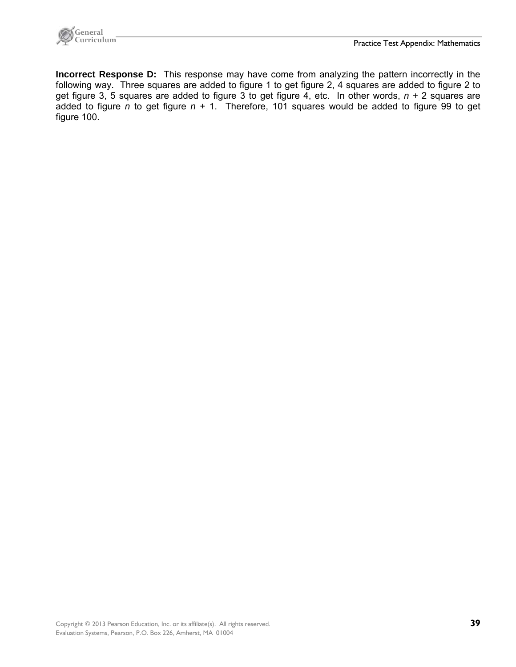

**Incorrect Response D:** This response may have come from analyzing the pattern incorrectly in the following way. Three squares are added to figure 1 to get figure 2, 4 squares are added to figure 2 to get figure 3, 5 squares are added to figure 3 to get figure 4, etc. In other words, *n +* 2 squares are added to figure *n* to get figure  $n + 1$ . Therefore, 101 squares would be added to figure 99 to get figure 100.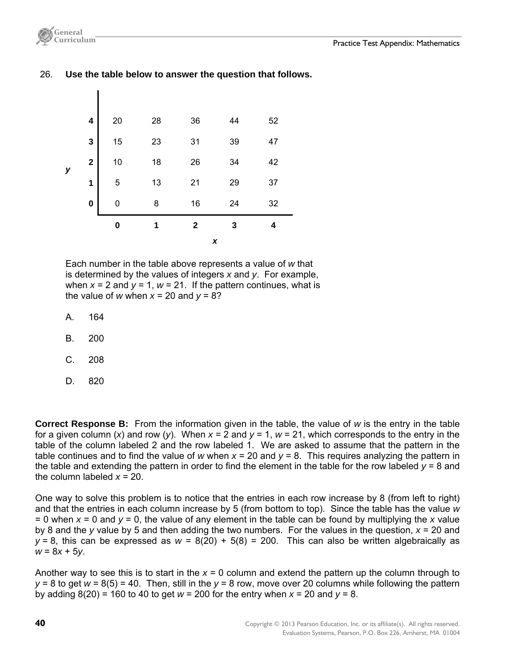

## 26. **Use the table below to answer the question that follows.**



 Each number in the table above represents a value of *w* that is determined by the values of integers *x* and *y*. For example, when  $x = 2$  and  $y = 1$ ,  $w = 21$ . If the pattern continues, what is the value of *w* when  $x = 20$  and  $y = 8$ ?

- A. 164
- B. 200
- C. 208
- D. 820

**Correct Response B:** From the information given in the table, the value of *w* is the entry in the table for a given column (*x*) and row (*y*). When  $x = 2$  and  $y = 1$ ,  $w = 21$ , which corresponds to the entry in the table of the column labeled 2 and the row labeled 1. We are asked to assume that the pattern in the table continues and to find the value of *w* when  $x = 20$  and  $y = 8$ . This requires analyzing the pattern in the table and extending the pattern in order to find the element in the table for the row labeled *y* = 8 and the column labeled *x* = 20.

One way to solve this problem is to notice that the entries in each row increase by 8 (from left to right) and that the entries in each column increase by 5 (from bottom to top). Since the table has the value *w*  $= 0$  when  $x = 0$  and  $y = 0$ , the value of any element in the table can be found by multiplying the x value by 8 and the *y* value by 5 and then adding the two numbers. For the values in the question, *x* = 20 and  $y = 8$ , this can be expressed as  $w = 8(20) + 5(8) = 200$ . This can also be written algebraically as *w* = 8*x* + 5*y*.

Another way to see this is to start in the *x* = 0 column and extend the pattern up the column through to *y* = 8 to get *w* = 8(5) = 40. Then, still in the *y* = 8 row, move over 20 columns while following the pattern by adding  $8(20) = 160$  to 40 to get  $w = 200$  for the entry when  $x = 20$  and  $y = 8$ .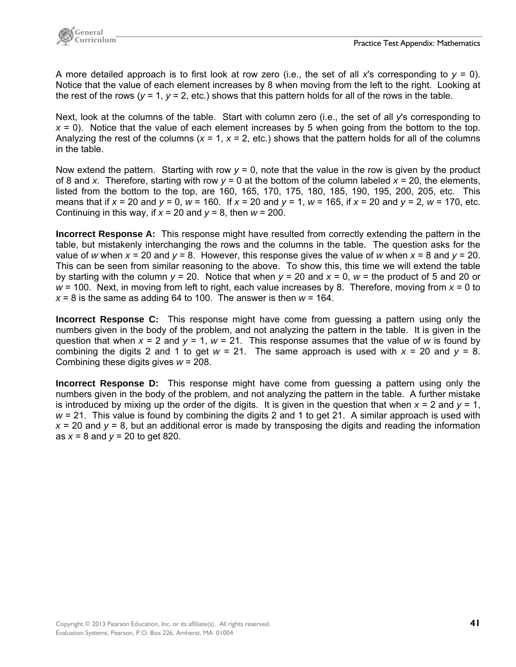

A more detailed approach is to first look at row zero (i.e., the set of all x's corresponding to  $y = 0$ ). Notice that the value of each element increases by 8 when moving from the left to the right. Looking at the rest of the rows ( $y = 1$ ,  $y = 2$ , etc.) shows that this pattern holds for all of the rows in the table.

Next, look at the columns of the table. Start with column zero (i.e., the set of all *y*'s corresponding to *x* = 0). Notice that the value of each element increases by 5 when going from the bottom to the top. Analyzing the rest of the columns ( $x = 1$ ,  $x = 2$ , etc.) shows that the pattern holds for all of the columns in the table.

Now extend the pattern. Starting with row  $y = 0$ , note that the value in the row is given by the product of 8 and *x*. Therefore, starting with row  $y = 0$  at the bottom of the column labeled  $x = 20$ , the elements, listed from the bottom to the top, are 160, 165, 170, 175, 180, 185, 190, 195, 200, 205, etc. This means that if *x* = 20 and *y* = 0, *w* = 160. If *x* = 20 and *y* = 1, *w* = 165, if *x* = 20 and *y* = 2, *w* = 170, etc. Continuing in this way, if  $x = 20$  and  $y = 8$ , then  $w = 200$ .

**Incorrect Response A:** This response might have resulted from correctly extending the pattern in the table, but mistakenly interchanging the rows and the columns in the table. The question asks for the value of *w* when *x* = 20 and *y* = 8. However, this response gives the value of *w* when *x* = 8 and *y* = 20. This can be seen from similar reasoning to the above. To show this, this time we will extend the table by starting with the column *y* = 20. Notice that when *y* = 20 and *x* = 0, *w* = the product of 5 and 20 or *w* = 100. Next, in moving from left to right, each value increases by 8. Therefore, moving from *x* = 0 to  $x = 8$  is the same as adding 64 to 100. The answer is then  $w = 164$ .

**Incorrect Response C:** This response might have come from guessing a pattern using only the numbers given in the body of the problem, and not analyzing the pattern in the table. It is given in the question that when  $x = 2$  and  $y = 1$ ,  $w = 21$ . This response assumes that the value of w is found by combining the digits 2 and 1 to get  $w = 21$ . The same approach is used with  $x = 20$  and  $y = 8$ . Combining these digits gives *w* = 208.

**Incorrect Response D:** This response might have come from guessing a pattern using only the numbers given in the body of the problem, and not analyzing the pattern in the table. A further mistake is introduced by mixing up the order of the digits. It is given in the question that when  $x = 2$  and  $y = 1$ , *w* = 21. This value is found by combining the digits 2 and 1 to get 21. A similar approach is used with  $x = 20$  and  $y = 8$ , but an additional error is made by transposing the digits and reading the information as *x* = 8 and *y* = 20 to get 820.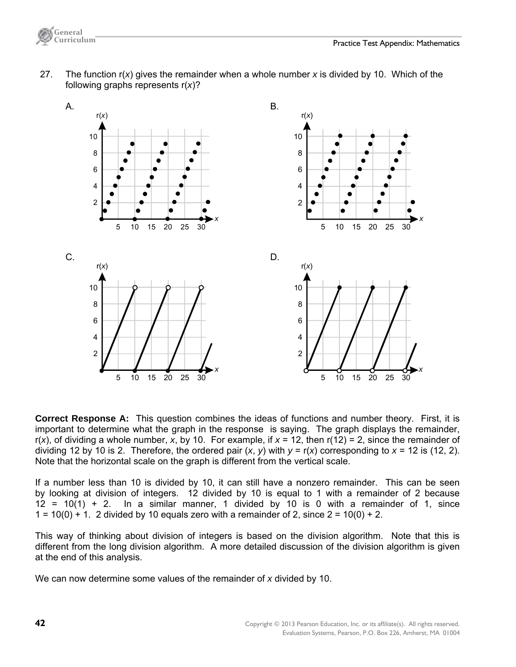

 27. The function r(*x*) gives the remainder when a whole number *x* is divided by 10. Which of the following graphs represents r(*x*)?



**Correct Response A:** This question combines the ideas of functions and number theory. First, it is important to determine what the graph in the response is saying. The graph displays the remainder, r(*x*), of dividing a whole number, *x*, by 10. For example, if *x* = 12, then r(12) = 2, since the remainder of dividing 12 by 10 is 2. Therefore, the ordered pair  $(x, y)$  with  $y = r(x)$  corresponding to  $x = 12$  is (12, 2). Note that the horizontal scale on the graph is different from the vertical scale.

If a number less than 10 is divided by 10, it can still have a nonzero remainder. This can be seen by looking at division of integers. 12 divided by 10 is equal to 1 with a remainder of 2 because  $12 = 10(1) + 2$ . In a similar manner, 1 divided by 10 is 0 with a remainder of 1, since  $1 = 10(0) + 1$ . 2 divided by 10 equals zero with a remainder of 2, since  $2 = 10(0) + 2$ .

This way of thinking about division of integers is based on the division algorithm. Note that this is different from the long division algorithm. A more detailed discussion of the division algorithm is given at the end of this analysis.

We can now determine some values of the remainder of *x* divided by 10.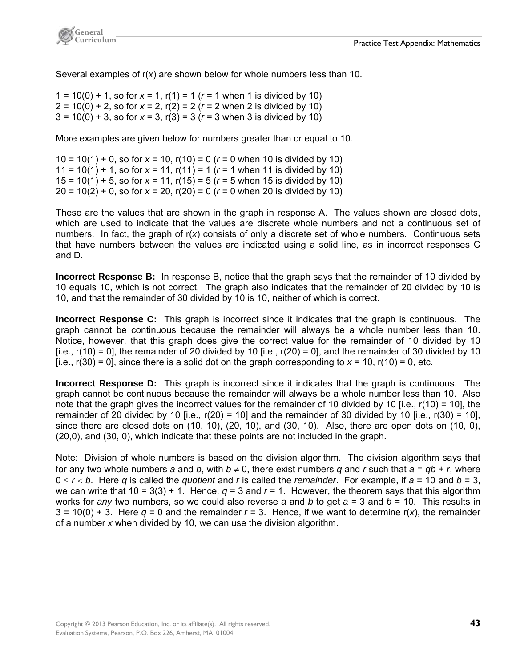

Several examples of r(*x*) are shown below for whole numbers less than 10.

1 = 10(0) + 1, so for  $x = 1$ ,  $r(1) = 1$  ( $r = 1$  when 1 is divided by 10)  $2 = 10(0) + 2$ , so for  $x = 2$ ,  $r(2) = 2$  ( $r = 2$  when 2 is divided by 10)  $3 = 10(0) + 3$ , so for  $x = 3$ ,  $r(3) = 3$  ( $r = 3$  when 3 is divided by 10)

More examples are given below for numbers greater than or equal to 10.

10 = 10(1) + 0, so for *x* = 10, r(10) = 0 (*r* = 0 when 10 is divided by 10) 11 = 10(1) + 1, so for  $x = 11$ ,  $r(11) = 1$  ( $r = 1$  when 11 is divided by 10) 15 = 10(1) + 5, so for *x* = 11, r(15) = 5 (*r* = 5 when 15 is divided by 10)  $20 = 10(2) + 0$ , so for  $x = 20$ ,  $r(20) = 0$  ( $r = 0$  when 20 is divided by 10)

These are the values that are shown in the graph in response A. The values shown are closed dots, which are used to indicate that the values are discrete whole numbers and not a continuous set of numbers. In fact, the graph of r(*x*) consists of only a discrete set of whole numbers. Continuous sets that have numbers between the values are indicated using a solid line, as in incorrect responses C and D.

**Incorrect Response B:** In response B, notice that the graph says that the remainder of 10 divided by 10 equals 10, which is not correct. The graph also indicates that the remainder of 20 divided by 10 is 10, and that the remainder of 30 divided by 10 is 10, neither of which is correct.

**Incorrect Response C:** This graph is incorrect since it indicates that the graph is continuous. The graph cannot be continuous because the remainder will always be a whole number less than 10. Notice, however, that this graph does give the correct value for the remainder of 10 divided by 10 [i.e.,  $r(10) = 0$ ], the remainder of 20 divided by 10 [i.e.,  $r(20) = 0$ ], and the remainder of 30 divided by 10  $[i.e., r(30) = 0]$ , since there is a solid dot on the graph corresponding to  $x = 10$ ,  $r(10) = 0$ , etc.

**Incorrect Response D:** This graph is incorrect since it indicates that the graph is continuous. The graph cannot be continuous because the remainder will always be a whole number less than 10. Also note that the graph gives the incorrect values for the remainder of 10 divided by 10 [i.e.,  $r(10) = 10$ ], the remainder of 20 divided by 10 [i.e.,  $r(20) = 10$ ] and the remainder of 30 divided by 10 [i.e.,  $r(30) = 10$ ], since there are closed dots on (10, 10), (20, 10), and (30, 10). Also, there are open dots on (10, 0), (20,0), and (30, 0), which indicate that these points are not included in the graph.

Note: Division of whole numbers is based on the division algorithm. The division algorithm says that for any two whole numbers *a* and *b*, with  $b \neq 0$ , there exist numbers *q* and *r* such that  $a = qb + r$ , where  $0 \le r < b$ . Here *q* is called the *quotient* and *r* is called the *remainder*. For example, if  $a = 10$  and  $b = 3$ , we can write that  $10 = 3(3) + 1$ . Hence,  $q = 3$  and  $r = 1$ . However, the theorem says that this algorithm works for *any* two numbers, so we could also reverse *a* and *b* to get *a* = 3 and *b* = 10. This results in  $3 = 10(0) + 3$ . Here  $q = 0$  and the remainder  $r = 3$ . Hence, if we want to determine r(x), the remainder of a number *x* when divided by 10, we can use the division algorithm.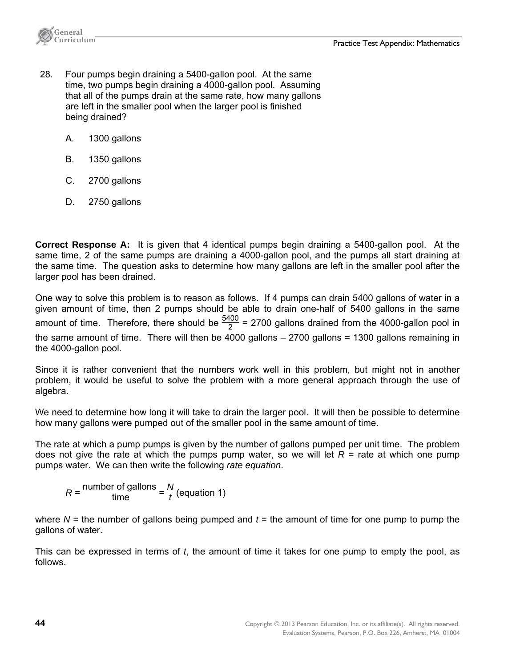

- 28. Four pumps begin draining a 5400-gallon pool. At the same time, two pumps begin draining a 4000-gallon pool. Assuming that all of the pumps drain at the same rate, how many gallons are left in the smaller pool when the larger pool is finished being drained?
	- A. 1300 gallons
	- B. 1350 gallons
	- C. 2700 gallons
	- D. 2750 gallons

**Correct Response A:** It is given that 4 identical pumps begin draining a 5400-gallon pool. At the same time, 2 of the same pumps are draining a 4000-gallon pool, and the pumps all start draining at the same time. The question asks to determine how many gallons are left in the smaller pool after the larger pool has been drained.

One way to solve this problem is to reason as follows. If 4 pumps can drain 5400 gallons of water in a given amount of time, then 2 pumps should be able to drain one-half of 5400 gallons in the same amount of time. Therefore, there should be  $\frac{5400}{2}$  = 2700 gallons drained from the 4000-gallon pool in the same amount of time. There will then be 4000 gallons – 2700 gallons = 1300 gallons remaining in the 4000-gallon pool.

Since it is rather convenient that the numbers work well in this problem, but might not in another problem, it would be useful to solve the problem with a more general approach through the use of algebra.

We need to determine how long it will take to drain the larger pool. It will then be possible to determine how many gallons were pumped out of the smaller pool in the same amount of time.

The rate at which a pump pumps is given by the number of gallons pumped per unit time. The problem does not give the rate at which the pumps pump water, so we will let  $R =$  rate at which one pump pumps water. We can then write the following *rate equation*.

$$
R = \frac{\text{number of gallons}}{\text{time}} = \frac{N}{t} \text{(equation 1)}
$$

where *N* = the number of gallons being pumped and *t* = the amount of time for one pump to pump the gallons of water.

This can be expressed in terms of *t*, the amount of time it takes for one pump to empty the pool, as follows.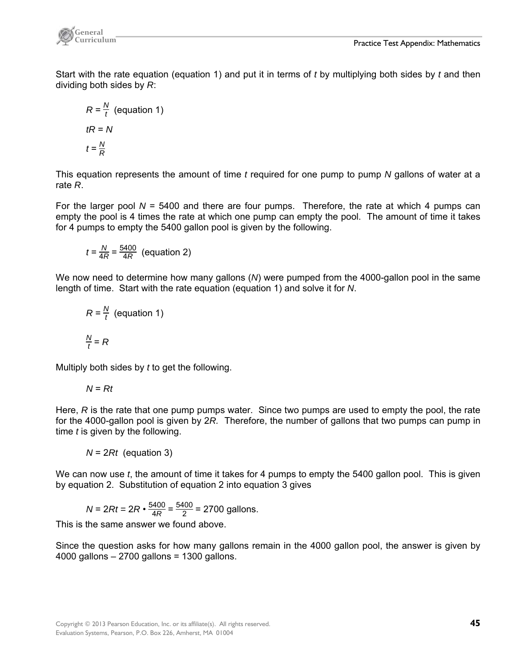

Start with the rate equation (equation 1) and put it in terms of *t* by multiplying both sides by *t* and then dividing both sides by *R*:

$$
R = \frac{N}{t} \text{ (equation 1)}
$$
  

$$
tR = N
$$
  

$$
t = \frac{N}{R}
$$

This equation represents the amount of time *t* required for one pump to pump *N* gallons of water at a rate *R*.

For the larger pool *N* = 5400 and there are four pumps. Therefore, the rate at which 4 pumps can empty the pool is 4 times the rate at which one pump can empty the pool. The amount of time it takes for 4 pumps to empty the 5400 gallon pool is given by the following.

$$
t = \frac{N}{4R} = \frac{5400}{4R}
$$
 (equation 2)

We now need to determine how many gallons (*N*) were pumped from the 4000-gallon pool in the same length of time. Start with the rate equation (equation 1) and solve it for *N*.

$$
R = \frac{N}{t} \text{ (equation 1)}
$$

$$
\frac{N}{t} = R
$$

Multiply both sides by *t* to get the following.

$$
N = Rt
$$

Here, *R* is the rate that one pump pumps water. Since two pumps are used to empty the pool, the rate for the 4000-gallon pool is given by 2*R.* Therefore, the number of gallons that two pumps can pump in time *t* is given by the following.

 *N* = 2*Rt* (equation 3)

We can now use *t*, the amount of time it takes for 4 pumps to empty the 5400 gallon pool. This is given by equation 2. Substitution of equation 2 into equation 3 gives

$$
N = 2Rt = 2R \cdot \frac{5400}{4R} = \frac{5400}{2} = 2700 \text{ gallons.}
$$

This is the same answer we found above.

Since the question asks for how many gallons remain in the 4000 gallon pool, the answer is given by 4000 gallons – 2700 gallons = 1300 gallons.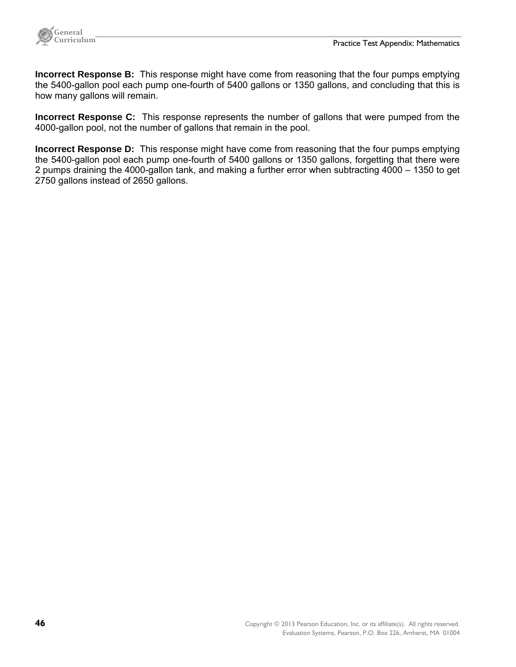

**Incorrect Response B:** This response might have come from reasoning that the four pumps emptying the 5400-gallon pool each pump one-fourth of 5400 gallons or 1350 gallons, and concluding that this is how many gallons will remain.

**Incorrect Response C:** This response represents the number of gallons that were pumped from the 4000-gallon pool, not the number of gallons that remain in the pool.

**Incorrect Response D:** This response might have come from reasoning that the four pumps emptying the 5400-gallon pool each pump one-fourth of 5400 gallons or 1350 gallons, forgetting that there were 2 pumps draining the 4000-gallon tank, and making a further error when subtracting 4000 – 1350 to get 2750 gallons instead of 2650 gallons.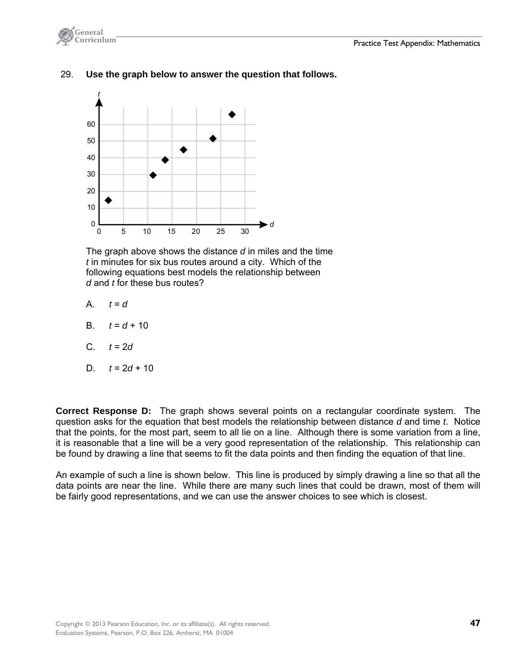

## 29. **Use the graph below to answer the question that follows.**



 The graph above shows the distance *d* in miles and the time *t* in minutes for six bus routes around a city. Which of the following equations best models the relationship between *d* and *t* for these bus routes?

- A.  $t = d$
- B.  $t = d + 10$
- C. *t* = 2*d*

D. 
$$
t = 2d + 10
$$

**Correct Response D:** The graph shows several points on a rectangular coordinate system. The question asks for the equation that best models the relationship between distance *d* and time *t*. Notice that the points, for the most part, seem to all lie on a line. Although there is some variation from a line, it is reasonable that a line will be a very good representation of the relationship. This relationship can be found by drawing a line that seems to fit the data points and then finding the equation of that line.

An example of such a line is shown below. This line is produced by simply drawing a line so that all the data points are near the line. While there are many such lines that could be drawn, most of them will be fairly good representations, and we can use the answer choices to see which is closest.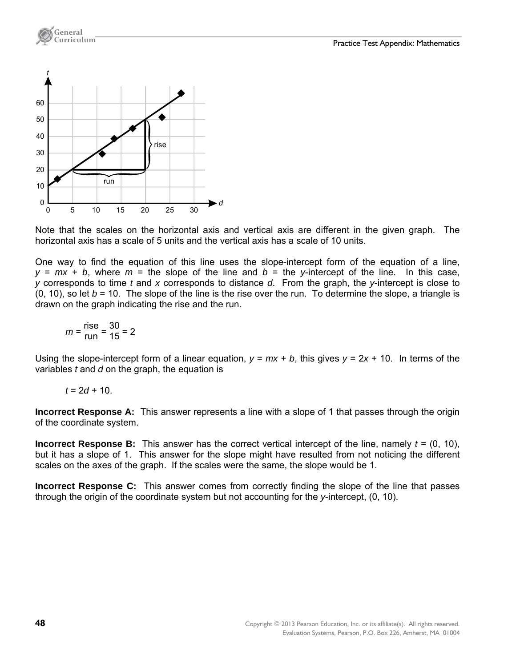

**General** 

Note that the scales on the horizontal axis and vertical axis are different in the given graph. The horizontal axis has a scale of 5 units and the vertical axis has a scale of 10 units.

One way to find the equation of this line uses the slope-intercept form of the equation of a line,  $y = mx + b$ , where  $m =$  the slope of the line and  $b =$  the *y*-intercept of the line. In this case, *y* corresponds to time *t* and *x* corresponds to distance *d*. From the graph, the *y*-intercept is close to  $(0, 10)$ , so let  $b = 10$ . The slope of the line is the rise over the run. To determine the slope, a triangle is drawn on the graph indicating the rise and the run.

$$
m = \frac{\text{rise}}{\text{run}} = \frac{30}{15} = 2
$$

Using the slope-intercept form of a linear equation,  $y = mx + b$ , this gives  $y = 2x + 10$ . In terms of the variables *t* and *d* on the graph, the equation is

 $t = 2d + 10$ .

**Incorrect Response A:** This answer represents a line with a slope of 1 that passes through the origin of the coordinate system.

**Incorrect Response B:** This answer has the correct vertical intercept of the line, namely *t* = (0, 10), but it has a slope of 1. This answer for the slope might have resulted from not noticing the different scales on the axes of the graph. If the scales were the same, the slope would be 1.

**Incorrect Response C:** This answer comes from correctly finding the slope of the line that passes through the origin of the coordinate system but not accounting for the *y*-intercept, (0, 10).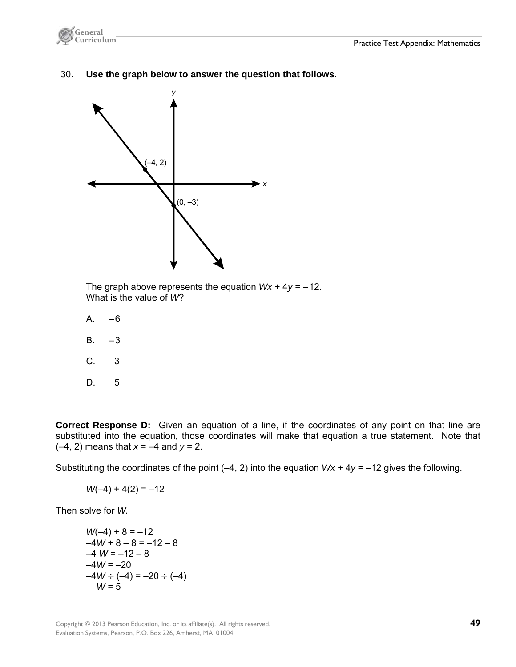

30. **Use the graph below to answer the question that follows.** 



 The graph above represents the equation *Wx* + 4*y* = –12. What is the value of *W*?

- $A. -6$
- $B. -3$
- C. 3
- D. 5

**Correct Response D:** Given an equation of a line, if the coordinates of any point on that line are substituted into the equation, those coordinates will make that equation a true statement. Note that (–4, 2) means that *x* = –4 and *y* = 2.

Substituting the coordinates of the point (–4, 2) into the equation *Wx* + 4*y* = –12 gives the following.

 $W(-4) + 4(2) = -12$ 

Then solve for *W.*

$$
W(-4) + 8 = -12
$$
  
\n
$$
-4W + 8 - 8 = -12 - 8
$$
  
\n
$$
-4W = -12 - 8
$$
  
\n
$$
-4W = -20
$$
  
\n
$$
-4W \div (-4) = -20 \div (-4)
$$
  
\n
$$
W = 5
$$

Copyright © 2013 Pearson Education, Inc. or its affiliate(s). All rights reserved. **49**  Evaluation Systems, Pearson, P.O. Box 226, Amherst, MA 01004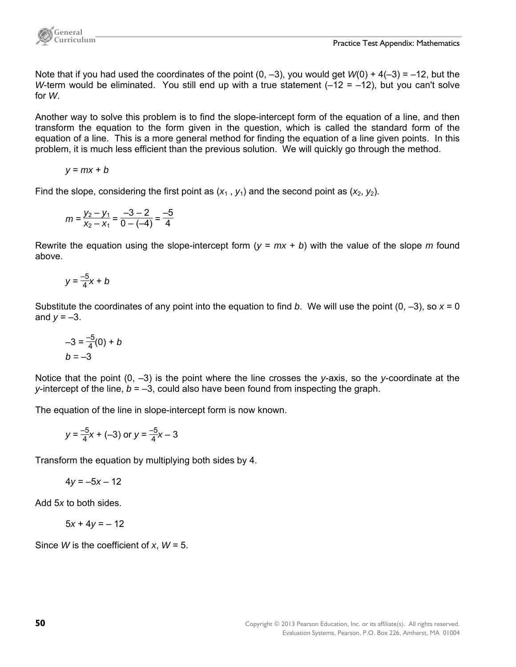

Note that if you had used the coordinates of the point  $(0, -3)$ , you would get  $W(0) + 4(-3) = -12$ , but the *W*-term would be eliminated. You still end up with a true statement (–12 = –12), but you can't solve for *W*.

Another way to solve this problem is to find the slope-intercept form of the equation of a line, and then transform the equation to the form given in the question, which is called the standard form of the equation of a line. This is a more general method for finding the equation of a line given points. In this problem, it is much less efficient than the previous solution. We will quickly go through the method.

$$
y = mx + b
$$

Find the slope, considering the first point as  $(x_1, y_1)$  and the second point as  $(x_2, y_2)$ .

$$
m = \frac{y_2 - y_1}{x_2 - x_1} = \frac{-3 - 2}{0 - (-4)} = \frac{-5}{4}
$$

Rewrite the equation using the slope-intercept form (*y* = *mx* + *b*) with the value of the slope *m* found above.

$$
y = \frac{-5}{4}x + b
$$

Substitute the coordinates of any point into the equation to find *b*. We will use the point  $(0, -3)$ , so  $x = 0$ and  $y = -3$ .

$$
-3 = \frac{-5}{4}(0) + b
$$
  

$$
b = -3
$$

Notice that the point (0, –3) is the point where the line crosses the *y*-axis, so the *y*-coordinate at the *y*-intercept of the line, *b* = –3, could also have been found from inspecting the graph.

The equation of the line in slope-intercept form is now known.

$$
y = \frac{-5}{4}x + (-3)
$$
 or  $y = \frac{-5}{4}x - 3$ 

Transform the equation by multiplying both sides by 4.

$$
4y = -5x - 12
$$

Add 5*x* to both sides.

$$
5x + 4y = -12
$$

Since *W* is the coefficient of *x*, *W* = 5.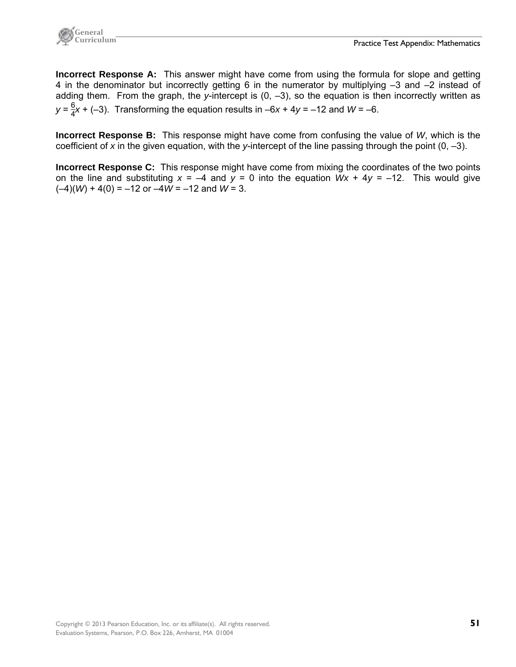

**Incorrect Response A:** This answer might have come from using the formula for slope and getting 4 in the denominator but incorrectly getting 6 in the numerator by multiplying –3 and –2 instead of adding them. From the graph, the *y*-intercept is (0, –3), so the equation is then incorrectly written as  $y = \frac{6}{4}x + (-3)$ . Transforming the equation results in  $-6x + 4y = -12$  and  $W = -6$ .

**Incorrect Response B:** This response might have come from confusing the value of *W*, which is the coefficient of *x* in the given equation, with the *y*-intercept of the line passing through the point (0, –3).

**Incorrect Response C:** This response might have come from mixing the coordinates of the two points on the line and substituting  $x = -4$  and  $y = 0$  into the equation  $Wx + 4y = -12$ . This would give  $(-4)(W) + 4(0) = -12$  or  $-4W = -12$  and  $W = 3$ .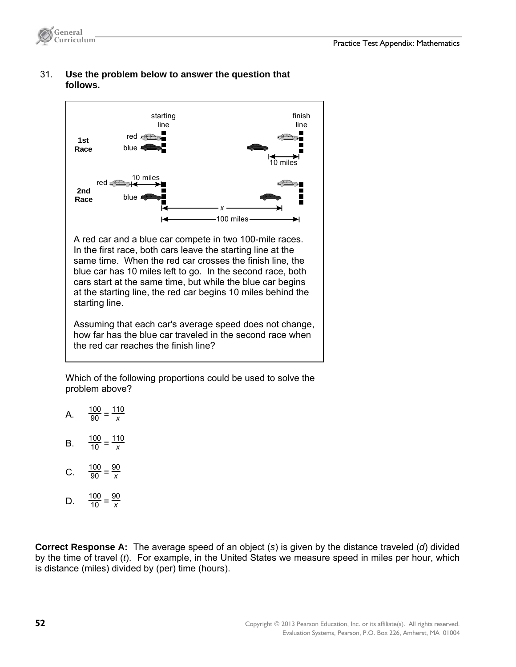



## 31. **Use the problem below to answer the question that follows.**

 Which of the following proportions could be used to solve the problem above?

- A.  $\frac{100}{90} = \frac{110}{x}$ *x*
- B.  $\frac{100}{10} = \frac{110}{x}$ *x*
- C.  $\frac{100}{90} = \frac{90}{x}$ *x*
- D.  $\frac{100}{10} = \frac{90}{x}$ *x*

**Correct Response A:** The average speed of an object (*s*) is given by the distance traveled (*d*) divided by the time of travel (*t*). For example, in the United States we measure speed in miles per hour, which is distance (miles) divided by (per) time (hours).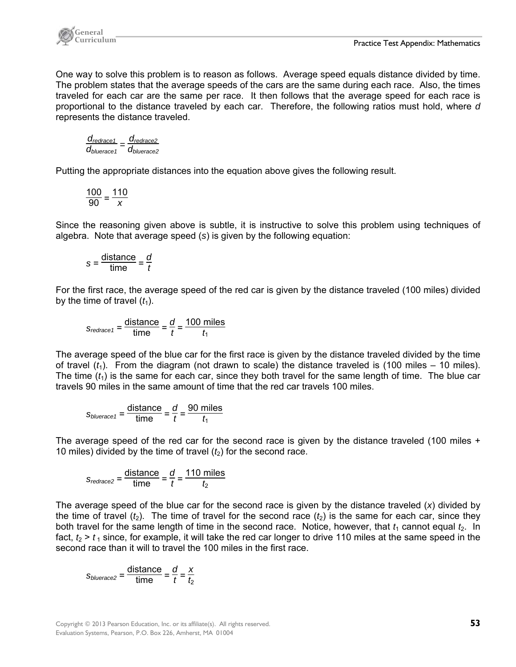

One way to solve this problem is to reason as follows. Average speed equals distance divided by time. The problem states that the average speeds of the cars are the same during each race. Also, the times traveled for each car are the same per race. It then follows that the average speed for each race is proportional to the distance traveled by each car. Therefore, the following ratios must hold, where *d* represents the distance traveled.

$$
\frac{d_{\text{redrace1}}}{d_{\text{bluerace1}}} = \frac{d_{\text{redrace2}}}{d_{\text{bluerace2}}}
$$

Putting the appropriate distances into the equation above gives the following result.

$$
\frac{100}{90} = \frac{110}{x}
$$

Since the reasoning given above is subtle, it is instructive to solve this problem using techniques of algebra. Note that average speed (*s*) is given by the following equation:

$$
s = \frac{\text{distance}}{\text{time}} = \frac{d}{t}
$$

For the first race, the average speed of the red car is given by the distance traveled (100 miles) divided by the time of travel  $(t_1)$ .

$$
S_{redrace1} = \frac{\text{distance}}{\text{time}} = \frac{d}{t} = \frac{100 \text{ miles}}{t_1}
$$

The average speed of the blue car for the first race is given by the distance traveled divided by the time of travel  $(t_1)$ . From the diagram (not drawn to scale) the distance traveled is (100 miles – 10 miles). The time  $(t_1)$  is the same for each car, since they both travel for the same length of time. The blue car travels 90 miles in the same amount of time that the red car travels 100 miles.

$$
S_{bluerace\,t} = \frac{\text{distance}}{\text{time}} = \frac{d}{t} = \frac{90 \text{ miles}}{t_1}
$$

The average speed of the red car for the second race is given by the distance traveled (100 miles + 10 miles) divided by the time of travel  $(t_2)$  for the second race.

$$
S_{redrace2} = \frac{\text{distance}}{\text{time}} = \frac{d}{t} = \frac{110 \text{ miles}}{t_2}
$$

The average speed of the blue car for the second race is given by the distance traveled (*x*) divided by the time of travel  $(t_2)$ . The time of travel for the second race  $(t_2)$  is the same for each car, since they both travel for the same length of time in the second race. Notice, however, that  $t_1$  cannot equal  $t_2$ . In fact,  $t_2 > t_1$  since, for example, it will take the red car longer to drive 110 miles at the same speed in the second race than it will to travel the 100 miles in the first race.

$$
s_{bluerace2} = \frac{\text{distance}}{\text{time}} = \frac{d}{t} = \frac{x}{t_2}
$$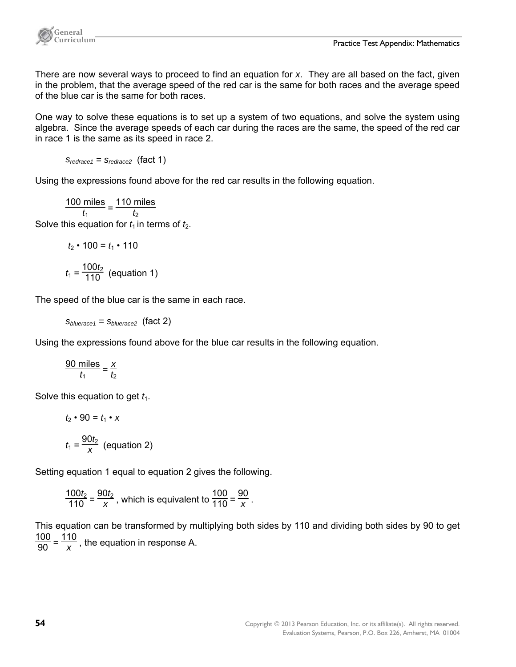

There are now several ways to proceed to find an equation for *x*. They are all based on the fact, given in the problem, that the average speed of the red car is the same for both races and the average speed of the blue car is the same for both races.

One way to solve these equations is to set up a system of two equations, and solve the system using algebra. Since the average speeds of each car during the races are the same, the speed of the red car in race 1 is the same as its speed in race 2.

 $S_{redrace1} = S_{redrace2}$  (fact 1)

Using the expressions found above for the red car results in the following equation.

100 miles  $rac{\text{miles}}{t_1} = \frac{110 \text{ miles}}{t_2}$ Solve this equation for  $t_1$  in terms of  $t_2$ .

$$
t_2\bullet 100=t_1\bullet 110
$$

$$
t_1 = \frac{100t_2}{110}
$$
 (equation 1)

The speed of the blue car is the same in each race.

 *sbluerace1 = sbluerace2* (fact 2)

Using the expressions found above for the blue car results in the following equation.

$$
\frac{90 \text{ miles}}{t_1} = \frac{x}{t_2}
$$

Solve this equation to get  $t_1$ .

$$
t_2 \cdot 90 = t_1 \cdot x
$$

$$
t_1 = \frac{90t_2}{x} \text{ (equation 2)}
$$

Setting equation 1 equal to equation 2 gives the following.

 $\frac{100t_2}{110} = \frac{90t_2}{x}$ , which is equivalent to  $\frac{100}{110} = \frac{90}{x}$ .

This equation can be transformed by multiplying both sides by 110 and dividing both sides by 90 to get  $\frac{100}{90} = \frac{110}{x}$ , the equation in response A.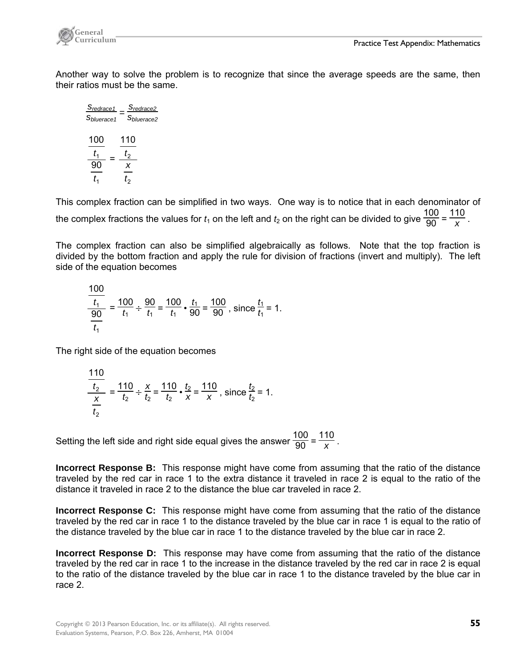

Another way to solve the problem is to recognize that since the average speeds are the same, then their ratios must be the same.

*sredrace1 sbluerace1 = sredrace2*  $S_{blue, 2} = S_{blue, 2}$ 1 1 90 100 *t t* = 2 2 110 *t x t*

This complex fraction can be simplified in two ways. One way is to notice that in each denominator of the complex fractions the values for  $t_1$  on the left and  $t_2$  on the right can be divided to give  $\frac{100}{90} = \frac{110}{x}$ .

The complex fraction can also be simplified algebraically as follows. Note that the top fraction is divided by the bottom fraction and apply the rule for division of fractions (invert and multiply). The left side of the equation becomes

$$
\frac{\frac{100}{t_1}}{\frac{90}{t_1}} = \frac{100}{t_1} \div \frac{90}{t_1} = \frac{100}{t_1} \cdot \frac{t_1}{90} = \frac{100}{90}
$$
, since  $\frac{t_1}{t_1} = 1$ .

The right side of the equation becomes

$$
\frac{\frac{110}{t_2}}{\frac{x}{t_2}} = \frac{110}{t_2} \div \frac{x}{t_2} = \frac{110}{t_2} \cdot \frac{t_2}{x} = \frac{110}{x}
$$
, since  $\frac{t_2}{t_2} = 1$ .

Setting the left side and right side equal gives the answer  $\frac{100}{90} = \frac{110}{x}$ .

**Incorrect Response B:** This response might have come from assuming that the ratio of the distance traveled by the red car in race 1 to the extra distance it traveled in race 2 is equal to the ratio of the distance it traveled in race 2 to the distance the blue car traveled in race 2.

**Incorrect Response C:** This response might have come from assuming that the ratio of the distance traveled by the red car in race 1 to the distance traveled by the blue car in race 1 is equal to the ratio of the distance traveled by the blue car in race 1 to the distance traveled by the blue car in race 2.

**Incorrect Response D:** This response may have come from assuming that the ratio of the distance traveled by the red car in race 1 to the increase in the distance traveled by the red car in race 2 is equal to the ratio of the distance traveled by the blue car in race 1 to the distance traveled by the blue car in race 2.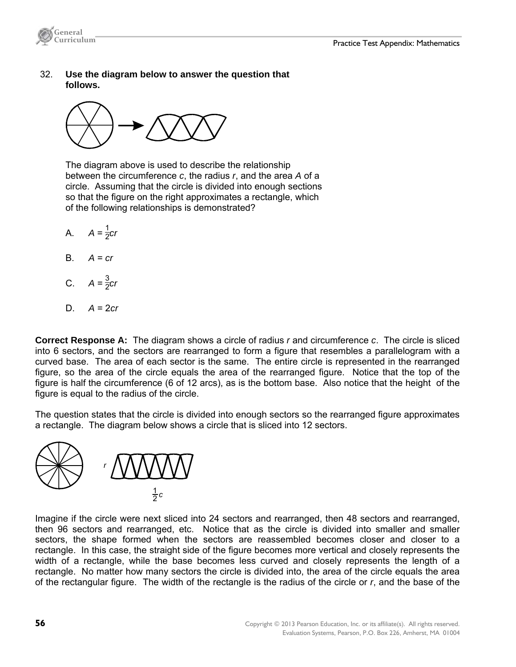

 32. **Use the diagram below to answer the question that follows.**



 The diagram above is used to describe the relationship between the circumference *c*, the radius *r*, and the area *A* of a circle. Assuming that the circle is divided into enough sections so that the figure on the right approximates a rectangle, which of the following relationships is demonstrated?

- A.  $A = \frac{1}{2}$ *cr*
- B.  $A = cr$
- C.  $A = \frac{3}{2}cr$
- D. *A* = 2*cr*

**Correct Response A:** The diagram shows a circle of radius *r* and circumference *c*. The circle is sliced into 6 sectors, and the sectors are rearranged to form a figure that resembles a parallelogram with a curved base. The area of each sector is the same. The entire circle is represented in the rearranged figure, so the area of the circle equals the area of the rearranged figure. Notice that the top of the figure is half the circumference (6 of 12 arcs), as is the bottom base. Also notice that the height of the figure is equal to the radius of the circle.

The question states that the circle is divided into enough sectors so the rearranged figure approximates a rectangle. The diagram below shows a circle that is sliced into 12 sectors.



Imagine if the circle were next sliced into 24 sectors and rearranged, then 48 sectors and rearranged, then 96 sectors and rearranged, etc. Notice that as the circle is divided into smaller and smaller sectors, the shape formed when the sectors are reassembled becomes closer and closer to a rectangle. In this case, the straight side of the figure becomes more vertical and closely represents the width of a rectangle, while the base becomes less curved and closely represents the length of a rectangle. No matter how many sectors the circle is divided into, the area of the circle equals the area of the rectangular figure. The width of the rectangle is the radius of the circle or *r*, and the base of the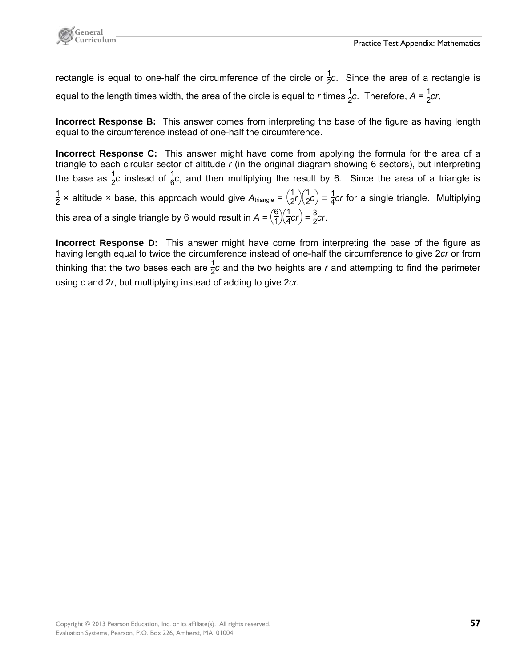

rectangle is equal to one-half the circumference of the circle or  $\frac{1}{2}c$ . Since the area of a rectangle is equal to the length times width, the area of the circle is equal to *r* times  $\frac{1}{2}c$ . Therefore, A =  $\frac{1}{2}$ cr.

**Incorrect Response B:** This answer comes from interpreting the base of the figure as having length equal to the circumference instead of one-half the circumference.

**Incorrect Response C:** This answer might have come from applying the formula for the area of a triangle to each circular sector of altitude *r* (in the original diagram showing 6 sectors), but interpreting the base as  $\frac{1}{2}c$  instead of  $\frac{1}{6}c$ , and then multiplying the result by 6. Since the area of a triangle is  $\frac{1}{2}$  × altitude × base, this approach would give  $A_{\text{triangle}} = \left(\frac{1}{2}r\right)\left(\frac{1}{2}c\right) = \frac{1}{4}cr$  for a single triangle. Multiplying this area of a single triangle by 6 would result in  $A = \left(\frac{6}{1}\right)\left(\frac{1}{4}cr\right) = \frac{3}{2}cr$ .

**Incorrect Response D:** This answer might have come from interpreting the base of the figure as having length equal to twice the circumference instead of one-half the circumference to give 2*cr* or from thinking that the two bases each are  $\frac{1}{2}c$  and the two heights are *r* and attempting to find the perimeter using *c* and 2*r*, but multiplying instead of adding to give 2*cr.*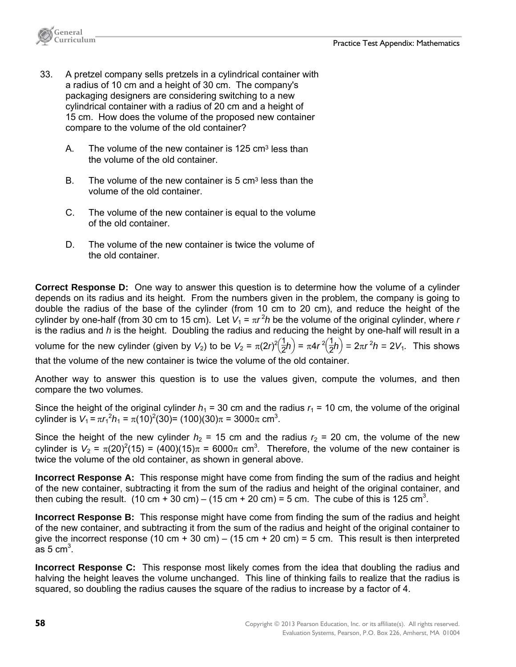

- 33. A pretzel company sells pretzels in a cylindrical container with a radius of 10 cm and a height of 30 cm. The company's packaging designers are considering switching to a new cylindrical container with a radius of 20 cm and a height of 15 cm. How does the volume of the proposed new container compare to the volume of the old container?
	- A. The volume of the new container is 125 cm<sup>3</sup> less than the volume of the old container.
	- B. The volume of the new container is 5 cm<sup>3</sup> less than the volume of the old container.
	- C. The volume of the new container is equal to the volume of the old container.
	- D. The volume of the new container is twice the volume of the old container.

**Correct Response D:** One way to answer this question is to determine how the volume of a cylinder depends on its radius and its height. From the numbers given in the problem, the company is going to double the radius of the base of the cylinder (from 10 cm to 20 cm), and reduce the height of the cylinder by one-half (from 30 cm to 15 cm). Let  $V_1 = \pi r^2 h$  be the volume of the original cylinder, where *r* is the radius and *h* is the height. Doubling the radius and reducing the height by one-half will result in a volume for the new cylinder (given by  $V_2$ ) to be  $V_2 = \pi (2r)^2(\frac{1}{2}h) = \pi 4r^2(\frac{1}{2}h) = 2\pi r^2 h = 2V_1$ . This shows

that the volume of the new container is twice the volume of the old container.

Another way to answer this question is to use the values given, compute the volumes, and then compare the two volumes.

Since the height of the original cylinder  $h_1 = 30$  cm and the radius  $r_1 = 10$  cm, the volume of the original cylinder is  $V_1 = \pi r_1^2 h_1 = \pi (10)^2 (30) = (100)(30)\pi = 3000\pi$  cm<sup>3</sup>.

Since the height of the new cylinder  $h_2$  = 15 cm and the radius  $r_2$  = 20 cm, the volume of the new cylinder is  $V_2 = \pi (20)^2 (15) = (400)(15) \pi = 6000 \pi$  cm<sup>3</sup>. Therefore, the volume of the new container is twice the volume of the old container, as shown in general above.

**Incorrect Response A:** This response might have come from finding the sum of the radius and height of the new container, subtracting it from the sum of the radius and height of the original container, and then cubing the result. (10 cm + 30 cm) – (15 cm + 20 cm) = 5 cm. The cube of this is 125 cm<sup>3</sup>.

**Incorrect Response B:** This response might have come from finding the sum of the radius and height of the new container, and subtracting it from the sum of the radius and height of the original container to give the incorrect response (10 cm + 30 cm) – (15 cm + 20 cm) = 5 cm. This result is then interpreted  $\overline{a}$ s 5 cm<sup>3</sup>.

**Incorrect Response C:** This response most likely comes from the idea that doubling the radius and halving the height leaves the volume unchanged. This line of thinking fails to realize that the radius is squared, so doubling the radius causes the square of the radius to increase by a factor of 4.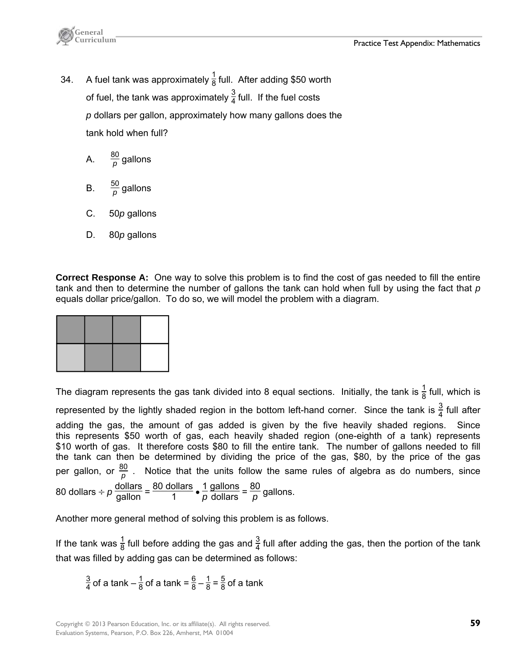

- 34. A fuel tank was approximately  $\frac{1}{8}$  full. After adding \$50 worth of fuel, the tank was approximately  $\frac{3}{4}$  full. If the fuel costs *p* dollars per gallon, approximately how many gallons does the tank hold when full?
	- A.  $\frac{80}{\rho}$  gallons
	- B.  $\frac{50}{p}$  gallons
	- C. 50*p* gallons
	- D. 80*p* gallons

**Correct Response A:** One way to solve this problem is to find the cost of gas needed to fill the entire tank and then to determine the number of gallons the tank can hold when full by using the fact that *p* equals dollar price/gallon. To do so, we will model the problem with a diagram.

The diagram represents the gas tank divided into 8 equal sections. Initially, the tank is  $\frac{1}{8}$  full, which is represented by the lightly shaded region in the bottom left-hand corner. Since the tank is  $\frac{3}{4}$  full after adding the gas, the amount of gas added is given by the five heavily shaded regions. Since this represents \$50 worth of gas, each heavily shaded region (one-eighth of a tank) represents \$10 worth of gas. It therefore costs \$80 to fill the entire tank. The number of gallons needed to fill the tank can then be determined by dividing the price of the gas, \$80, by the price of the gas per gallon, or  $\frac{80}{p}$  . Notice that the units follow the same rules of algebra as do numbers, since 80 dollars ÷  $p \frac{\text{dollars}}{\text{gallon}} = \frac{80 \text{ dollars}}{1} \cdot \frac{1}{p}$  $\frac{gallons}{dollars} = \frac{80}{p}$  gallons.

Another more general method of solving this problem is as follows.

If the tank was  $\frac{1}{8}$  full before adding the gas and  $\frac{3}{4}$  full after adding the gas, then the portion of the tank that was filled by adding gas can be determined as follows:

 $\frac{3}{4}$  of a tank =  $\frac{6}{8} - \frac{1}{8} = \frac{5}{8}$  of a tank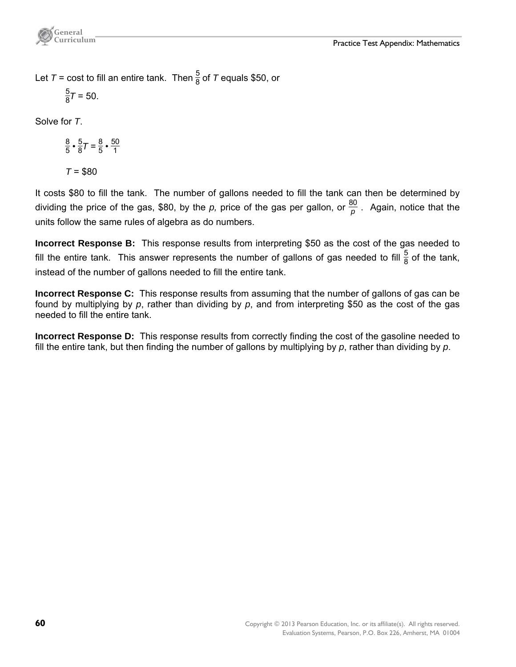Let  $T$  = cost to fill an entire tank. Then  $\frac{5}{8}$  of  $T$  equals \$50, or

$$
\frac{5}{8}\mathcal{T}=50.
$$

Solve for *T*.

 $\frac{8}{5} \cdot \frac{5}{8}T = \frac{8}{5} \cdot \frac{50}{1}$ 1 *T* = \$80

It costs \$80 to fill the tank. The number of gallons needed to fill the tank can then be determined by dividing the price of the gas, \$80, by the *p,* price of the gas per gallon, or  $\frac{80}{p}$  . Again, notice that the units follow the same rules of algebra as do numbers.

**Incorrect Response B:** This response results from interpreting \$50 as the cost of the gas needed to fill the entire tank. This answer represents the number of gallons of gas needed to fill  $\frac{5}{8}$  of the tank, instead of the number of gallons needed to fill the entire tank.

**Incorrect Response C:** This response results from assuming that the number of gallons of gas can be found by multiplying by *p*, rather than dividing by *p*, and from interpreting \$50 as the cost of the gas needed to fill the entire tank.

**Incorrect Response D:** This response results from correctly finding the cost of the gasoline needed to fill the entire tank, but then finding the number of gallons by multiplying by *p*, rather than dividing by *p*.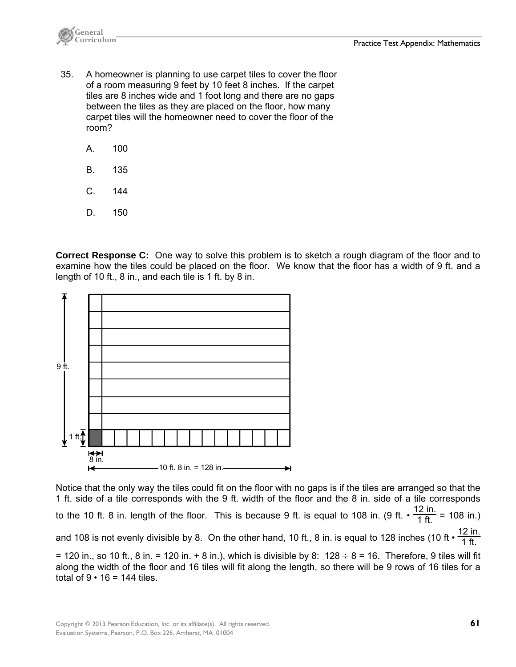

- 35. A homeowner is planning to use carpet tiles to cover the floor of a room measuring 9 feet by 10 feet 8 inches. If the carpet tiles are 8 inches wide and 1 foot long and there are no gaps between the tiles as they are placed on the floor, how many carpet tiles will the homeowner need to cover the floor of the room?
	- A. 100
	- B. 135
	- C. 144
	- D. 150

**Correct Response C:** One way to solve this problem is to sketch a rough diagram of the floor and to examine how the tiles could be placed on the floor. We know that the floor has a width of 9 ft. and a length of 10 ft., 8 in., and each tile is 1 ft. by 8 in.



Notice that the only way the tiles could fit on the floor with no gaps is if the tiles are arranged so that the 1 ft. side of a tile corresponds with the 9 ft. width of the floor and the 8 in. side of a tile corresponds to the 10 ft. 8 in. length of the floor. This is because 9 ft. is equal to 108 in. (9 ft.  $\cdot \frac{12 \text{ in.}}{1 \text{ ft.}}$  = 108 in.) and 108 is not evenly divisible by 8. On the other hand, 10 ft., 8 in. is equal to 128 inches (10 ft  $\cdot$   $\frac{12$  in. = 120 in., so 10 ft., 8 in. = 120 in. + 8 in.), which is divisible by 8:  $128 \div 8 = 16$ . Therefore, 9 tiles will fit along the width of the floor and 16 tiles will fit along the length, so there will be 9 rows of 16 tiles for a total of  $9 \cdot 16 = 144$  tiles.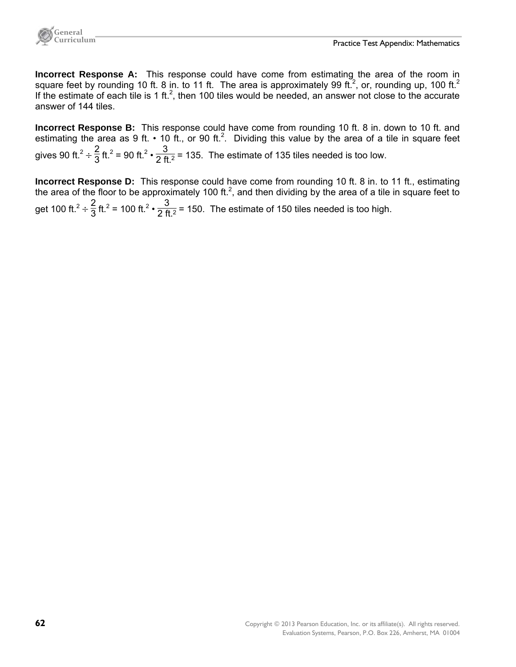

**Incorrect Response A:** This response could have come from estimating the area of the room in square feet by rounding 10 ft. 8 in. to 11 ft. The area is approximately 99 ft.<sup>2</sup>, or, rounding up, 100 ft.<sup>2</sup> If the estimate of each tile is 1 ft.<sup>2</sup>, then 100 tiles would be needed, an answer not close to the accurate answer of 144 tiles.

**Incorrect Response B:** This response could have come from rounding 10 ft. 8 in. down to 10 ft. and estimating the area as 9 ft.  $\cdot$  10 ft., or 90 ft.<sup>2</sup>. Dividing this value by the area of a tile in square feet gives 90 ft.<sup>2</sup> ÷  $\frac{2}{3}$  ft.<sup>2</sup> = 90 ft.<sup>2</sup> •  $\frac{3}{2$  ft.<sup>2</sup> = 135. The estimate of 135 tiles needed is too low.

**Incorrect Response D:** This response could have come from rounding 10 ft. 8 in. to 11 ft., estimating the area of the floor to be approximately 100 ft.<sup>2</sup>, and then dividing by the area of a tile in square feet to get 100 ft.<sup>2</sup> ÷  $\frac{2}{3}$  ft.<sup>2</sup> = 100 ft.<sup>2</sup> •  $\frac{3}{2}$  ft.<sup>2</sup> = 150. The estimate of 150 tiles needed is too high.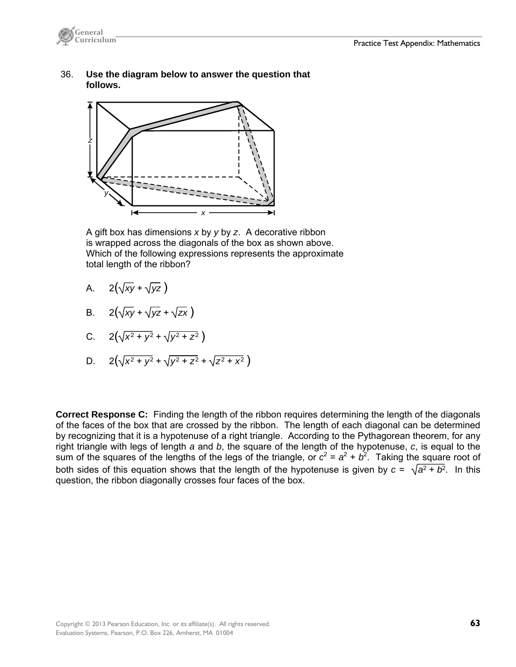

 36. **Use the diagram below to answer the question that follows.**



 A gift box has dimensions *x* by *y* by *z*. A decorative ribbon is wrapped across the diagonals of the box as shown above. Which of the following expressions represents the approximate total length of the ribbon?

- A.  $2(\sqrt{xy} + \sqrt{yz})$
- B.  $2(\sqrt{xy} + \sqrt{yz} + \sqrt{zx})$

C. 
$$
2(\sqrt{x^2 + y^2} + \sqrt{y^2 + z^2})
$$

D.  $2(\sqrt{x^2 + y^2} + \sqrt{y^2 + z^2} + \sqrt{z^2 + x^2})$ 

**Correct Response C:** Finding the length of the ribbon requires determining the length of the diagonals of the faces of the box that are crossed by the ribbon. The length of each diagonal can be determined by recognizing that it is a hypotenuse of a right triangle. According to the Pythagorean theorem, for any right triangle with legs of length *a* and *b*, the square of the length of the hypotenuse, *c*, is equal to the sum of the squares of the lengths of the legs of the triangle, or  $c^2 = a^2 + b^2$ . Taking the square root of both sides of this equation shows that the length of the hypotenuse is given by  $c = \sqrt{a^2 + b^2}$ . In this question, the ribbon diagonally crosses four faces of the box.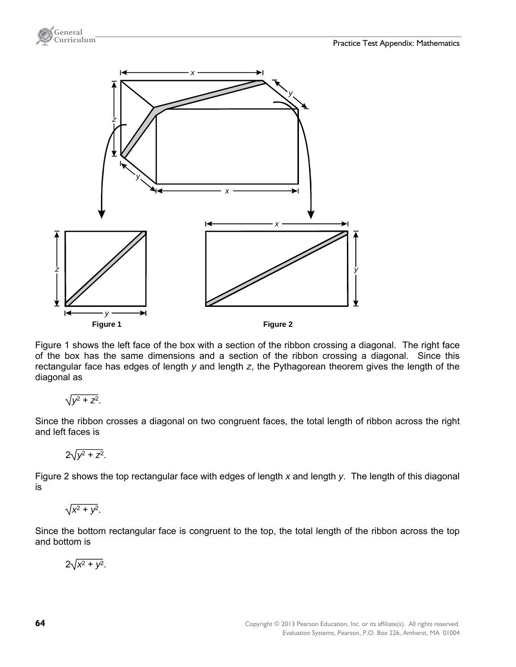

Figure 1 shows the left face of the box with a section of the ribbon crossing a diagonal. The right face of the box has the same dimensions and a section of the ribbon crossing a diagonal. Since this rectangular face has edges of length *y* and length *z*, the Pythagorean theorem gives the length of the diagonal as

$$
\sqrt{y^2+z^2}.
$$

**General** 

Since the ribbon crosses a diagonal on two congruent faces, the total length of ribbon across the right and left faces is

$$
2\sqrt{y^2+z^2}.
$$

Figure 2 shows the top rectangular face with edges of length *x* and length *y*. The length of this diagonal is

$$
\sqrt{x^2+y^2}.
$$

Since the bottom rectangular face is congruent to the top, the total length of the ribbon across the top and bottom is

$$
2\sqrt{x^2+y^2}.
$$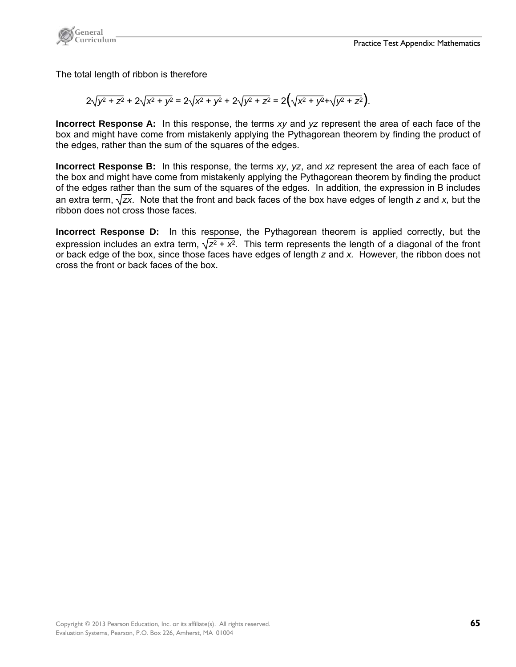

The total length of ribbon is therefore

$$
2\sqrt{y^2+z^2}+2\sqrt{x^2+y^2}=2\sqrt{x^2+y^2}+2\sqrt{y^2+z^2}=2(\sqrt{x^2+y^2}+\sqrt{y^2+z^2}).
$$

**Incorrect Response A:** In this response, the terms *xy* and *yz* represent the area of each face of the box and might have come from mistakenly applying the Pythagorean theorem by finding the product of the edges, rather than the sum of the squares of the edges.

**Incorrect Response B:** In this response, the terms *xy*, *yz*, and *xz* represent the area of each face of the box and might have come from mistakenly applying the Pythagorean theorem by finding the product of the edges rather than the sum of the squares of the edges. In addition, the expression in B includes an extra term,  $\sqrt{zx}$ . Note that the front and back faces of the box have edges of length *z* and *x*, but the ribbon does not cross those faces.

**Incorrect Response D:** In this response, the Pythagorean theorem is applied correctly, but the expression includes an extra term,  $\sqrt{z^2 + x^2}$ . This term represents the length of a diagonal of the front or back edge of the box, since those faces have edges of length *z* and *x.* However, the ribbon does not cross the front or back faces of the box.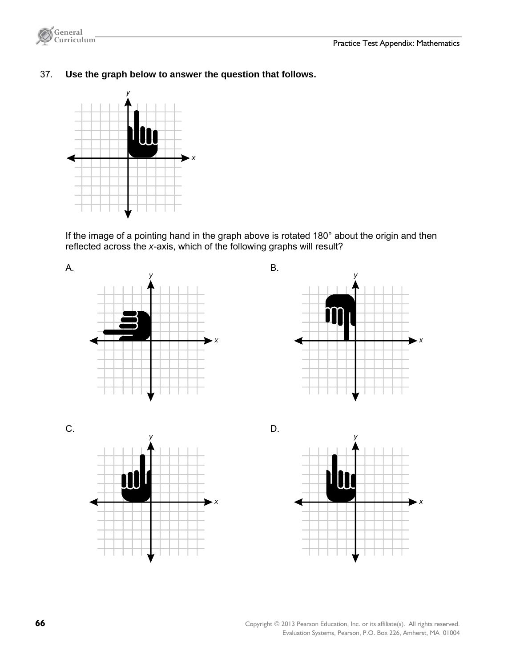

37. **Use the graph below to answer the question that follows.**



 If the image of a pointing hand in the graph above is rotated 180° about the origin and then reflected across the *x*-axis, which of the following graphs will result?









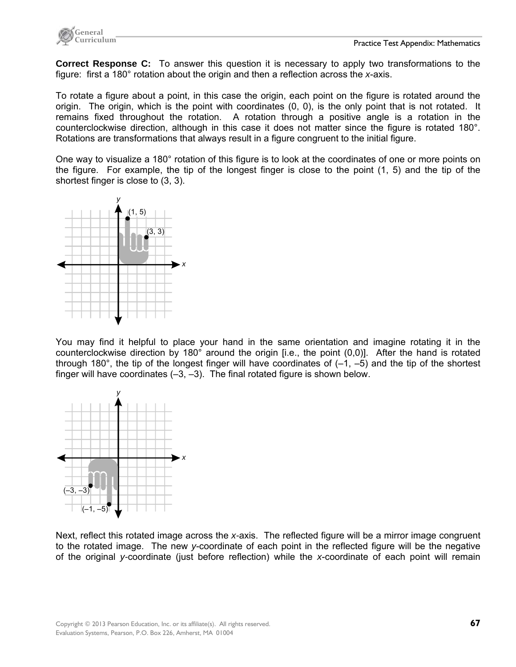

**Correct Response C:** To answer this question it is necessary to apply two transformations to the figure: first a 180° rotation about the origin and then a reflection across the *x*-axis.

To rotate a figure about a point, in this case the origin, each point on the figure is rotated around the origin. The origin, which is the point with coordinates (0, 0), is the only point that is not rotated. It remains fixed throughout the rotation. A rotation through a positive angle is a rotation in the counterclockwise direction, although in this case it does not matter since the figure is rotated 180°. Rotations are transformations that always result in a figure congruent to the initial figure.

One way to visualize a 180° rotation of this figure is to look at the coordinates of one or more points on the figure. For example, the tip of the longest finger is close to the point (1, 5) and the tip of the shortest finger is close to (3, 3).



You may find it helpful to place your hand in the same orientation and imagine rotating it in the counterclockwise direction by 180° around the origin [i.e., the point (0,0)]. After the hand is rotated through 180 $\degree$ , the tip of the longest finger will have coordinates of  $(-1, -5)$  and the tip of the shortest finger will have coordinates  $(-3, -3)$ . The final rotated figure is shown below.



Next, reflect this rotated image across the *x-*axis. The reflected figure will be a mirror image congruent to the rotated image. The new *y*-coordinate of each point in the reflected figure will be the negative of the original *y-*coordinate (just before reflection) while the *x*-coordinate of each point will remain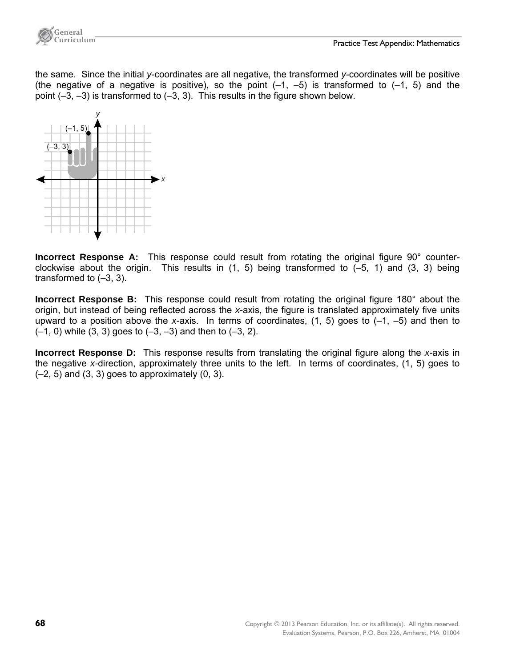

the same. Since the initial *y*-coordinates are all negative, the transformed *y*-coordinates will be positive (the negative of a negative is positive), so the point  $(-1, -5)$  is transformed to  $(-1, 5)$  and the point  $(-3, -3)$  is transformed to  $(-3, 3)$ . This results in the figure shown below.



**Incorrect Response A:** This response could result from rotating the original figure 90° counterclockwise about the origin. This results in  $(1, 5)$  being transformed to  $(-5, 1)$  and  $(3, 3)$  being transformed to  $(-3, 3)$ .

**Incorrect Response B:** This response could result from rotating the original figure 180° about the origin, but instead of being reflected across the *x*-axis, the figure is translated approximately five units upward to a position above the *x*-axis. In terms of coordinates,  $(1, 5)$  goes to  $(-1, -5)$  and then to (–1, 0) while (3, 3) goes to (–3, –3) and then to (–3, 2).

**Incorrect Response D:** This response results from translating the original figure along the *x*-axis in the negative *x-*direction, approximately three units to the left. In terms of coordinates, (1, 5) goes to  $(-2, 5)$  and  $(3, 3)$  goes to approximately  $(0, 3)$ .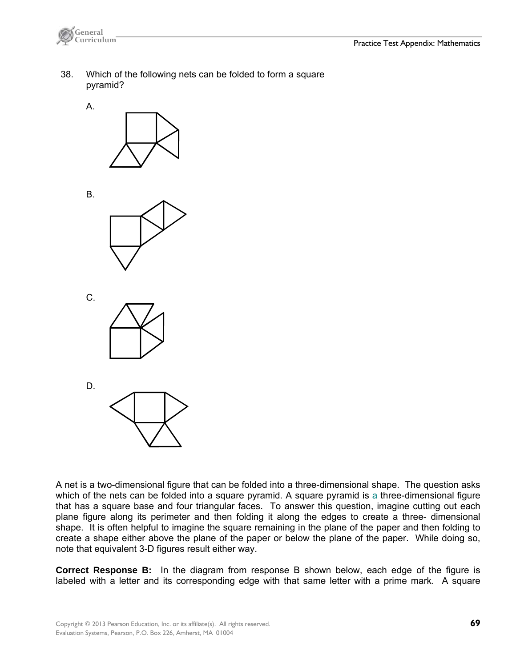

- 38. Which of the following nets can be folded to form a square pyramid?
	- A.



B.







A net is a two-dimensional figure that can be folded into a three-dimensional shape. The question asks which of the nets can be folded into a square pyramid. A square pyramid is a three-dimensional figure that has a square base and four triangular faces. To answer this question, imagine cutting out each plane figure along its perimeter and then folding it along the edges to create a three- dimensional shape. It is often helpful to imagine the square remaining in the plane of the paper and then folding to create a shape either above the plane of the paper or below the plane of the paper. While doing so, note that equivalent 3-D figures result either way.

**Correct Response B:** In the diagram from response B shown below, each edge of the figure is labeled with a letter and its corresponding edge with that same letter with a prime mark. A square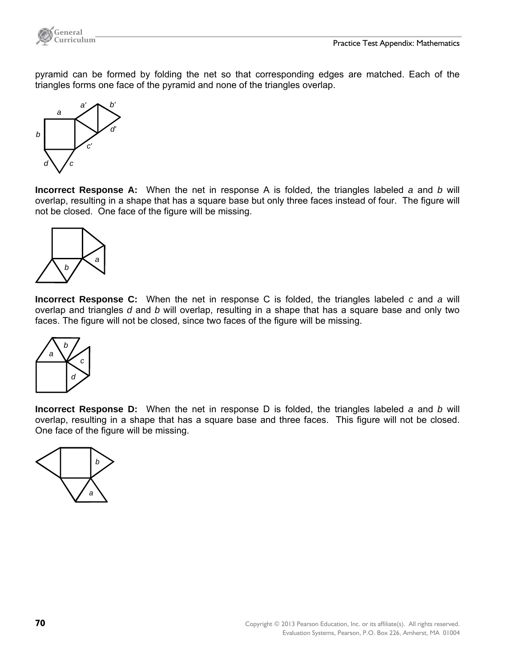

pyramid can be formed by folding the net so that corresponding edges are matched. Each of the triangles forms one face of the pyramid and none of the triangles overlap.



**Incorrect Response A:** When the net in response A is folded, the triangles labeled *a* and *b* will overlap, resulting in a shape that has a square base but only three faces instead of four. The figure will not be closed. One face of the figure will be missing.



**Incorrect Response C:** When the net in response C is folded, the triangles labeled *c* and *a* will overlap and triangles *d* and *b* will overlap, resulting in a shape that has a square base and only two faces. The figure will not be closed, since two faces of the figure will be missing.



**Incorrect Response D:** When the net in response D is folded, the triangles labeled *a* and *b* will overlap, resulting in a shape that has a square base and three faces. This figure will not be closed. One face of the figure will be missing.

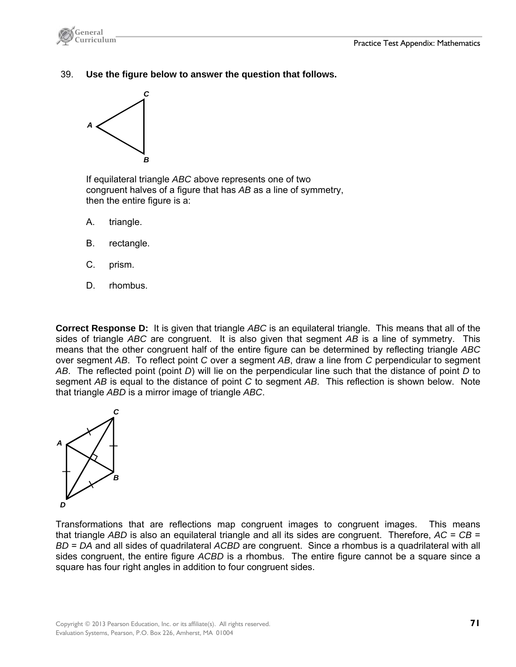

39. **Use the figure below to answer the question that follows.** 



 If equilateral triangle *ABC* above represents one of two congruent halves of a figure that has *AB* as a line of symmetry, then the entire figure is a:

- A. triangle.
- B. rectangle.
- C. prism.
- D. rhombus.

**Correct Response D:** It is given that triangle *ABC* is an equilateral triangle. This means that all of the sides of triangle *ABC* are congruent. It is also given that segment *AB* is a line of symmetry. This means that the other congruent half of the entire figure can be determined by reflecting triangle *ABC* over segment *AB*.To reflect point *C* over a segment *AB*, draw a line from *C* perpendicular to segment *AB*. The reflected point (point *D*) will lie on the perpendicular line such that the distance of point *D* to segment *AB* is equal to the distance of point *C* to segment *AB*. This reflection is shown below. Note that triangle *ABD* is a mirror image of triangle *ABC*.



Transformations that are reflections map congruent images to congruent images. This means that triangle *ABD* is also an equilateral triangle and all its sides are congruent. Therefore, *AC* = *CB* = *BD* = *DA* and all sides of quadrilateral *ACBD* are congruent. Since a rhombus is a quadrilateral with all sides congruent, the entire figure *ACBD* is a rhombus. The entire figure cannot be a square since a square has four right angles in addition to four congruent sides.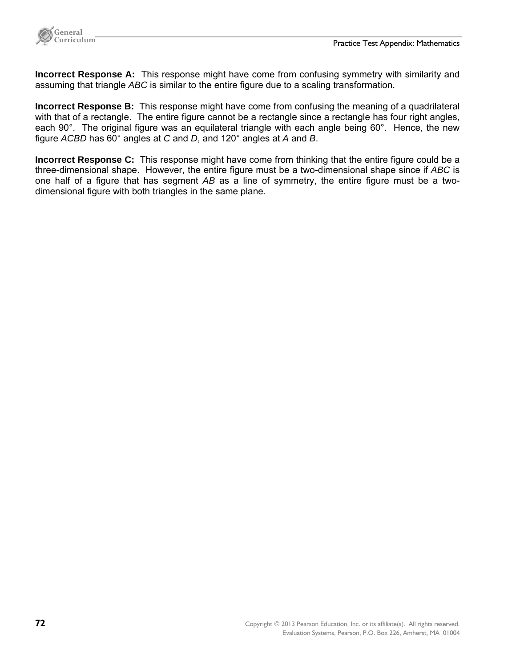

**Incorrect Response A:** This response might have come from confusing symmetry with similarity and assuming that triangle *ABC* is similar to the entire figure due to a scaling transformation.

**Incorrect Response B:** This response might have come from confusing the meaning of a quadrilateral with that of a rectangle. The entire figure cannot be a rectangle since a rectangle has four right angles, each 90°. The original figure was an equilateral triangle with each angle being 60°. Hence, the new figure *ACBD* has 60° angles at *C* and *D*, and 120° angles at *A* and *B*.

**Incorrect Response C:** This response might have come from thinking that the entire figure could be a three-dimensional shape. However, the entire figure must be a two-dimensional shape since if *ABC* is one half of a figure that has segment *AB* as a line of symmetry, the entire figure must be a twodimensional figure with both triangles in the same plane.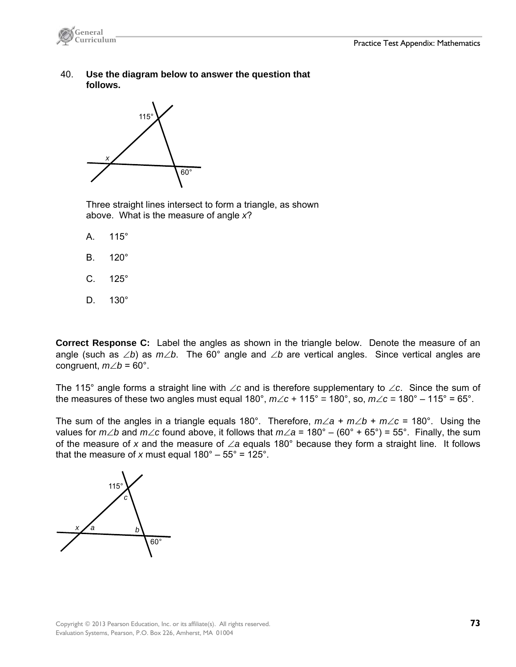

 40. **Use the diagram below to answer the question that follows.** 



 Three straight lines intersect to form a triangle, as shown above. What is the measure of angle *x*?

- A. 115°
- B. 120°
- C. 125°
- D. 130°

**Correct Response C:** Label the angles as shown in the triangle below. Denote the measure of an angle (such as  $\angle b$ ) as  $m\angle b$ . The 60° angle and  $\angle b$  are vertical angles. Since vertical angles are congruent,  $m\angle b = 60^\circ$ .

The 115° angle forms a straight line with  $\angle c$  and is therefore supplementary to  $\angle c$ . Since the sum of the measures of these two angles must equal 180°,  $m\angle c + 115^\circ = 180^\circ$ , so,  $m\angle c = 180^\circ - 115^\circ = 65^\circ$ .

The sum of the angles in a triangle equals 180°. Therefore,  $m\angle a + m\angle b + m\angle c = 180^\circ$ . Using the values for  $m\angle b$  and  $m\angle c$  found above, it follows that  $m\angle a = 180^\circ - (60^\circ + 65^\circ) = 55^\circ$ . Finally, the sum of the measure of x and the measure of  $\angle a$  equals 180° because they form a straight line. It follows that the measure of *x* must equal  $180^\circ - 55^\circ = 125^\circ$ .

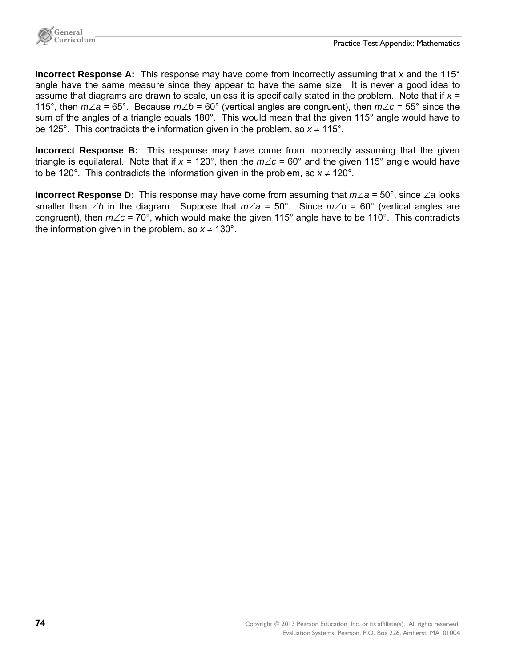

**Incorrect Response A:** This response may have come from incorrectly assuming that *x* and the 115° angle have the same measure since they appear to have the same size. It is never a good idea to assume that diagrams are drawn to scale, unless it is specifically stated in the problem. Note that if *x* = 115°, then  $m\angle a = 65^\circ$ . Because  $m\angle b = 60^\circ$  (vertical angles are congruent), then  $m\angle c = 55^\circ$  since the sum of the angles of a triangle equals 180°. This would mean that the given 115° angle would have to be 125°. This contradicts the information given in the problem, so  $x \neq 115$ °.

**Incorrect Response B:** This response may have come from incorrectly assuming that the given triangle is equilateral. Note that if  $x = 120^{\circ}$ , then the  $m \angle c = 60^{\circ}$  and the given 115° angle would have to be 120°. This contradicts the information given in the problem, so  $x \neq 120^\circ$ .

**Incorrect Response D:** This response may have come from assuming that  $m \angle a = 50^\circ$ , since  $\angle a$  looks smaller than  $\angle b$  in the diagram. Suppose that  $m\angle a = 50^\circ$ . Since  $m\angle b = 60^\circ$  (vertical angles are congruent), then  $m\angle c = 70^\circ$ , which would make the given 115° angle have to be 110°. This contradicts the information given in the problem, so  $x \ne 130^\circ$ .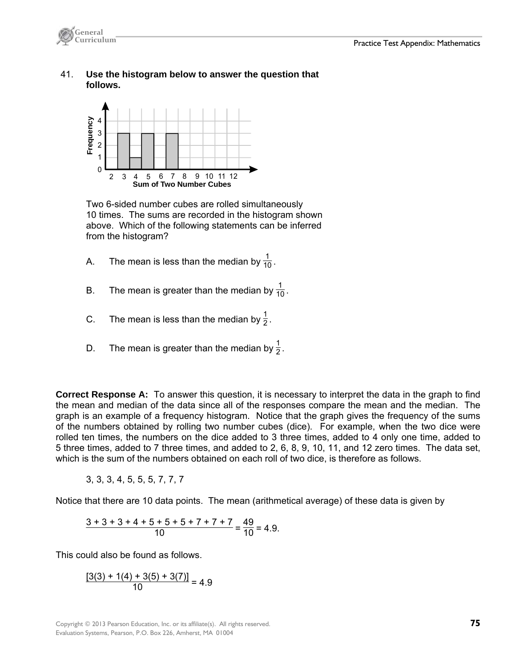

## 41. **Use the histogram below to answer the question that follows.**



 Two 6-sided number cubes are rolled simultaneously 10 times. The sums are recorded in the histogram shown above. Which of the following statements can be inferred from the histogram?

- A. The mean is less than the median by  $\frac{1}{10}$ .
- B. The mean is greater than the median by  $\frac{1}{10}$ .
- C. The mean is less than the median by  $\frac{1}{2}$ .
- D. The mean is greater than the median by  $\frac{1}{2}$ .

**Correct Response A:** To answer this question, it is necessary to interpret the data in the graph to find the mean and median of the data since all of the responses compare the mean and the median. The graph is an example of a frequency histogram. Notice that the graph gives the frequency of the sums of the numbers obtained by rolling two number cubes (dice). For example, when the two dice were rolled ten times, the numbers on the dice added to 3 three times, added to 4 only one time, added to 5 three times, added to 7 three times, and added to 2, 6, 8, 9, 10, 11, and 12 zero times. The data set, which is the sum of the numbers obtained on each roll of two dice, is therefore as follows.

$$
3, 3, 3, 4, 5, 5, 5, 7, 7, 7
$$

Notice that there are 10 data points. The mean (arithmetical average) of these data is given by

$$
\frac{3+3+3+4+5+5+5+7+7+7}{10} = \frac{49}{10} = 4.9.
$$

This could also be found as follows.

$$
\frac{[3(3) + 1(4) + 3(5) + 3(7)]}{10} = 4.9
$$

Copyright © 2013 Pearson Education, Inc. or its affiliate(s). All rights reserved. **75**  Evaluation Systems, Pearson, P.O. Box 226, Amherst, MA 01004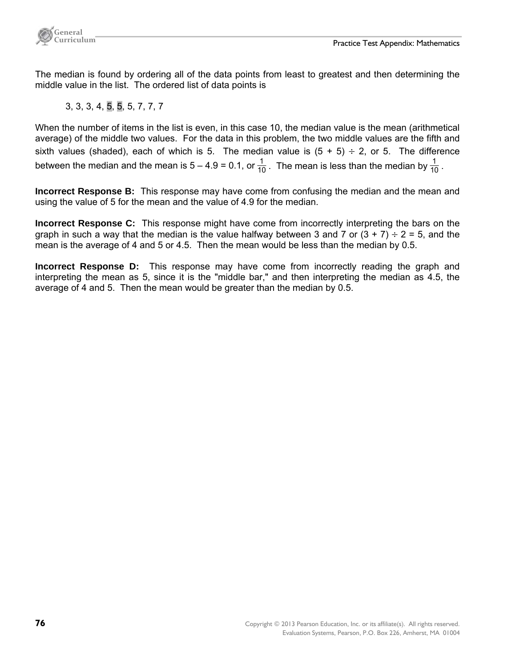

The median is found by ordering all of the data points from least to greatest and then determining the middle value in the list. The ordered list of data points is

3, 3, 3, 4, 5, 5, 5, 7, 7, 7

When the number of items in the list is even, in this case 10, the median value is the mean (arithmetical average) of the middle two values. For the data in this problem, the two middle values are the fifth and sixth values (shaded), each of which is 5. The median value is  $(5 + 5) \div 2$ , or 5. The difference between the median and the mean is 5 – 4.9 = 0.1, or  $\frac{1}{10}$ . The mean is less than the median by  $\frac{1}{10}$ .

**Incorrect Response B:** This response may have come from confusing the median and the mean and using the value of 5 for the mean and the value of 4.9 for the median.

**Incorrect Response C:** This response might have come from incorrectly interpreting the bars on the graph in such a way that the median is the value halfway between 3 and 7 or  $(3 + 7) \div 2 = 5$ , and the mean is the average of 4 and 5 or 4.5. Then the mean would be less than the median by 0.5.

**Incorrect Response D:** This response may have come from incorrectly reading the graph and interpreting the mean as 5, since it is the "middle bar," and then interpreting the median as 4.5, the average of 4 and 5. Then the mean would be greater than the median by 0.5.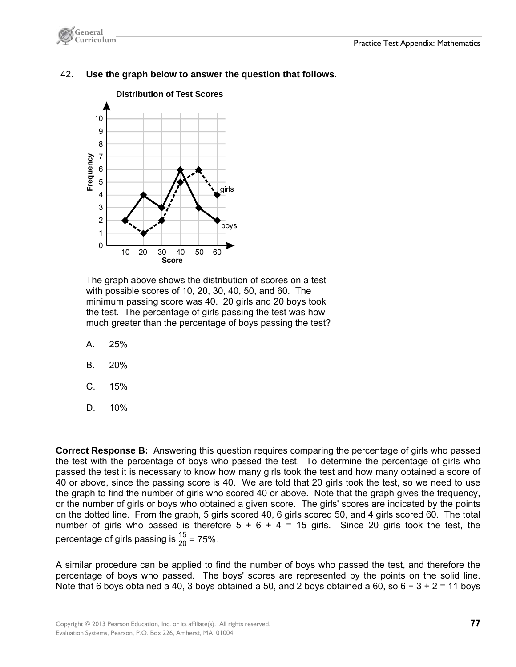



## 42. **Use the graph below to answer the question that follows**.

The graph above shows the distribution of scores on a test with possible scores of 10, 20, 30, 40, 50, and 60. The minimum passing score was 40. 20 girls and 20 boys took the test. The percentage of girls passing the test was how much greater than the percentage of boys passing the test?

- A. 25%
- B. 20%
- C. 15%
- D. 10%

**Correct Response B:** Answering this question requires comparing the percentage of girls who passed the test with the percentage of boys who passed the test. To determine the percentage of girls who passed the test it is necessary to know how many girls took the test and how many obtained a score of 40 or above, since the passing score is 40. We are told that 20 girls took the test, so we need to use the graph to find the number of girls who scored 40 or above. Note that the graph gives the frequency, or the number of girls or boys who obtained a given score. The girls' scores are indicated by the points on the dotted line. From the graph, 5 girls scored 40, 6 girls scored 50, and 4 girls scored 60. The total number of girls who passed is therefore  $5 + 6 + 4 = 15$  girls. Since 20 girls took the test, the percentage of girls passing is  $\frac{15}{20}$  = 75%.

A similar procedure can be applied to find the number of boys who passed the test, and therefore the percentage of boys who passed. The boys' scores are represented by the points on the solid line. Note that 6 boys obtained a 40, 3 boys obtained a 50, and 2 boys obtained a 60, so  $6 + 3 + 2 = 11$  boys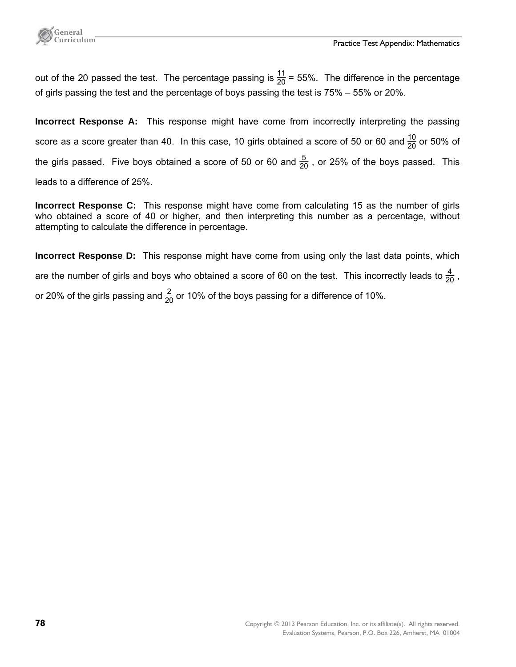

out of the 20 passed the test. The percentage passing is  $\frac{11}{20}$  = 55%. The difference in the percentage of girls passing the test and the percentage of boys passing the test is 75% – 55% or 20%.

**Incorrect Response A:** This response might have come from incorrectly interpreting the passing score as a score greater than 40. In this case, 10 girls obtained a score of 50 or 60 and  $\frac{10}{20}$  or 50% of the girls passed. Five boys obtained a score of 50 or 60 and  $\frac{5}{20}$  , or 25% of the boys passed. This leads to a difference of 25%.

**Incorrect Response C:** This response might have come from calculating 15 as the number of girls who obtained a score of 40 or higher, and then interpreting this number as a percentage, without attempting to calculate the difference in percentage.

**Incorrect Response D:** This response might have come from using only the last data points, which are the number of girls and boys who obtained a score of 60 on the test. This incorrectly leads to  $\frac{4}{20}$  , or 20% of the girls passing and  $\frac{2}{20}$  or 10% of the boys passing for a difference of 10%.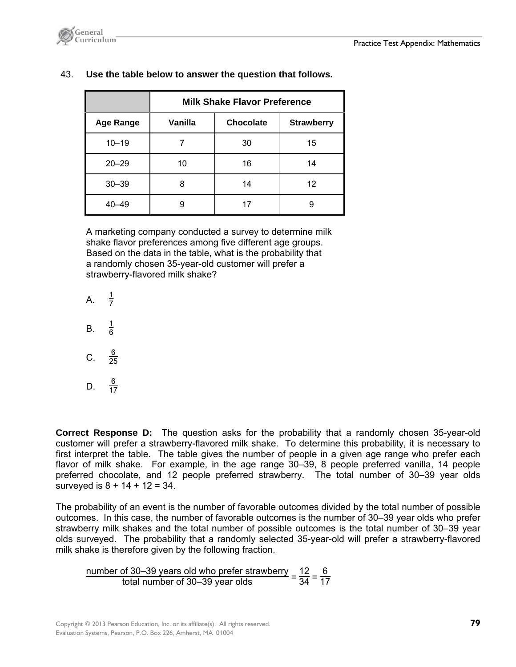

|                  | <b>Milk Shake Flavor Preference</b> |           |                   |
|------------------|-------------------------------------|-----------|-------------------|
| <b>Age Range</b> | Vanilla                             | Chocolate | <b>Strawberry</b> |
| $10 - 19$        |                                     | 30        | 15                |
| $20 - 29$        | 10                                  | 16        | 14                |
| $30 - 39$        | 8                                   | 14        | 12                |
| 40–49            | 9                                   | 17        | 9                 |

## 43. **Use the table below to answer the question that follows.**

 A marketing company conducted a survey to determine milk shake flavor preferences among five different age groups. Based on the data in the table, what is the probability that a randomly chosen 35-year-old customer will prefer a strawberry-flavored milk shake?

 $A<sub>1</sub>$  $rac{1}{7}$ B. <sup>1</sup>  $\frac{1}{6}$ C.  $\frac{6}{25}$ D.  $\frac{6}{17}$ 

**Correct Response D:** The question asks for the probability that a randomly chosen 35-year-old customer will prefer a strawberry-flavored milk shake. To determine this probability, it is necessary to first interpret the table. The table gives the number of people in a given age range who prefer each flavor of milk shake. For example, in the age range 30–39, 8 people preferred vanilla, 14 people preferred chocolate, and 12 people preferred strawberry. The total number of 30–39 year olds surveyed is  $8 + 14 + 12 = 34$ .

The probability of an event is the number of favorable outcomes divided by the total number of possible outcomes. In this case, the number of favorable outcomes is the number of 30–39 year olds who prefer strawberry milk shakes and the total number of possible outcomes is the total number of 30–39 year olds surveyed. The probability that a randomly selected 35-year-old will prefer a strawberry-flavored milk shake is therefore given by the following fraction.

number of 30–39 years old who prefer strawberry =  $\frac{12}{34} = \frac{6}{17}$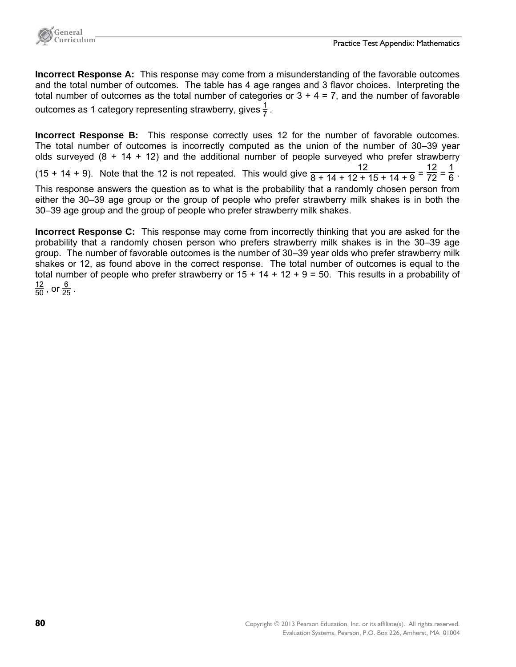

**Incorrect Response A:** This response may come from a misunderstanding of the favorable outcomes and the total number of outcomes. The table has 4 age ranges and 3 flavor choices. Interpreting the total number of outcomes as the total number of categories or  $3 + 4 = 7$ , and the number of favorable outcomes as 1 category representing strawberry, gives  $\frac{1}{7}$  .

**Incorrect Response B:** This response correctly uses 12 for the number of favorable outcomes. The total number of outcomes is incorrectly computed as the union of the number of 30–39 year olds surveyed  $(8 + 14 + 12)$  and the additional number of people surveyed who prefer strawberry (15 + 14 + 9). Note that the 12 is not repeated. This would give  $\frac{12}{8 + 14 + 12 + 15 + 14 + 9} = \frac{12}{72} = \frac{1}{6}$ . This response answers the question as to what is the probability that a randomly chosen person from either the 30–39 age group or the group of people who prefer strawberry milk shakes is in both the 30–39 age group and the group of people who prefer strawberry milk shakes.

**Incorrect Response C:** This response may come from incorrectly thinking that you are asked for the probability that a randomly chosen person who prefers strawberry milk shakes is in the 30–39 age group. The number of favorable outcomes is the number of 30–39 year olds who prefer strawberry milk shakes or 12, as found above in the correct response. The total number of outcomes is equal to the total number of people who prefer strawberry or  $15 + 14 + 12 + 9 = 50$ . This results in a probability of  $\frac{12}{50}$ , or  $\frac{6}{25}$ .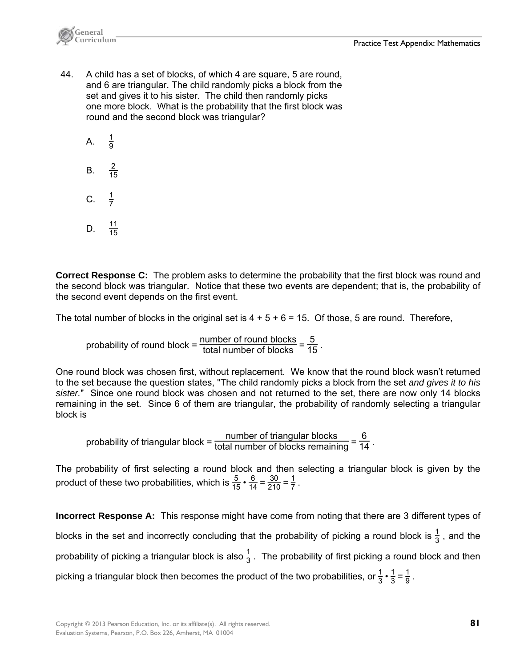

- 44. A child has a set of blocks, of which 4 are square, 5 are round, and 6 are triangular. The child randomly picks a block from the set and gives it to his sister. The child then randomly picks one more block. What is the probability that the first block was round and the second block was triangular?
	- $A<sub>1</sub>$  $\frac{1}{\alpha}$ B.  $\frac{2}{15}$  $C.$  $rac{1}{7}$

D.  $\frac{11}{15}$ 

**Correct Response C:** The problem asks to determine the probability that the first block was round and the second block was triangular. Notice that these two events are dependent; that is, the probability of the second event depends on the first event.

The total number of blocks in the original set is  $4 + 5 + 6 = 15$ . Of those, 5 are round. Therefore,

probability of round block =  $\frac{\text{number of round blocks}}{\text{total number of blocks}} = \frac{5}{15}$ .

One round block was chosen first, without replacement. We know that the round block wasn't returned to the set because the question states, "The child randomly picks a block from the set *and gives it to his sister.*" Since one round block was chosen and not returned to the set, there are now only 14 blocks remaining in the set. Since 6 of them are triangular, the probability of randomly selecting a triangular block is

probability of triangular block =  $\frac{\text{number of triangular blocks}}{\text{total number of blocks remaining}} = \frac{6}{14}$ .

The probability of first selecting a round block and then selecting a triangular block is given by the product of these two probabilities, which is  $\frac{5}{15} \cdot \frac{6}{14} = \frac{30}{210} = \frac{1}{7}$ .

**Incorrect Response A:** This response might have come from noting that there are 3 different types of blocks in the set and incorrectly concluding that the probability of picking a round block is  $\frac{1}{3}$  , and the probability of picking a triangular block is also  $\frac{1}{3}$  . The probability of first picking a round block and then picking a triangular block then becomes the product of the two probabilities, or  $\frac{1}{3} \cdot \frac{1}{3} = \frac{1}{9}$  .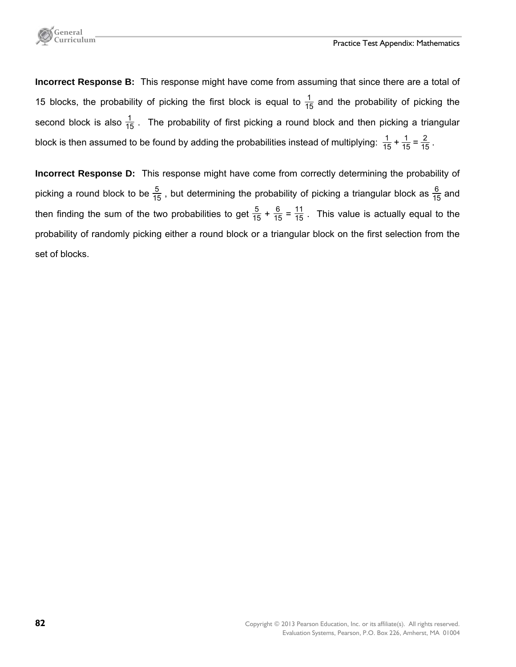

**Incorrect Response B:** This response might have come from assuming that since there are a total of 15 blocks, the probability of picking the first block is equal to  $\frac{1}{15}$  and the probability of picking the second block is also  $\frac{1}{15}$  . The probability of first picking a round block and then picking a triangular block is then assumed to be found by adding the probabilities instead of multiplying:  $\frac{1}{15} + \frac{1}{15} = \frac{2}{15}$ .

**Incorrect Response D:** This response might have come from correctly determining the probability of picking a round block to be  $\frac{5}{15}$  , but determining the probability of picking a triangular block as  $\frac{6}{15}$  and then finding the sum of the two probabilities to get  $\frac{5}{15} + \frac{6}{15} = \frac{11}{15}$ . This value is actually equal to the probability of randomly picking either a round block or a triangular block on the first selection from the set of blocks.